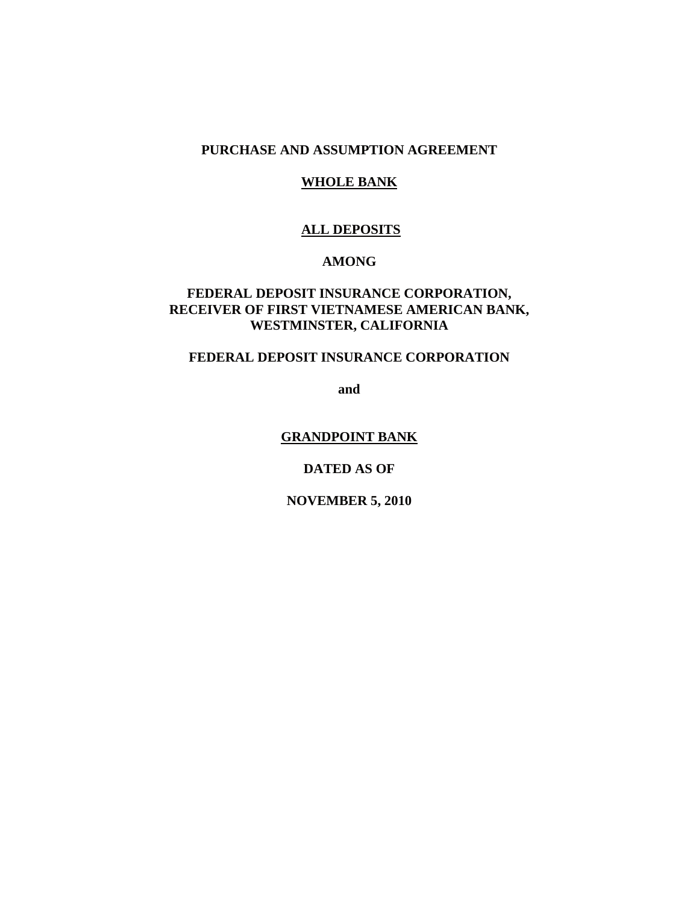#### **PURCHASE AND ASSUMPTION AGREEMENT**

#### **WHOLE BANK**

#### **ALL DEPOSITS**

#### **AMONG**

#### **FEDERAL DEPOSIT INSURANCE CORPORATION, RECEIVER OF FIRST VIETNAMESE AMERICAN BANK, WESTMINSTER, CALIFORNIA**

#### **FEDERAL DEPOSIT INSURANCE CORPORATION**

**and** 

#### **GRANDPOINT BANK**

**DATED AS OF**

**NOVEMBER 5, 2010**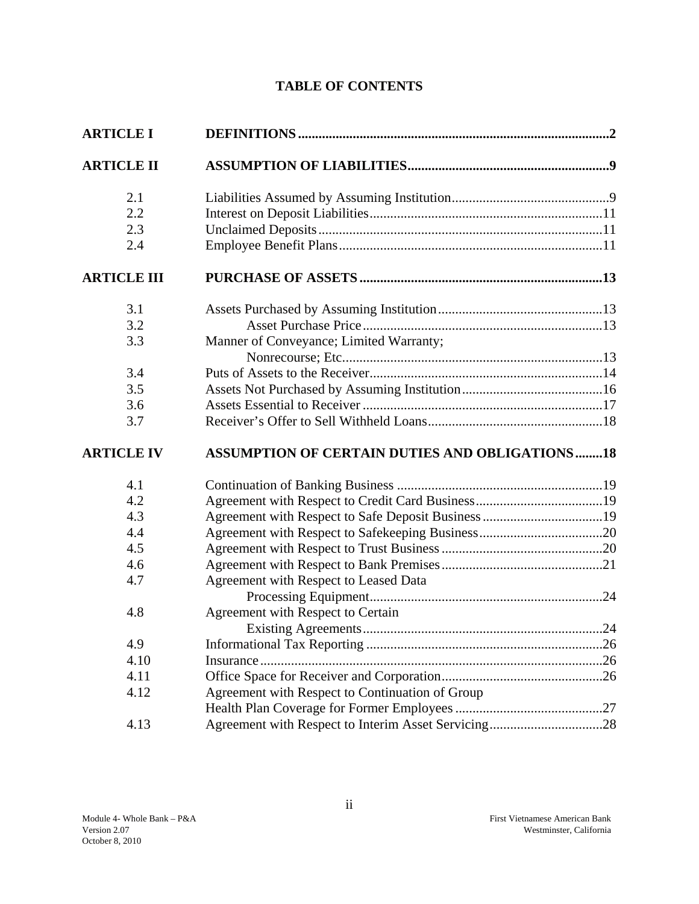## **TABLE OF CONTENTS**

| <b>ARTICLE I</b>   |                                                       |  |
|--------------------|-------------------------------------------------------|--|
| <b>ARTICLE II</b>  |                                                       |  |
| 2.1                |                                                       |  |
| 2.2                |                                                       |  |
| 2.3                |                                                       |  |
| 2.4                |                                                       |  |
| <b>ARTICLE III</b> |                                                       |  |
| 3.1                |                                                       |  |
| 3.2                |                                                       |  |
| 3.3                | Manner of Conveyance; Limited Warranty;               |  |
|                    |                                                       |  |
| 3.4                |                                                       |  |
| 3.5                |                                                       |  |
| 3.6                |                                                       |  |
| 3.7                |                                                       |  |
| <b>ARTICLE IV</b>  | <b>ASSUMPTION OF CERTAIN DUTIES AND OBLIGATIONS18</b> |  |
| 4.1                |                                                       |  |
| 4.2                |                                                       |  |
| 4.3                |                                                       |  |
| 4.4                |                                                       |  |
| 4.5                |                                                       |  |
| 4.6                |                                                       |  |
| 4.7                | Agreement with Respect to Leased Data                 |  |
|                    |                                                       |  |
| 4.8                | Agreement with Respect to Certain                     |  |
|                    |                                                       |  |
| 4.9                |                                                       |  |
| 4.10               | Insurance                                             |  |
| 4.11               |                                                       |  |
| 4.12               | Agreement with Respect to Continuation of Group       |  |
|                    |                                                       |  |
| 4.13               |                                                       |  |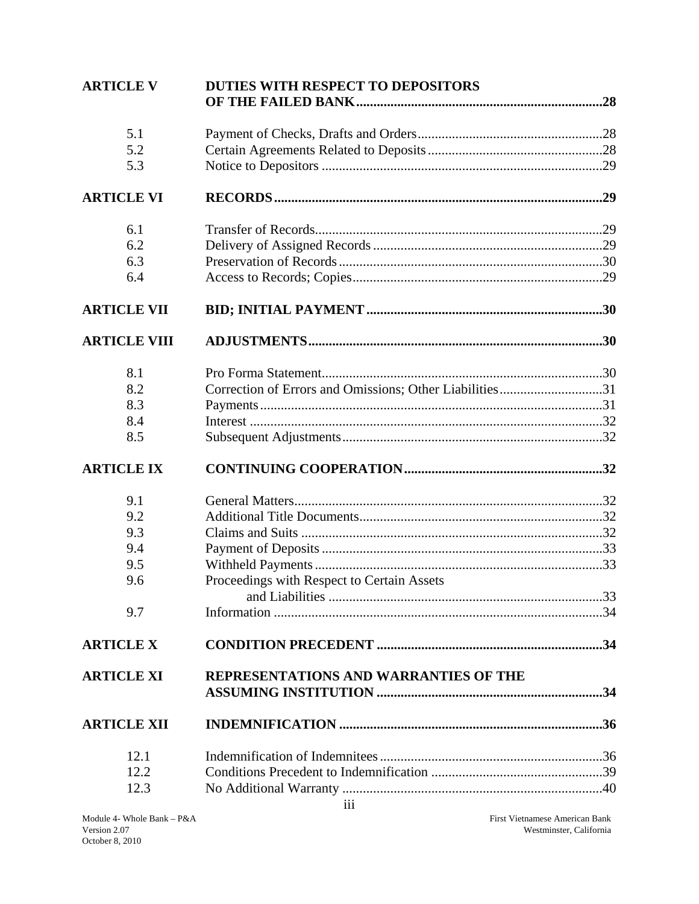| <b>ARTICLE V</b>    | <b>DUTIES WITH RESPECT TO DEPOSITORS</b>                |  |  |
|---------------------|---------------------------------------------------------|--|--|
| 5.1                 |                                                         |  |  |
| 5.2                 |                                                         |  |  |
| 5.3                 |                                                         |  |  |
| <b>ARTICLE VI</b>   |                                                         |  |  |
| 6.1                 |                                                         |  |  |
| 6.2                 |                                                         |  |  |
| 6.3                 |                                                         |  |  |
| 6.4                 |                                                         |  |  |
| <b>ARTICLE VII</b>  |                                                         |  |  |
| <b>ARTICLE VIII</b> |                                                         |  |  |
| 8.1                 |                                                         |  |  |
| 8.2                 | Correction of Errors and Omissions; Other Liabilities31 |  |  |
| 8.3                 |                                                         |  |  |
| 8.4                 |                                                         |  |  |
| 8.5                 |                                                         |  |  |
| <b>ARTICLE IX</b>   |                                                         |  |  |
| 9.1                 |                                                         |  |  |
| 9.2                 |                                                         |  |  |
| 9.3                 |                                                         |  |  |
| 9.4                 |                                                         |  |  |
| 9.5                 |                                                         |  |  |
| 9.6                 | Proceedings with Respect to Certain Assets              |  |  |
|                     |                                                         |  |  |
| 9.7                 |                                                         |  |  |
| <b>ARTICLE X</b>    |                                                         |  |  |
| <b>ARTICLE XI</b>   | REPRESENTATIONS AND WARRANTIES OF THE                   |  |  |
| <b>ARTICLE XII</b>  |                                                         |  |  |
| 12.1                |                                                         |  |  |
| 12.2                |                                                         |  |  |
| 12.3                |                                                         |  |  |
|                     |                                                         |  |  |

First Vietnamese American Bank Westminster, California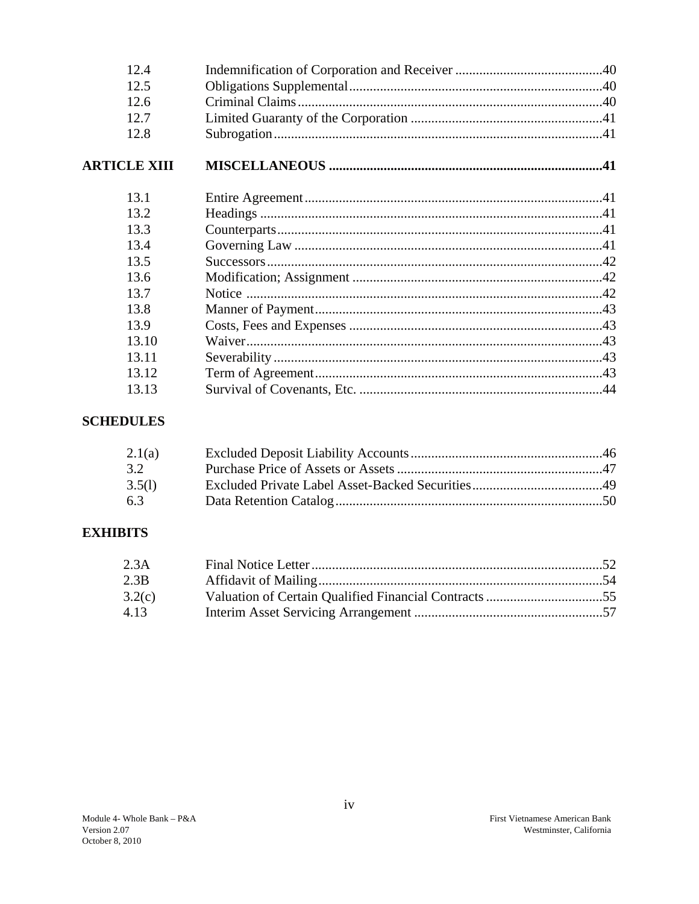| 12.4                |  |
|---------------------|--|
| 12.5                |  |
| 12.6                |  |
| 12.7                |  |
| 12.8                |  |
| <b>ARTICLE XIII</b> |  |
| 13.1                |  |
| 13.2                |  |
| 13.3                |  |
| 13.4                |  |
| 13.5                |  |
| 13.6                |  |
| 13.7                |  |
| 13.8                |  |
| 13.9                |  |
| 13.10               |  |
| 13.11               |  |
| 13.12               |  |
| 13.13               |  |

## **SCHEDULES**

| 2.1(a) |  |
|--------|--|
| 3.2    |  |
| 3.5(l) |  |
| 6.3    |  |

# **EXHIBITS**

| 2.3A   |  |
|--------|--|
| 2.3B   |  |
| 3.2(c) |  |
| 4.13   |  |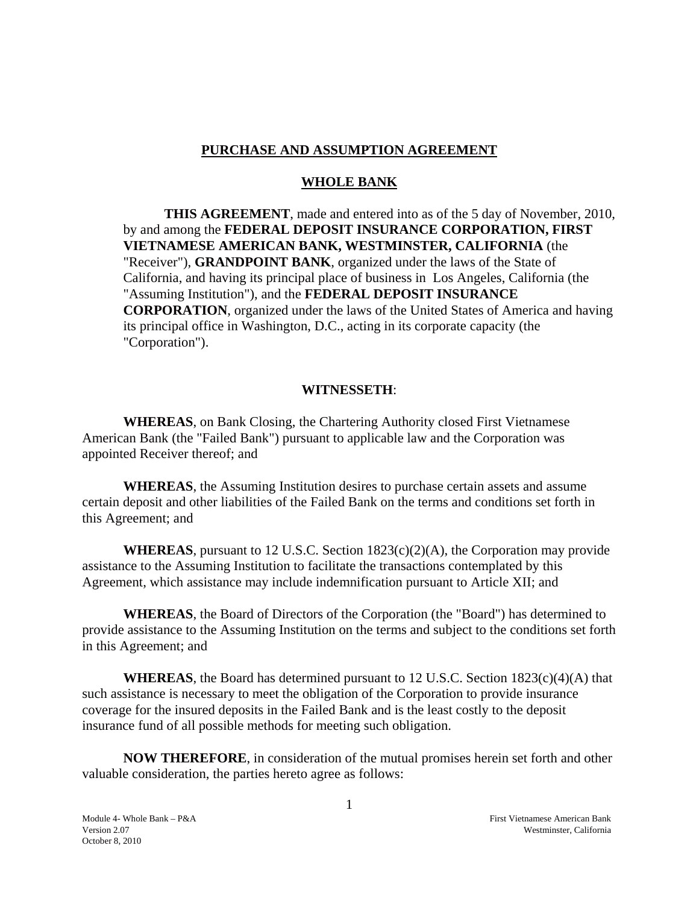#### **PURCHASE AND ASSUMPTION AGREEMENT**

#### **WHOLE BANK**

 **THIS AGREEMENT**, made and entered into as of the 5 day of November, 2010, by and among the **FEDERAL DEPOSIT INSURANCE CORPORATION, FIRST VIETNAMESE AMERICAN BANK, WESTMINSTER, CALIFORNIA** (the "Receiver"), **GRANDPOINT BANK**, organized under the laws of the State of California, and having its principal place of business in Los Angeles, California (the "Assuming Institution"), and the **FEDERAL DEPOSIT INSURANCE CORPORATION**, organized under the laws of the United States of America and having its principal office in Washington, D.C., acting in its corporate capacity (the "Corporation").

#### **WITNESSETH**:

**WHEREAS**, on Bank Closing, the Chartering Authority closed First Vietnamese American Bank (the "Failed Bank") pursuant to applicable law and the Corporation was appointed Receiver thereof; and

**WHEREAS**, the Assuming Institution desires to purchase certain assets and assume certain deposit and other liabilities of the Failed Bank on the terms and conditions set forth in this Agreement; and

**WHEREAS**, pursuant to 12 U.S.C. Section  $1823(c)(2)(A)$ , the Corporation may provide assistance to the Assuming Institution to facilitate the transactions contemplated by this Agreement, which assistance may include indemnification pursuant to Article XII; and

**WHEREAS**, the Board of Directors of the Corporation (the "Board") has determined to provide assistance to the Assuming Institution on the terms and subject to the conditions set forth in this Agreement; and

**WHEREAS**, the Board has determined pursuant to 12 U.S.C. Section 1823(c)(4)(A) that such assistance is necessary to meet the obligation of the Corporation to provide insurance coverage for the insured deposits in the Failed Bank and is the least costly to the deposit insurance fund of all possible methods for meeting such obligation.

 **NOW THEREFORE**, in consideration of the mutual promises herein set forth and other valuable consideration, the parties hereto agree as follows: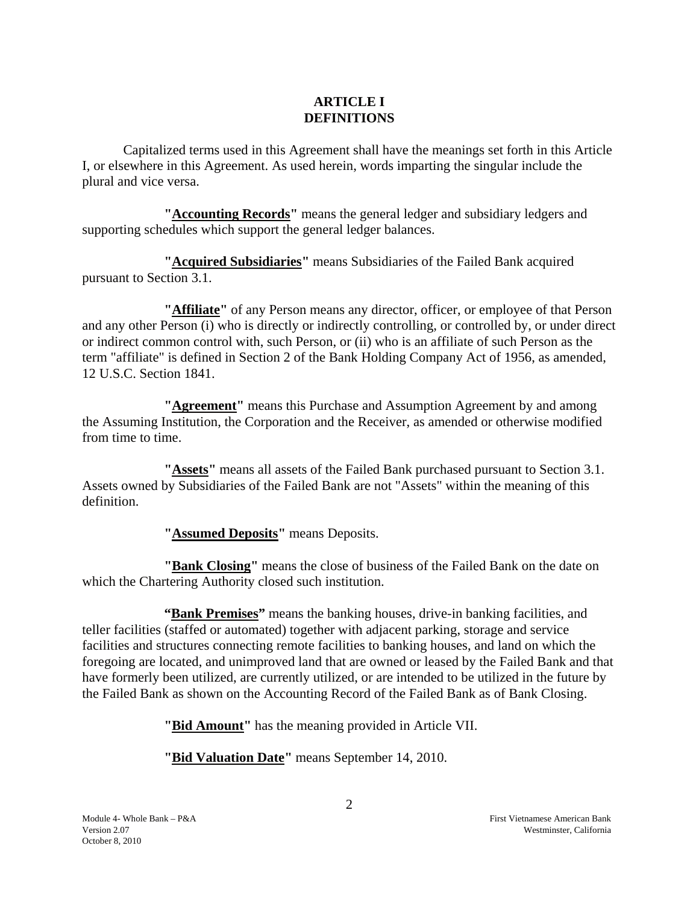## **ARTICLE I DEFINITIONS**

<span id="page-5-0"></span>Capitalized terms used in this Agreement shall have the meanings set forth in this Article I, or elsewhere in this Agreement. As used herein, words imparting the singular include the plural and vice versa.

**"Accounting Records"** means the general ledger and subsidiary ledgers and supporting schedules which support the general ledger balances.

**"Acquired Subsidiaries"** means Subsidiaries of the Failed Bank acquired pursuant to Section 3.1.

**"Affiliate"** of any Person means any director, officer, or employee of that Person and any other Person (i) who is directly or indirectly controlling, or controlled by, or under direct or indirect common control with, such Person, or (ii) who is an affiliate of such Person as the term "affiliate" is defined in Section 2 of the Bank Holding Company Act of 1956, as amended, 12 U.S.C. Section 1841.

**"Agreement"** means this Purchase and Assumption Agreement by and among the Assuming Institution, the Corporation and the Receiver, as amended or otherwise modified from time to time.

**"Assets"** means all assets of the Failed Bank purchased pursuant to Section 3.1. Assets owned by Subsidiaries of the Failed Bank are not "Assets" within the meaning of this definition.

**"Assumed Deposits"** means Deposits.

**"Bank Closing"** means the close of business of the Failed Bank on the date on which the Chartering Authority closed such institution.

**"Bank Premises"** means the banking houses, drive-in banking facilities, and teller facilities (staffed or automated) together with adjacent parking, storage and service facilities and structures connecting remote facilities to banking houses, and land on which the foregoing are located, and unimproved land that are owned or leased by the Failed Bank and that have formerly been utilized, are currently utilized, or are intended to be utilized in the future by the Failed Bank as shown on the Accounting Record of the Failed Bank as of Bank Closing.

**"Bid Amount"** has the meaning provided in Article VII.

**"Bid Valuation Date"** means September 14, 2010.

October 8, 2010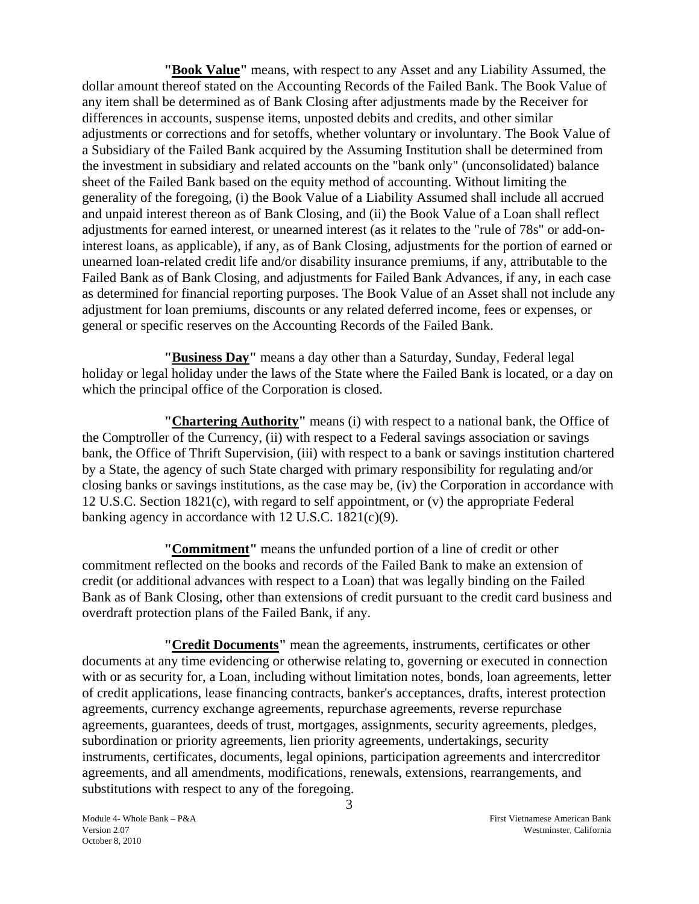**"Book Value"** means, with respect to any Asset and any Liability Assumed, the dollar amount thereof stated on the Accounting Records of the Failed Bank. The Book Value of any item shall be determined as of Bank Closing after adjustments made by the Receiver for differences in accounts, suspense items, unposted debits and credits, and other similar adjustments or corrections and for setoffs, whether voluntary or involuntary. The Book Value of a Subsidiary of the Failed Bank acquired by the Assuming Institution shall be determined from the investment in subsidiary and related accounts on the "bank only" (unconsolidated) balance sheet of the Failed Bank based on the equity method of accounting. Without limiting the generality of the foregoing, (i) the Book Value of a Liability Assumed shall include all accrued and unpaid interest thereon as of Bank Closing, and (ii) the Book Value of a Loan shall reflect adjustments for earned interest, or unearned interest (as it relates to the "rule of 78s" or add-oninterest loans, as applicable), if any, as of Bank Closing, adjustments for the portion of earned or unearned loan-related credit life and/or disability insurance premiums, if any, attributable to the Failed Bank as of Bank Closing, and adjustments for Failed Bank Advances, if any, in each case as determined for financial reporting purposes. The Book Value of an Asset shall not include any adjustment for loan premiums, discounts or any related deferred income, fees or expenses, or general or specific reserves on the Accounting Records of the Failed Bank.

**"Business Day"** means a day other than a Saturday, Sunday, Federal legal holiday or legal holiday under the laws of the State where the Failed Bank is located, or a day on which the principal office of the Corporation is closed.

**"Chartering Authority"** means (i) with respect to a national bank, the Office of the Comptroller of the Currency, (ii) with respect to a Federal savings association or savings bank, the Office of Thrift Supervision, (iii) with respect to a bank or savings institution chartered by a State, the agency of such State charged with primary responsibility for regulating and/or closing banks or savings institutions, as the case may be, (iv) the Corporation in accordance with 12 U.S.C. Section 1821(c), with regard to self appointment, or (v) the appropriate Federal banking agency in accordance with 12 U.S.C. 1821(c)(9).

**"Commitment"** means the unfunded portion of a line of credit or other commitment reflected on the books and records of the Failed Bank to make an extension of credit (or additional advances with respect to a Loan) that was legally binding on the Failed Bank as of Bank Closing, other than extensions of credit pursuant to the credit card business and overdraft protection plans of the Failed Bank, if any.

**"Credit Documents"** mean the agreements, instruments, certificates or other documents at any time evidencing or otherwise relating to, governing or executed in connection with or as security for, a Loan, including without limitation notes, bonds, loan agreements, letter of credit applications, lease financing contracts, banker's acceptances, drafts, interest protection agreements, currency exchange agreements, repurchase agreements, reverse repurchase agreements, guarantees, deeds of trust, mortgages, assignments, security agreements, pledges, subordination or priority agreements, lien priority agreements, undertakings, security instruments, certificates, documents, legal opinions, participation agreements and intercreditor agreements, and all amendments, modifications, renewals, extensions, rearrangements, and substitutions with respect to any of the foregoing.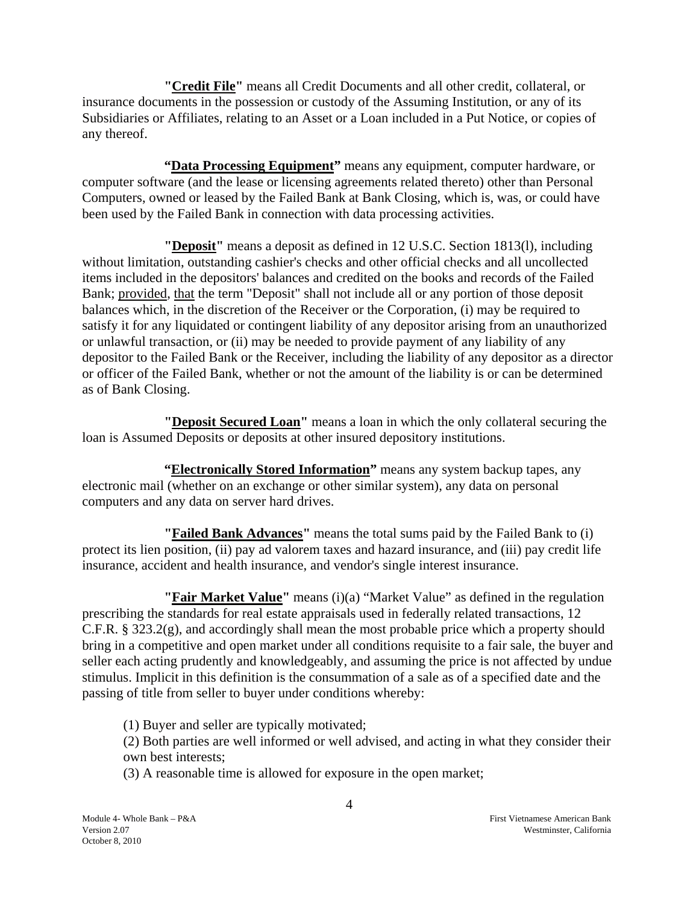**"Credit File"** means all Credit Documents and all other credit, collateral, or insurance documents in the possession or custody of the Assuming Institution, or any of its Subsidiaries or Affiliates, relating to an Asset or a Loan included in a Put Notice, or copies of any thereof.

**"Data Processing Equipment"** means any equipment, computer hardware, or computer software (and the lease or licensing agreements related thereto) other than Personal Computers, owned or leased by the Failed Bank at Bank Closing, which is, was, or could have been used by the Failed Bank in connection with data processing activities.

**"Deposit"** means a deposit as defined in 12 U.S.C. Section 1813(l), including without limitation, outstanding cashier's checks and other official checks and all uncollected items included in the depositors' balances and credited on the books and records of the Failed Bank; provided, that the term "Deposit" shall not include all or any portion of those deposit balances which, in the discretion of the Receiver or the Corporation, (i) may be required to satisfy it for any liquidated or contingent liability of any depositor arising from an unauthorized or unlawful transaction, or (ii) may be needed to provide payment of any liability of any depositor to the Failed Bank or the Receiver, including the liability of any depositor as a director or officer of the Failed Bank, whether or not the amount of the liability is or can be determined as of Bank Closing.

**"Deposit Secured Loan"** means a loan in which the only collateral securing the loan is Assumed Deposits or deposits at other insured depository institutions.

"**Electronically Stored Information**" means any system backup tapes, any electronic mail (whether on an exchange or other similar system), any data on personal computers and any data on server hard drives.

**"Failed Bank Advances"** means the total sums paid by the Failed Bank to (i) protect its lien position, (ii) pay ad valorem taxes and hazard insurance, and (iii) pay credit life insurance, accident and health insurance, and vendor's single interest insurance.

**"Fair Market Value"** means (i)(a) "Market Value" as defined in the regulation prescribing the standards for real estate appraisals used in federally related transactions, 12 C.F.R. § 323.2(g), and accordingly shall mean the most probable price which a property should bring in a competitive and open market under all conditions requisite to a fair sale, the buyer and seller each acting prudently and knowledgeably, and assuming the price is not affected by undue stimulus. Implicit in this definition is the consummation of a sale as of a specified date and the passing of title from seller to buyer under conditions whereby:

(1) Buyer and seller are typically motivated;

(2) Both parties are well informed or well advised, and acting in what they consider their own best interests;

(3) A reasonable time is allowed for exposure in the open market;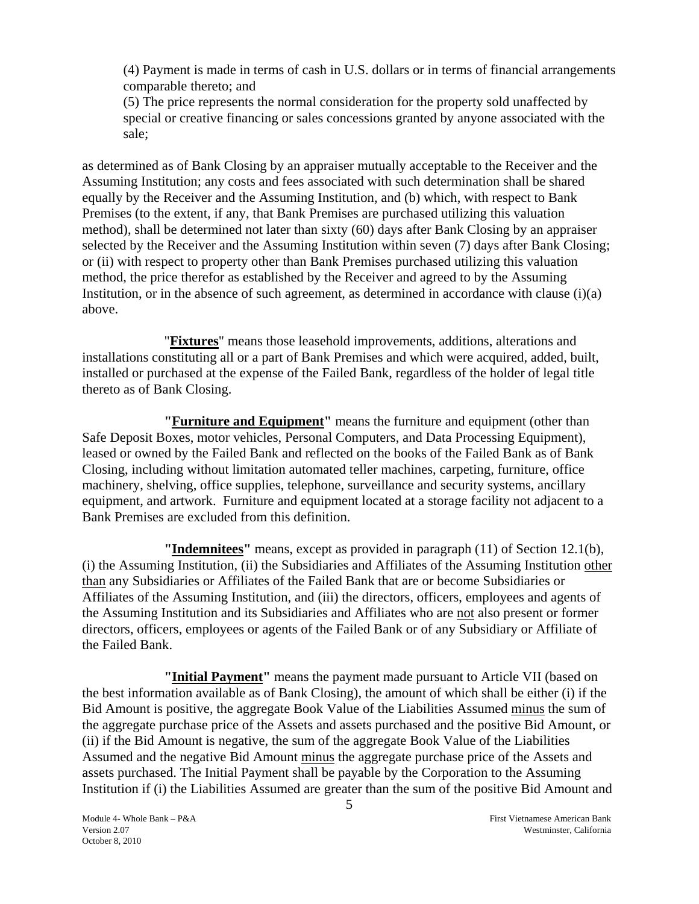(4) Payment is made in terms of cash in U.S. dollars or in terms of financial arrangements comparable thereto; and

(5) The price represents the normal consideration for the property sold unaffected by special or creative financing or sales concessions granted by anyone associated with the sale;

as determined as of Bank Closing by an appraiser mutually acceptable to the Receiver and the Assuming Institution; any costs and fees associated with such determination shall be shared equally by the Receiver and the Assuming Institution, and (b) which, with respect to Bank Premises (to the extent, if any, that Bank Premises are purchased utilizing this valuation method), shall be determined not later than sixty (60) days after Bank Closing by an appraiser selected by the Receiver and the Assuming Institution within seven (7) days after Bank Closing; or (ii) with respect to property other than Bank Premises purchased utilizing this valuation method, the price therefor as established by the Receiver and agreed to by the Assuming Institution, or in the absence of such agreement, as determined in accordance with clause (i)(a) above.

"**Fixtures**" means those leasehold improvements, additions, alterations and installations constituting all or a part of Bank Premises and which were acquired, added, built, installed or purchased at the expense of the Failed Bank, regardless of the holder of legal title thereto as of Bank Closing.

**"Furniture and Equipment"** means the furniture and equipment (other than Safe Deposit Boxes, motor vehicles, Personal Computers, and Data Processing Equipment), leased or owned by the Failed Bank and reflected on the books of the Failed Bank as of Bank Closing, including without limitation automated teller machines, carpeting, furniture, office machinery, shelving, office supplies, telephone, surveillance and security systems, ancillary equipment, and artwork. Furniture and equipment located at a storage facility not adjacent to a Bank Premises are excluded from this definition.

**"Indemnitees"** means, except as provided in paragraph (11) of Section 12.1(b), (i) the Assuming Institution, (ii) the Subsidiaries and Affiliates of the Assuming Institution other than any Subsidiaries or Affiliates of the Failed Bank that are or become Subsidiaries or Affiliates of the Assuming Institution, and (iii) the directors, officers, employees and agents of the Assuming Institution and its Subsidiaries and Affiliates who are not also present or former directors, officers, employees or agents of the Failed Bank or of any Subsidiary or Affiliate of the Failed Bank.

**"Initial Payment"** means the payment made pursuant to Article VII (based on the best information available as of Bank Closing), the amount of which shall be either (i) if the Bid Amount is positive, the aggregate Book Value of the Liabilities Assumed minus the sum of the aggregate purchase price of the Assets and assets purchased and the positive Bid Amount, or (ii) if the Bid Amount is negative, the sum of the aggregate Book Value of the Liabilities Assumed and the negative Bid Amount minus the aggregate purchase price of the Assets and assets purchased. The Initial Payment shall be payable by the Corporation to the Assuming Institution if (i) the Liabilities Assumed are greater than the sum of the positive Bid Amount and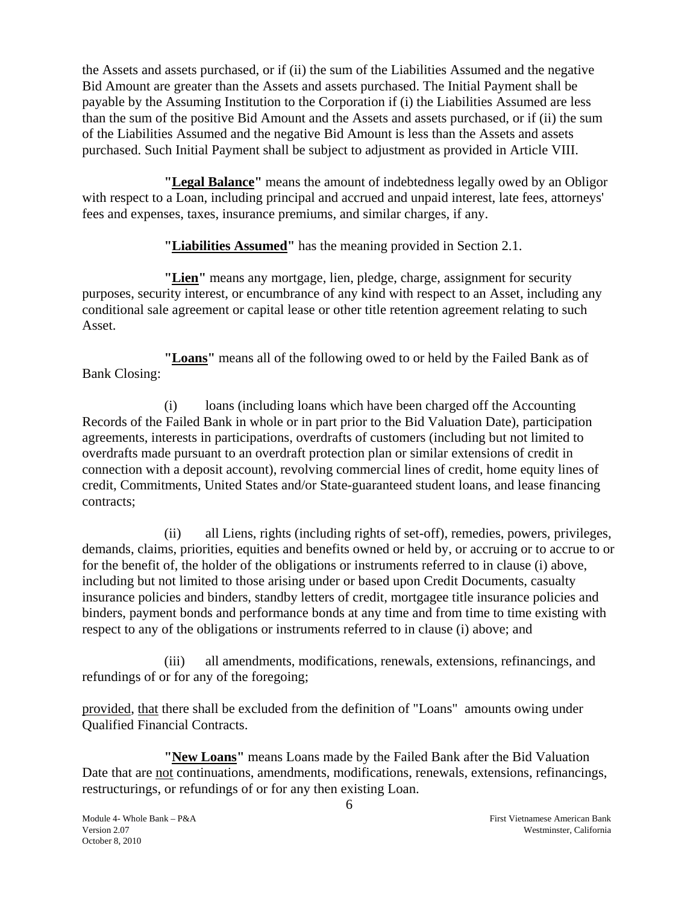the Assets and assets purchased, or if (ii) the sum of the Liabilities Assumed and the negative Bid Amount are greater than the Assets and assets purchased. The Initial Payment shall be payable by the Assuming Institution to the Corporation if (i) the Liabilities Assumed are less than the sum of the positive Bid Amount and the Assets and assets purchased, or if (ii) the sum of the Liabilities Assumed and the negative Bid Amount is less than the Assets and assets purchased. Such Initial Payment shall be subject to adjustment as provided in Article VIII.

**"Legal Balance"** means the amount of indebtedness legally owed by an Obligor with respect to a Loan, including principal and accrued and unpaid interest, late fees, attorneys' fees and expenses, taxes, insurance premiums, and similar charges, if any.

**"Liabilities Assumed"** has the meaning provided in Section 2.1.

**"Lien"** means any mortgage, lien, pledge, charge, assignment for security purposes, security interest, or encumbrance of any kind with respect to an Asset, including any conditional sale agreement or capital lease or other title retention agreement relating to such Asset.

**"Loans"** means all of the following owed to or held by the Failed Bank as of Bank Closing:

(i) loans (including loans which have been charged off the Accounting Records of the Failed Bank in whole or in part prior to the Bid Valuation Date), participation agreements, interests in participations, overdrafts of customers (including but not limited to overdrafts made pursuant to an overdraft protection plan or similar extensions of credit in connection with a deposit account), revolving commercial lines of credit, home equity lines of credit, Commitments, United States and/or State-guaranteed student loans, and lease financing contracts;

(ii) all Liens, rights (including rights of set-off), remedies, powers, privileges, demands, claims, priorities, equities and benefits owned or held by, or accruing or to accrue to or for the benefit of, the holder of the obligations or instruments referred to in clause (i) above, including but not limited to those arising under or based upon Credit Documents, casualty insurance policies and binders, standby letters of credit, mortgagee title insurance policies and binders, payment bonds and performance bonds at any time and from time to time existing with respect to any of the obligations or instruments referred to in clause (i) above; and

(iii) all amendments, modifications, renewals, extensions, refinancings, and refundings of or for any of the foregoing;

provided, that there shall be excluded from the definition of "Loans" amounts owing under Qualified Financial Contracts.

**"New Loans"** means Loans made by the Failed Bank after the Bid Valuation Date that are not continuations, amendments, modifications, renewals, extensions, refinancings, restructurings, or refundings of or for any then existing Loan.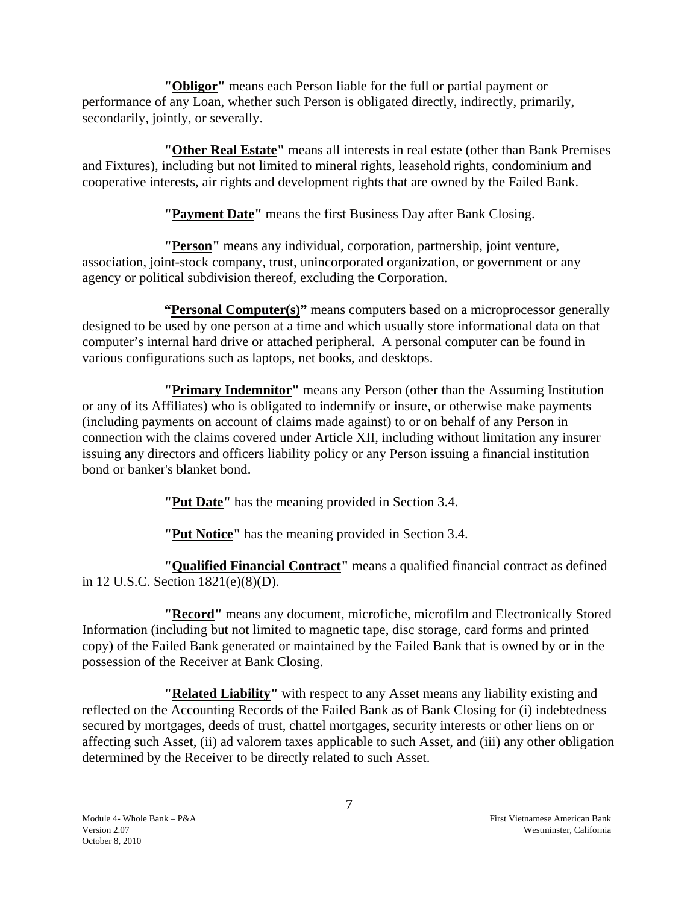**"Obligor"** means each Person liable for the full or partial payment or performance of any Loan, whether such Person is obligated directly, indirectly, primarily, secondarily, jointly, or severally.

**"Other Real Estate"** means all interests in real estate (other than Bank Premises and Fixtures), including but not limited to mineral rights, leasehold rights, condominium and cooperative interests, air rights and development rights that are owned by the Failed Bank.

**"Payment Date"** means the first Business Day after Bank Closing.

**"Person"** means any individual, corporation, partnership, joint venture, association, joint-stock company, trust, unincorporated organization, or government or any agency or political subdivision thereof, excluding the Corporation.

**"Personal Computer(s)"** means computers based on a microprocessor generally designed to be used by one person at a time and which usually store informational data on that computer's internal hard drive or attached peripheral. A personal computer can be found in various configurations such as laptops, net books, and desktops.

**"Primary Indemnitor"** means any Person (other than the Assuming Institution or any of its Affiliates) who is obligated to indemnify or insure, or otherwise make payments (including payments on account of claims made against) to or on behalf of any Person in connection with the claims covered under Article XII, including without limitation any insurer issuing any directors and officers liability policy or any Person issuing a financial institution bond or banker's blanket bond.

**"Put Date"** has the meaning provided in Section 3.4.

**"Put Notice"** has the meaning provided in Section 3.4.

**"Qualified Financial Contract"** means a qualified financial contract as defined in 12 U.S.C. Section 1821(e)(8)(D).

**"Record"** means any document, microfiche, microfilm and Electronically Stored Information (including but not limited to magnetic tape, disc storage, card forms and printed copy) of the Failed Bank generated or maintained by the Failed Bank that is owned by or in the possession of the Receiver at Bank Closing.

**"Related Liability"** with respect to any Asset means any liability existing and reflected on the Accounting Records of the Failed Bank as of Bank Closing for (i) indebtedness secured by mortgages, deeds of trust, chattel mortgages, security interests or other liens on or affecting such Asset, (ii) ad valorem taxes applicable to such Asset, and (iii) any other obligation determined by the Receiver to be directly related to such Asset.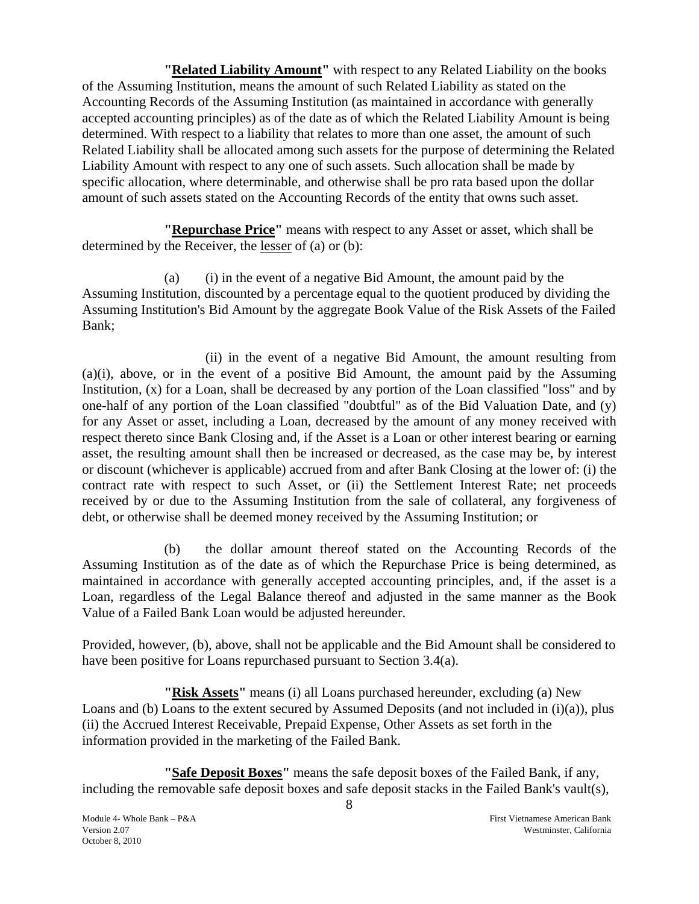**"Related Liability Amount"** with respect to any Related Liability on the books of the Assuming Institution, means the amount of such Related Liability as stated on the Accounting Records of the Assuming Institution (as maintained in accordance with generally accepted accounting principles) as of the date as of which the Related Liability Amount is being determined. With respect to a liability that relates to more than one asset, the amount of such Related Liability shall be allocated among such assets for the purpose of determining the Related Liability Amount with respect to any one of such assets. Such allocation shall be made by specific allocation, where determinable, and otherwise shall be pro rata based upon the dollar amount of such assets stated on the Accounting Records of the entity that owns such asset.

**"Repurchase Price"** means with respect to any Asset or asset, which shall be determined by the Receiver, the lesser of (a) or (b):

(a) (i) in the event of a negative Bid Amount, the amount paid by the Assuming Institution, discounted by a percentage equal to the quotient produced by dividing the Assuming Institution's Bid Amount by the aggregate Book Value of the Risk Assets of the Failed Bank;

(ii) in the event of a negative Bid Amount, the amount resulting from (a)(i), above, or in the event of a positive Bid Amount, the amount paid by the Assuming Institution, (x) for a Loan, shall be decreased by any portion of the Loan classified "loss" and by one-half of any portion of the Loan classified "doubtful" as of the Bid Valuation Date, and (y) for any Asset or asset, including a Loan, decreased by the amount of any money received with respect thereto since Bank Closing and, if the Asset is a Loan or other interest bearing or earning asset, the resulting amount shall then be increased or decreased, as the case may be, by interest or discount (whichever is applicable) accrued from and after Bank Closing at the lower of: (i) the contract rate with respect to such Asset, or (ii) the Settlement Interest Rate; net proceeds received by or due to the Assuming Institution from the sale of collateral, any forgiveness of debt, or otherwise shall be deemed money received by the Assuming Institution; or

(b) the dollar amount thereof stated on the Accounting Records of the Assuming Institution as of the date as of which the Repurchase Price is being determined, as maintained in accordance with generally accepted accounting principles, and, if the asset is a Loan, regardless of the Legal Balance thereof and adjusted in the same manner as the Book Value of a Failed Bank Loan would be adjusted hereunder.

Provided, however, (b), above, shall not be applicable and the Bid Amount shall be considered to have been positive for Loans repurchased pursuant to Section 3.4(a).

**"Risk Assets"** means (i) all Loans purchased hereunder, excluding (a) New Loans and (b) Loans to the extent secured by Assumed Deposits (and not included in (i)(a)), plus (ii) the Accrued Interest Receivable, Prepaid Expense, Other Assets as set forth in the information provided in the marketing of the Failed Bank.

**"Safe Deposit Boxes"** means the safe deposit boxes of the Failed Bank, if any, including the removable safe deposit boxes and safe deposit stacks in the Failed Bank's vault(s),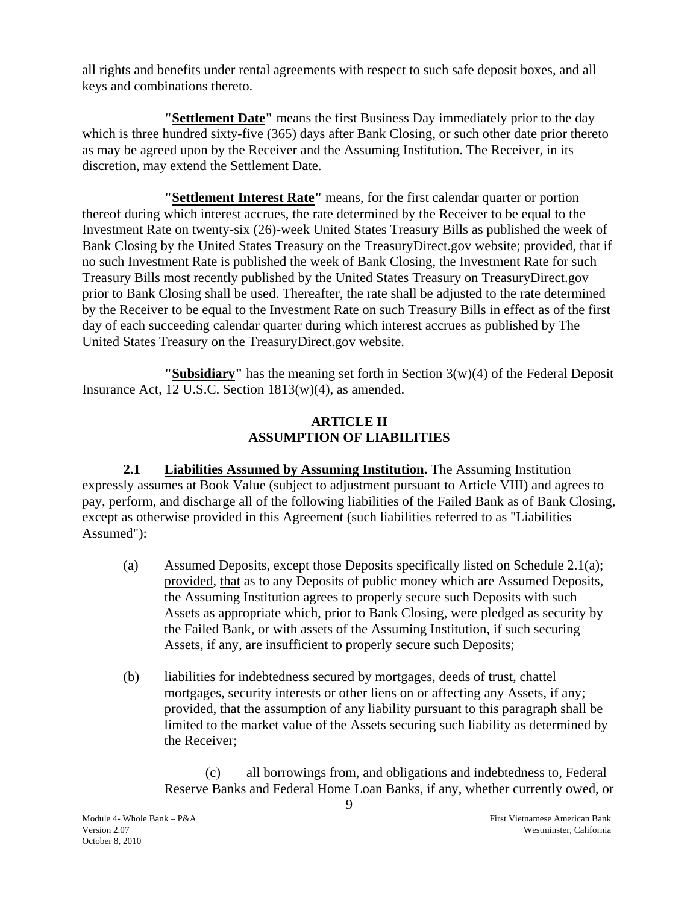all rights and benefits under rental agreements with respect to such safe deposit boxes, and all keys and combinations thereto.

**"Settlement Date"** means the first Business Day immediately prior to the day which is three hundred sixty-five (365) days after Bank Closing, or such other date prior thereto as may be agreed upon by the Receiver and the Assuming Institution. The Receiver, in its discretion, may extend the Settlement Date.

**"Settlement Interest Rate"** means, for the first calendar quarter or portion thereof during which interest accrues, the rate determined by the Receiver to be equal to the Investment Rate on twenty-six (26)-week United States Treasury Bills as published the week of Bank Closing by the United States Treasury on the TreasuryDirect.gov website; provided, that if no such Investment Rate is published the week of Bank Closing, the Investment Rate for such Treasury Bills most recently published by the United States Treasury on TreasuryDirect.gov prior to Bank Closing shall be used. Thereafter, the rate shall be adjusted to the rate determined by the Receiver to be equal to the Investment Rate on such Treasury Bills in effect as of the first day of each succeeding calendar quarter during which interest accrues as published by The United States Treasury on the TreasuryDirect.gov website.

**"Subsidiary"** has the meaning set forth in Section 3(w)(4) of the Federal Deposit Insurance Act, 12 U.S.C. Section 1813(w)(4), as amended.

#### **ARTICLE II ASSUMPTION OF LIABILITIES**

 **2.1 Liabilities Assumed by Assuming Institution.** The Assuming Institution expressly assumes at Book Value (subject to adjustment pursuant to Article VIII) and agrees to pay, perform, and discharge all of the following liabilities of the Failed Bank as of Bank Closing, except as otherwise provided in this Agreement (such liabilities referred to as "Liabilities Assumed"):

- (a) Assumed Deposits, except those Deposits specifically listed on Schedule 2.1(a); provided, that as to any Deposits of public money which are Assumed Deposits, the Assuming Institution agrees to properly secure such Deposits with such Assets as appropriate which, prior to Bank Closing, were pledged as security by the Failed Bank, or with assets of the Assuming Institution, if such securing Assets, if any, are insufficient to properly secure such Deposits;
- (b) liabilities for indebtedness secured by mortgages, deeds of trust, chattel mortgages, security interests or other liens on or affecting any Assets, if any; provided, that the assumption of any liability pursuant to this paragraph shall be limited to the market value of the Assets securing such liability as determined by the Receiver;

(c) all borrowings from, and obligations and indebtedness to, Federal Reserve Banks and Federal Home Loan Banks, if any, whether currently owed, or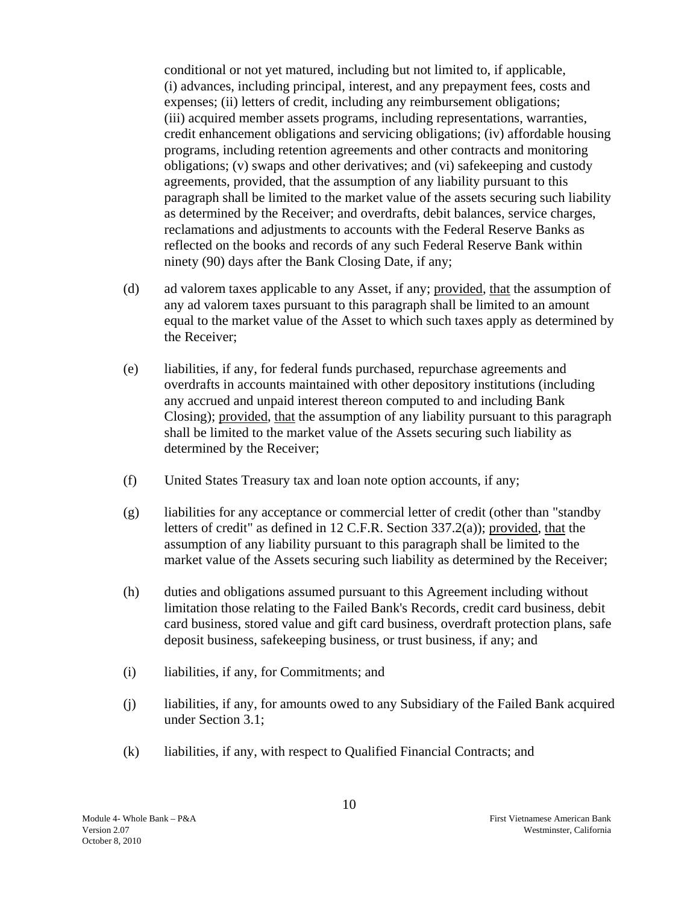conditional or not yet matured, including but not limited to, if applicable, (i) advances, including principal, interest, and any prepayment fees, costs and expenses; (ii) letters of credit, including any reimbursement obligations; (iii) acquired member assets programs, including representations, warranties, credit enhancement obligations and servicing obligations; (iv) affordable housing programs, including retention agreements and other contracts and monitoring obligations; (v) swaps and other derivatives; and (vi) safekeeping and custody agreements, provided, that the assumption of any liability pursuant to this paragraph shall be limited to the market value of the assets securing such liability as determined by the Receiver; and overdrafts, debit balances, service charges, reclamations and adjustments to accounts with the Federal Reserve Banks as reflected on the books and records of any such Federal Reserve Bank within ninety (90) days after the Bank Closing Date, if any;

- (d) ad valorem taxes applicable to any Asset, if any; provided, that the assumption of any ad valorem taxes pursuant to this paragraph shall be limited to an amount equal to the market value of the Asset to which such taxes apply as determined by the Receiver;
- (e) liabilities, if any, for federal funds purchased, repurchase agreements and overdrafts in accounts maintained with other depository institutions (including any accrued and unpaid interest thereon computed to and including Bank Closing); provided, that the assumption of any liability pursuant to this paragraph shall be limited to the market value of the Assets securing such liability as determined by the Receiver;
- (f) United States Treasury tax and loan note option accounts, if any;
- (g) liabilities for any acceptance or commercial letter of credit (other than "standby letters of credit" as defined in 12 C.F.R. Section 337.2(a)); provided, that the assumption of any liability pursuant to this paragraph shall be limited to the market value of the Assets securing such liability as determined by the Receiver;
- (h) duties and obligations assumed pursuant to this Agreement including without limitation those relating to the Failed Bank's Records, credit card business, debit card business, stored value and gift card business, overdraft protection plans, safe deposit business, safekeeping business, or trust business, if any; and
- (i) liabilities, if any, for Commitments; and
- (j) liabilities, if any, for amounts owed to any Subsidiary of the Failed Bank acquired under Section 3.1;
- (k) liabilities, if any, with respect to Qualified Financial Contracts; and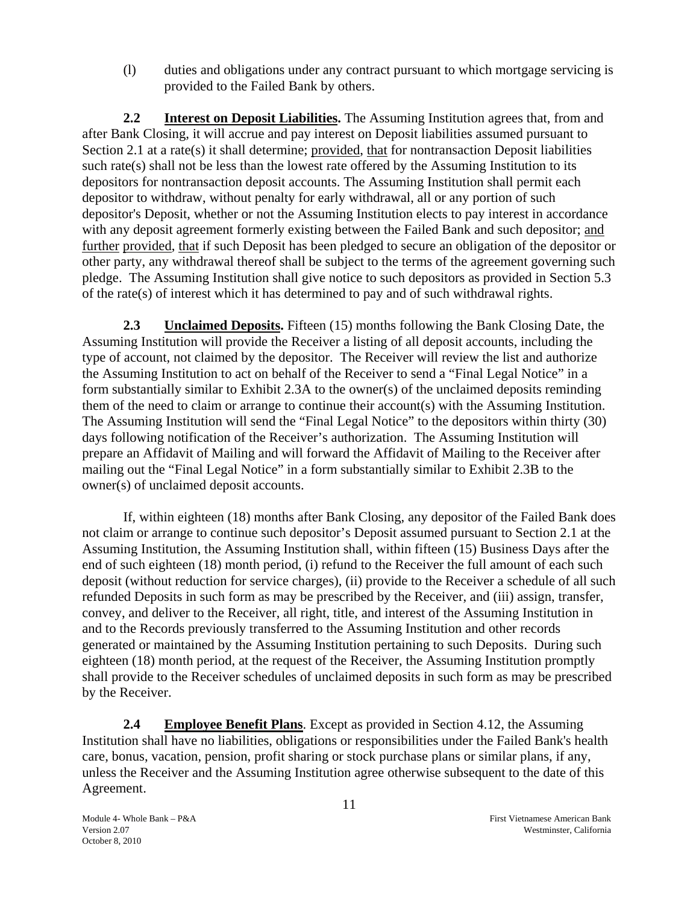(l) duties and obligations under any contract pursuant to which mortgage servicing is provided to the Failed Bank by others.

<span id="page-14-0"></span>**2.2** Interest on Deposit Liabilities. The Assuming Institution agrees that, from and after Bank Closing, it will accrue and pay interest on Deposit liabilities assumed pursuant to Section 2.1 at a rate(s) it shall determine; provided, that for nontransaction Deposit liabilities such rate(s) shall not be less than the lowest rate offered by the Assuming Institution to its depositors for nontransaction deposit accounts. The Assuming Institution shall permit each depositor to withdraw, without penalty for early withdrawal, all or any portion of such depositor's Deposit, whether or not the Assuming Institution elects to pay interest in accordance with any deposit agreement formerly existing between the Failed Bank and such depositor; and further provided, that if such Deposit has been pledged to secure an obligation of the depositor or other party, any withdrawal thereof shall be subject to the terms of the agreement governing such pledge. The Assuming Institution shall give notice to such depositors as provided in Section 5.3 of the rate(s) of interest which it has determined to pay and of such withdrawal rights.

**2.3 Unclaimed Deposits.** Fifteen (15) months following the Bank Closing Date, the Assuming Institution will provide the Receiver a listing of all deposit accounts, including the type of account, not claimed by the depositor. The Receiver will review the list and authorize the Assuming Institution to act on behalf of the Receiver to send a "Final Legal Notice" in a form substantially similar to Exhibit 2.3A to the owner(s) of the unclaimed deposits reminding them of the need to claim or arrange to continue their account(s) with the Assuming Institution. The Assuming Institution will send the "Final Legal Notice" to the depositors within thirty (30) days following notification of the Receiver's authorization. The Assuming Institution will prepare an Affidavit of Mailing and will forward the Affidavit of Mailing to the Receiver after mailing out the "Final Legal Notice" in a form substantially similar to Exhibit 2.3B to the owner(s) of unclaimed deposit accounts.

If, within eighteen (18) months after Bank Closing, any depositor of the Failed Bank does not claim or arrange to continue such depositor's Deposit assumed pursuant to Section 2.1 at the Assuming Institution, the Assuming Institution shall, within fifteen (15) Business Days after the end of such eighteen (18) month period, (i) refund to the Receiver the full amount of each such deposit (without reduction for service charges), (ii) provide to the Receiver a schedule of all such refunded Deposits in such form as may be prescribed by the Receiver, and (iii) assign, transfer, convey, and deliver to the Receiver, all right, title, and interest of the Assuming Institution in and to the Records previously transferred to the Assuming Institution and other records generated or maintained by the Assuming Institution pertaining to such Deposits. During such eighteen (18) month period, at the request of the Receiver, the Assuming Institution promptly shall provide to the Receiver schedules of unclaimed deposits in such form as may be prescribed by the Receiver.

**2.4 Employee Benefit Plans**. Except as provided in Section 4.12, the Assuming Institution shall have no liabilities, obligations or responsibilities under the Failed Bank's health care, bonus, vacation, pension, profit sharing or stock purchase plans or similar plans, if any, unless the Receiver and the Assuming Institution agree otherwise subsequent to the date of this Agreement.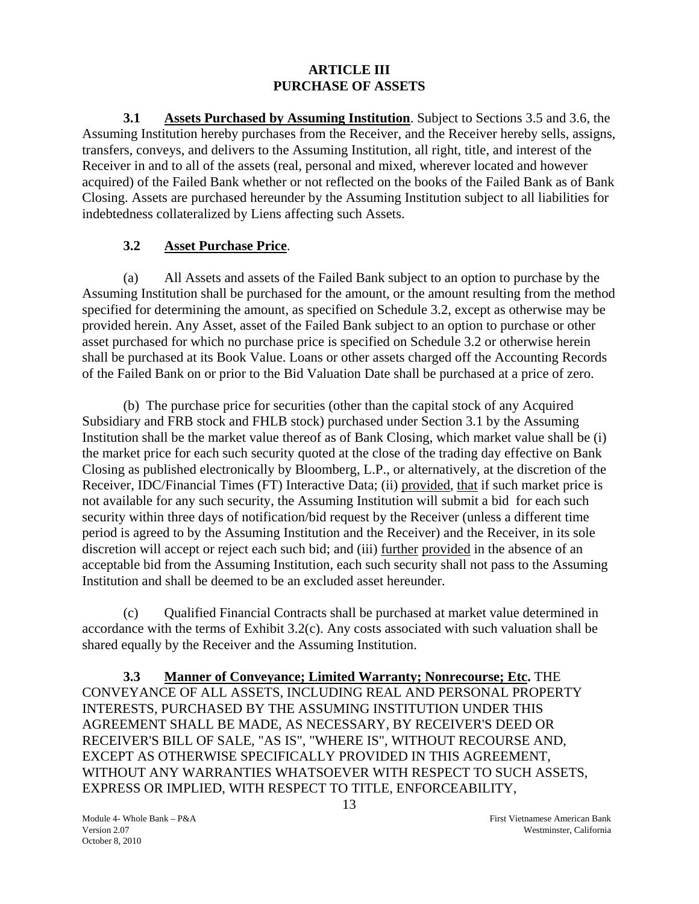#### **ARTICLE III PURCHASE OF ASSETS**

<span id="page-16-0"></span> **3.1 Assets Purchased by Assuming Institution**. Subject to Sections 3.5 and 3.6, the Assuming Institution hereby purchases from the Receiver, and the Receiver hereby sells, assigns, transfers, conveys, and delivers to the Assuming Institution, all right, title, and interest of the Receiver in and to all of the assets (real, personal and mixed, wherever located and however acquired) of the Failed Bank whether or not reflected on the books of the Failed Bank as of Bank Closing. Assets are purchased hereunder by the Assuming Institution subject to all liabilities for indebtedness collateralized by Liens affecting such Assets.

#### **3.2 Asset Purchase Price**.

(a) All Assets and assets of the Failed Bank subject to an option to purchase by the Assuming Institution shall be purchased for the amount, or the amount resulting from the method specified for determining the amount, as specified on Schedule 3.2, except as otherwise may be provided herein. Any Asset, asset of the Failed Bank subject to an option to purchase or other asset purchased for which no purchase price is specified on Schedule 3.2 or otherwise herein shall be purchased at its Book Value. Loans or other assets charged off the Accounting Records of the Failed Bank on or prior to the Bid Valuation Date shall be purchased at a price of zero.

(b) The purchase price for securities (other than the capital stock of any Acquired Subsidiary and FRB stock and FHLB stock) purchased under Section 3.1 by the Assuming Institution shall be the market value thereof as of Bank Closing, which market value shall be (i) the market price for each such security quoted at the close of the trading day effective on Bank Closing as published electronically by Bloomberg, L.P., or alternatively, at the discretion of the Receiver, IDC/Financial Times (FT) Interactive Data; (ii) provided, that if such market price is not available for any such security, the Assuming Institution will submit a bid for each such security within three days of notification/bid request by the Receiver (unless a different time period is agreed to by the Assuming Institution and the Receiver) and the Receiver, in its sole discretion will accept or reject each such bid; and (iii) further provided in the absence of an acceptable bid from the Assuming Institution, each such security shall not pass to the Assuming Institution and shall be deemed to be an excluded asset hereunder.

(c) Qualified Financial Contracts shall be purchased at market value determined in accordance with the terms of Exhibit 3.2(c). Any costs associated with such valuation shall be shared equally by the Receiver and the Assuming Institution.

**3.3 Manner of Conveyance; Limited Warranty; Nonrecourse; Etc.** THE CONVEYANCE OF ALL ASSETS, INCLUDING REAL AND PERSONAL PROPERTY INTERESTS, PURCHASED BY THE ASSUMING INSTITUTION UNDER THIS AGREEMENT SHALL BE MADE, AS NECESSARY, BY RECEIVER'S DEED OR RECEIVER'S BILL OF SALE, "AS IS", "WHERE IS", WITHOUT RECOURSE AND, EXCEPT AS OTHERWISE SPECIFICALLY PROVIDED IN THIS AGREEMENT, WITHOUT ANY WARRANTIES WHATSOEVER WITH RESPECT TO SUCH ASSETS, EXPRESS OR IMPLIED, WITH RESPECT TO TITLE, ENFORCEABILITY,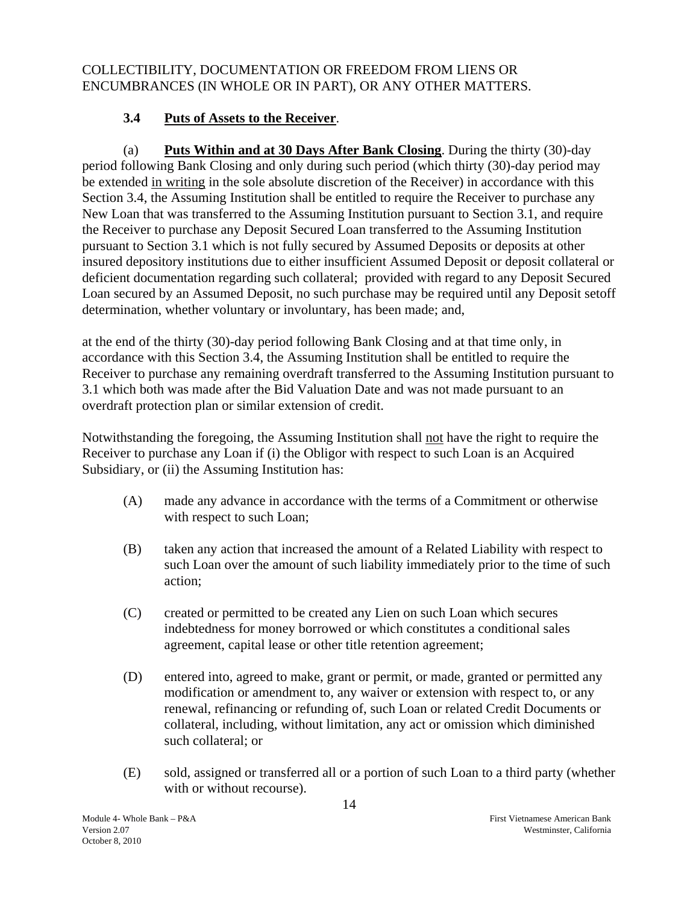## COLLECTIBILITY, DOCUMENTATION OR FREEDOM FROM LIENS OR ENCUMBRANCES (IN WHOLE OR IN PART), OR ANY OTHER MATTERS.

# **3.4 Puts of Assets to the Receiver**.

(a) **Puts Within and at 30 Days After Bank Closing**. During the thirty (30)-day period following Bank Closing and only during such period (which thirty (30)-day period may be extended in writing in the sole absolute discretion of the Receiver) in accordance with this Section 3.4, the Assuming Institution shall be entitled to require the Receiver to purchase any New Loan that was transferred to the Assuming Institution pursuant to Section 3.1, and require the Receiver to purchase any Deposit Secured Loan transferred to the Assuming Institution pursuant to Section 3.1 which is not fully secured by Assumed Deposits or deposits at other insured depository institutions due to either insufficient Assumed Deposit or deposit collateral or deficient documentation regarding such collateral; provided with regard to any Deposit Secured Loan secured by an Assumed Deposit, no such purchase may be required until any Deposit setoff determination, whether voluntary or involuntary, has been made; and,

at the end of the thirty (30)-day period following Bank Closing and at that time only, in accordance with this Section 3.4, the Assuming Institution shall be entitled to require the Receiver to purchase any remaining overdraft transferred to the Assuming Institution pursuant to 3.1 which both was made after the Bid Valuation Date and was not made pursuant to an overdraft protection plan or similar extension of credit.

Notwithstanding the foregoing, the Assuming Institution shall not have the right to require the Receiver to purchase any Loan if (i) the Obligor with respect to such Loan is an Acquired Subsidiary, or (ii) the Assuming Institution has:

- (A) made any advance in accordance with the terms of a Commitment or otherwise with respect to such Loan;
- (B) taken any action that increased the amount of a Related Liability with respect to such Loan over the amount of such liability immediately prior to the time of such action;
- (C) created or permitted to be created any Lien on such Loan which secures indebtedness for money borrowed or which constitutes a conditional sales agreement, capital lease or other title retention agreement;
- (D) entered into, agreed to make, grant or permit, or made, granted or permitted any modification or amendment to, any waiver or extension with respect to, or any renewal, refinancing or refunding of, such Loan or related Credit Documents or collateral, including, without limitation, any act or omission which diminished such collateral; or
- (E) sold, assigned or transferred all or a portion of such Loan to a third party (whether with or without recourse).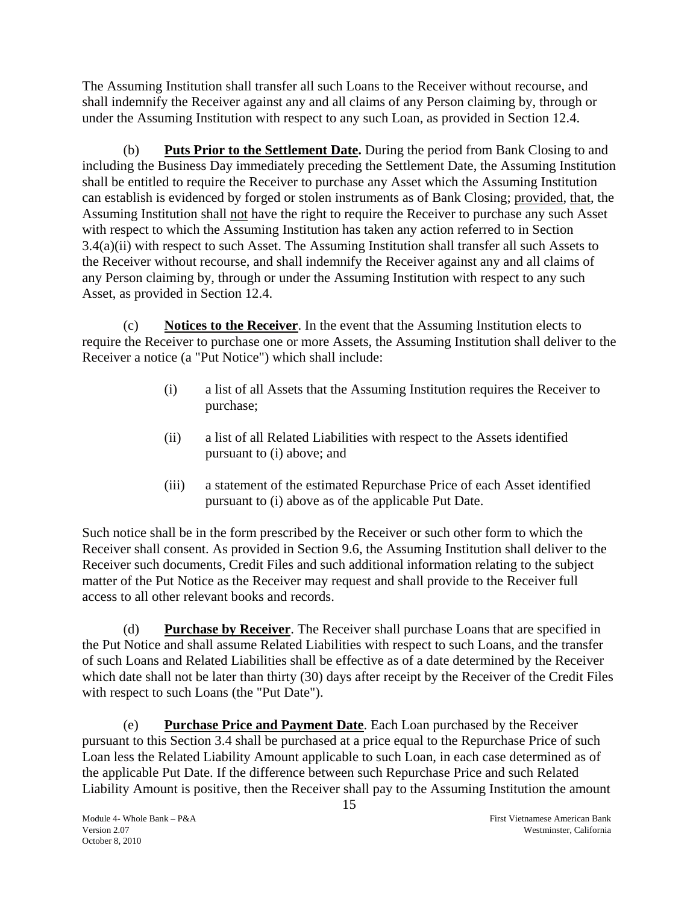The Assuming Institution shall transfer all such Loans to the Receiver without recourse, and shall indemnify the Receiver against any and all claims of any Person claiming by, through or under the Assuming Institution with respect to any such Loan, as provided in Section 12.4.

(b) **Puts Prior to the Settlement Date.** During the period from Bank Closing to and including the Business Day immediately preceding the Settlement Date, the Assuming Institution shall be entitled to require the Receiver to purchase any Asset which the Assuming Institution can establish is evidenced by forged or stolen instruments as of Bank Closing; provided, that, the Assuming Institution shall not have the right to require the Receiver to purchase any such Asset with respect to which the Assuming Institution has taken any action referred to in Section 3.4(a)(ii) with respect to such Asset. The Assuming Institution shall transfer all such Assets to the Receiver without recourse, and shall indemnify the Receiver against any and all claims of any Person claiming by, through or under the Assuming Institution with respect to any such Asset, as provided in Section 12.4.

(c) **Notices to the Receiver**. In the event that the Assuming Institution elects to require the Receiver to purchase one or more Assets, the Assuming Institution shall deliver to the Receiver a notice (a "Put Notice") which shall include:

- (i) a list of all Assets that the Assuming Institution requires the Receiver to purchase;
- (ii) a list of all Related Liabilities with respect to the Assets identified pursuant to (i) above; and
- (iii) a statement of the estimated Repurchase Price of each Asset identified pursuant to (i) above as of the applicable Put Date.

Such notice shall be in the form prescribed by the Receiver or such other form to which the Receiver shall consent. As provided in Section 9.6, the Assuming Institution shall deliver to the Receiver such documents, Credit Files and such additional information relating to the subject matter of the Put Notice as the Receiver may request and shall provide to the Receiver full access to all other relevant books and records.

(d) **Purchase by Receiver**. The Receiver shall purchase Loans that are specified in the Put Notice and shall assume Related Liabilities with respect to such Loans, and the transfer of such Loans and Related Liabilities shall be effective as of a date determined by the Receiver which date shall not be later than thirty (30) days after receipt by the Receiver of the Credit Files with respect to such Loans (the "Put Date").

(e) **Purchase Price and Payment Date**. Each Loan purchased by the Receiver pursuant to this Section 3.4 shall be purchased at a price equal to the Repurchase Price of such Loan less the Related Liability Amount applicable to such Loan, in each case determined as of the applicable Put Date. If the difference between such Repurchase Price and such Related Liability Amount is positive, then the Receiver shall pay to the Assuming Institution the amount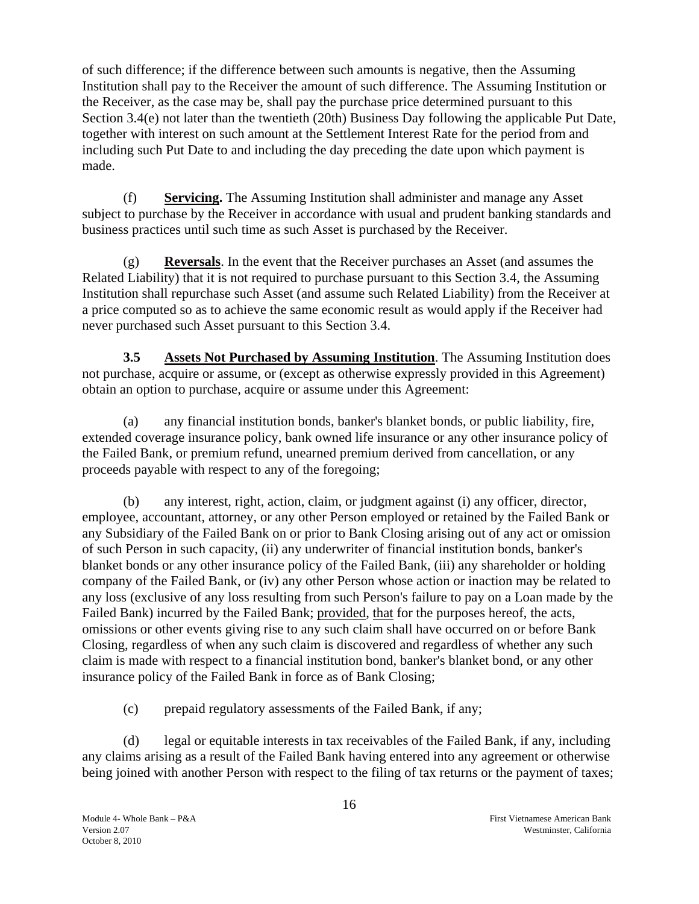<span id="page-19-0"></span>of such difference; if the difference between such amounts is negative, then the Assuming Institution shall pay to the Receiver the amount of such difference. The Assuming Institution or the Receiver, as the case may be, shall pay the purchase price determined pursuant to this Section 3.4(e) not later than the twentieth (20th) Business Day following the applicable Put Date, together with interest on such amount at the Settlement Interest Rate for the period from and including such Put Date to and including the day preceding the date upon which payment is made.

(f) **Servicing.** The Assuming Institution shall administer and manage any Asset subject to purchase by the Receiver in accordance with usual and prudent banking standards and business practices until such time as such Asset is purchased by the Receiver.

(g) **Reversals**. In the event that the Receiver purchases an Asset (and assumes the Related Liability) that it is not required to purchase pursuant to this Section 3.4, the Assuming Institution shall repurchase such Asset (and assume such Related Liability) from the Receiver at a price computed so as to achieve the same economic result as would apply if the Receiver had never purchased such Asset pursuant to this Section 3.4.

**3.5 Assets Not Purchased by Assuming Institution**. The Assuming Institution does not purchase, acquire or assume, or (except as otherwise expressly provided in this Agreement) obtain an option to purchase, acquire or assume under this Agreement:

(a) any financial institution bonds, banker's blanket bonds, or public liability, fire, extended coverage insurance policy, bank owned life insurance or any other insurance policy of the Failed Bank, or premium refund, unearned premium derived from cancellation, or any proceeds payable with respect to any of the foregoing;

(b) any interest, right, action, claim, or judgment against (i) any officer, director, employee, accountant, attorney, or any other Person employed or retained by the Failed Bank or any Subsidiary of the Failed Bank on or prior to Bank Closing arising out of any act or omission of such Person in such capacity, (ii) any underwriter of financial institution bonds, banker's blanket bonds or any other insurance policy of the Failed Bank, (iii) any shareholder or holding company of the Failed Bank, or (iv) any other Person whose action or inaction may be related to any loss (exclusive of any loss resulting from such Person's failure to pay on a Loan made by the Failed Bank) incurred by the Failed Bank; provided, that for the purposes hereof, the acts, omissions or other events giving rise to any such claim shall have occurred on or before Bank Closing, regardless of when any such claim is discovered and regardless of whether any such claim is made with respect to a financial institution bond, banker's blanket bond, or any other insurance policy of the Failed Bank in force as of Bank Closing;

(c) prepaid regulatory assessments of the Failed Bank, if any;

(d) legal or equitable interests in tax receivables of the Failed Bank, if any, including any claims arising as a result of the Failed Bank having entered into any agreement or otherwise being joined with another Person with respect to the filing of tax returns or the payment of taxes;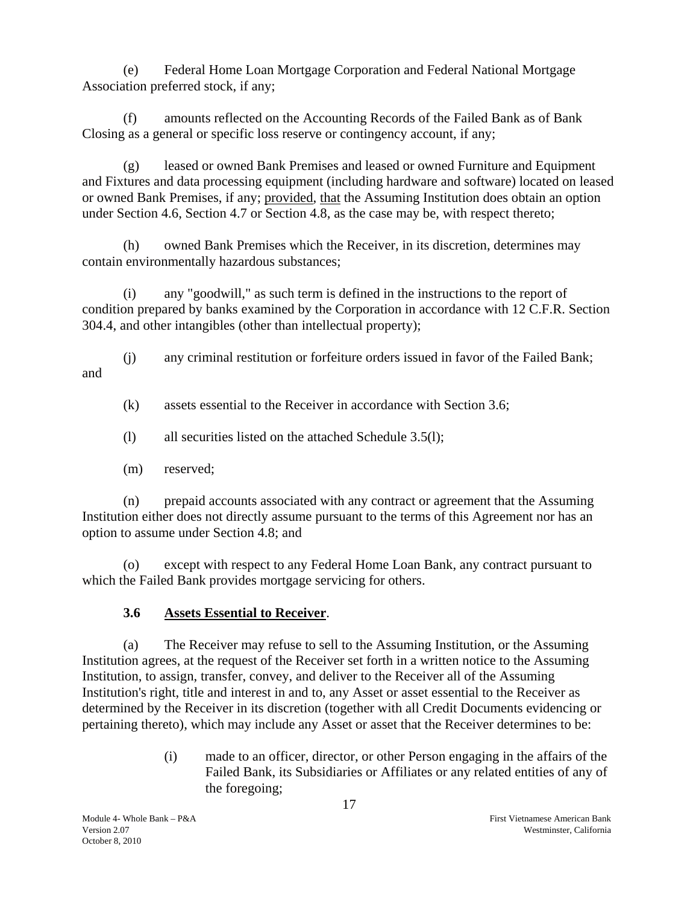(e) Federal Home Loan Mortgage Corporation and Federal National Mortgage Association preferred stock, if any;

(f) amounts reflected on the Accounting Records of the Failed Bank as of Bank Closing as a general or specific loss reserve or contingency account, if any;

(g) leased or owned Bank Premises and leased or owned Furniture and Equipment and Fixtures and data processing equipment (including hardware and software) located on leased or owned Bank Premises, if any; provided, that the Assuming Institution does obtain an option under Section 4.6, Section 4.7 or Section 4.8, as the case may be, with respect thereto;

(h) owned Bank Premises which the Receiver, in its discretion, determines may contain environmentally hazardous substances;

(i) any "goodwill," as such term is defined in the instructions to the report of condition prepared by banks examined by the Corporation in accordance with 12 C.F.R. Section 304.4, and other intangibles (other than intellectual property);

(j) any criminal restitution or forfeiture orders issued in favor of the Failed Bank; and

(k) assets essential to the Receiver in accordance with Section 3.6;

(l) all securities listed on the attached Schedule 3.5(l);

(m) reserved;

(n) prepaid accounts associated with any contract or agreement that the Assuming Institution either does not directly assume pursuant to the terms of this Agreement nor has an option to assume under Section 4.8; and

(o) except with respect to any Federal Home Loan Bank, any contract pursuant to which the Failed Bank provides mortgage servicing for others.

# **3.6 Assets Essential to Receiver**.

(a) The Receiver may refuse to sell to the Assuming Institution, or the Assuming Institution agrees, at the request of the Receiver set forth in a written notice to the Assuming Institution, to assign, transfer, convey, and deliver to the Receiver all of the Assuming Institution's right, title and interest in and to, any Asset or asset essential to the Receiver as determined by the Receiver in its discretion (together with all Credit Documents evidencing or pertaining thereto), which may include any Asset or asset that the Receiver determines to be:

> (i) made to an officer, director, or other Person engaging in the affairs of the Failed Bank, its Subsidiaries or Affiliates or any related entities of any of the foregoing;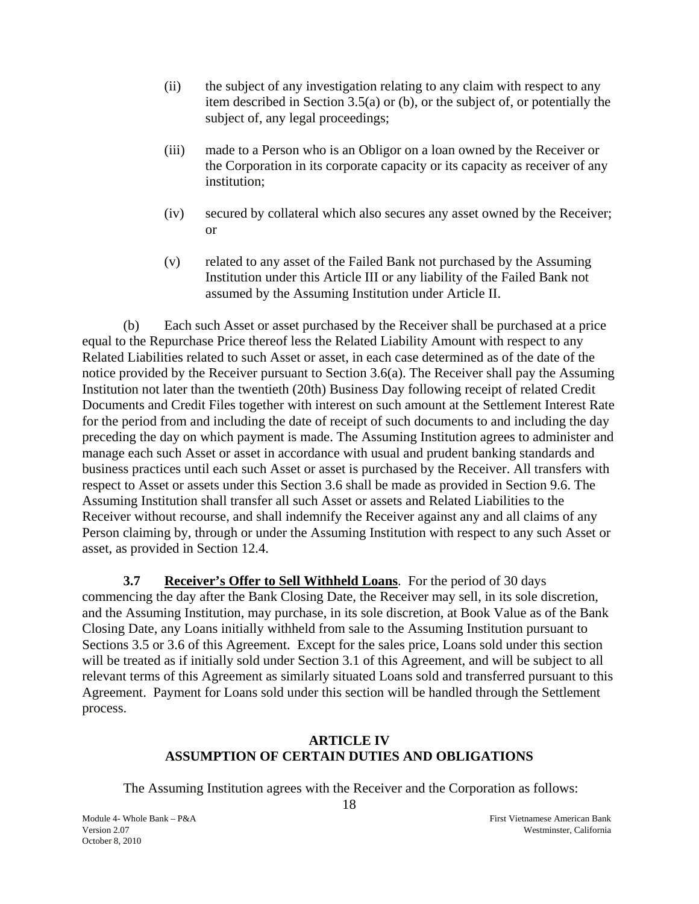- (ii) the subject of any investigation relating to any claim with respect to any item described in Section 3.5(a) or (b), or the subject of, or potentially the subject of, any legal proceedings;
- (iii) made to a Person who is an Obligor on a loan owned by the Receiver or the Corporation in its corporate capacity or its capacity as receiver of any institution;
- (iv) secured by collateral which also secures any asset owned by the Receiver; or
- (v) related to any asset of the Failed Bank not purchased by the Assuming Institution under this Article III or any liability of the Failed Bank not assumed by the Assuming Institution under Article II.

(b) Each such Asset or asset purchased by the Receiver shall be purchased at a price equal to the Repurchase Price thereof less the Related Liability Amount with respect to any Related Liabilities related to such Asset or asset, in each case determined as of the date of the notice provided by the Receiver pursuant to Section 3.6(a). The Receiver shall pay the Assuming Institution not later than the twentieth (20th) Business Day following receipt of related Credit Documents and Credit Files together with interest on such amount at the Settlement Interest Rate for the period from and including the date of receipt of such documents to and including the day preceding the day on which payment is made. The Assuming Institution agrees to administer and manage each such Asset or asset in accordance with usual and prudent banking standards and business practices until each such Asset or asset is purchased by the Receiver. All transfers with respect to Asset or assets under this Section 3.6 shall be made as provided in Section 9.6. The Assuming Institution shall transfer all such Asset or assets and Related Liabilities to the Receiver without recourse, and shall indemnify the Receiver against any and all claims of any Person claiming by, through or under the Assuming Institution with respect to any such Asset or asset, as provided in Section 12.4.

**3.7 Receiver's Offer to Sell Withheld Loans**. For the period of 30 days commencing the day after the Bank Closing Date, the Receiver may sell, in its sole discretion, and the Assuming Institution, may purchase, in its sole discretion, at Book Value as of the Bank Closing Date, any Loans initially withheld from sale to the Assuming Institution pursuant to Sections 3.5 or 3.6 of this Agreement. Except for the sales price, Loans sold under this section will be treated as if initially sold under Section 3.1 of this Agreement, and will be subject to all relevant terms of this Agreement as similarly situated Loans sold and transferred pursuant to this Agreement. Payment for Loans sold under this section will be handled through the Settlement process.

## **ARTICLE IV ASSUMPTION OF CERTAIN DUTIES AND OBLIGATIONS**

The Assuming Institution agrees with the Receiver and the Corporation as follows:

October 8, 2010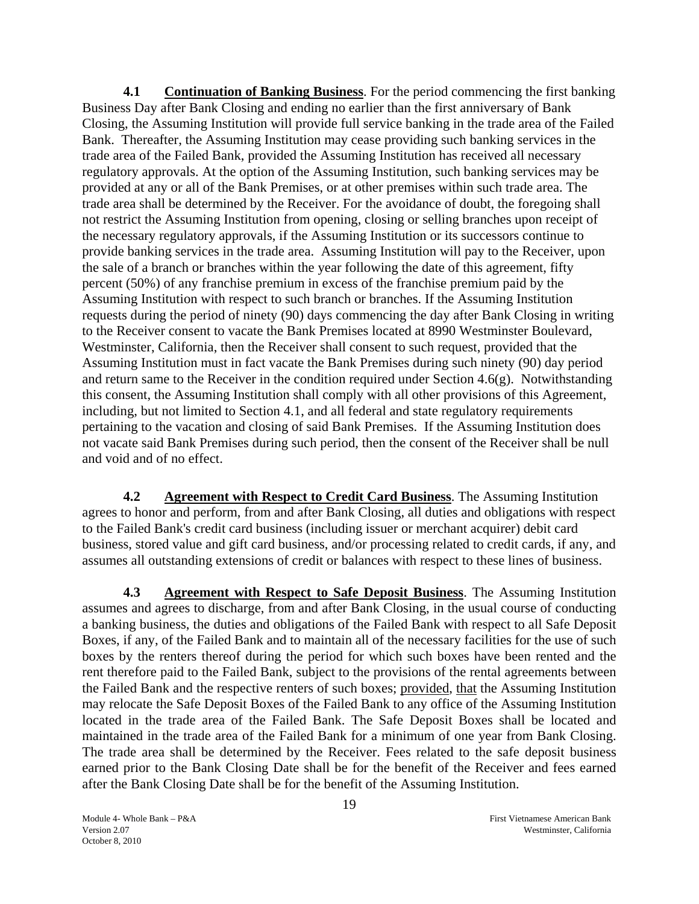<span id="page-22-0"></span>**4.1 Continuation of Banking Business**. For the period commencing the first banking Business Day after Bank Closing and ending no earlier than the first anniversary of Bank Closing, the Assuming Institution will provide full service banking in the trade area of the Failed Bank. Thereafter, the Assuming Institution may cease providing such banking services in the trade area of the Failed Bank, provided the Assuming Institution has received all necessary regulatory approvals. At the option of the Assuming Institution, such banking services may be provided at any or all of the Bank Premises, or at other premises within such trade area. The trade area shall be determined by the Receiver. For the avoidance of doubt, the foregoing shall not restrict the Assuming Institution from opening, closing or selling branches upon receipt of the necessary regulatory approvals, if the Assuming Institution or its successors continue to provide banking services in the trade area. Assuming Institution will pay to the Receiver, upon the sale of a branch or branches within the year following the date of this agreement, fifty percent (50%) of any franchise premium in excess of the franchise premium paid by the Assuming Institution with respect to such branch or branches. If the Assuming Institution requests during the period of ninety (90) days commencing the day after Bank Closing in writing to the Receiver consent to vacate the Bank Premises located at 8990 Westminster Boulevard, Westminster, California, then the Receiver shall consent to such request, provided that the Assuming Institution must in fact vacate the Bank Premises during such ninety (90) day period and return same to the Receiver in the condition required under Section 4.6(g). Notwithstanding this consent, the Assuming Institution shall comply with all other provisions of this Agreement, including, but not limited to Section 4.1, and all federal and state regulatory requirements pertaining to the vacation and closing of said Bank Premises. If the Assuming Institution does not vacate said Bank Premises during such period, then the consent of the Receiver shall be null and void and of no effect.

**4.2 Agreement with Respect to Credit Card Business**. The Assuming Institution agrees to honor and perform, from and after Bank Closing, all duties and obligations with respect to the Failed Bank's credit card business (including issuer or merchant acquirer) debit card business, stored value and gift card business, and/or processing related to credit cards, if any, and assumes all outstanding extensions of credit or balances with respect to these lines of business.

**4.3 Agreement with Respect to Safe Deposit Business**. The Assuming Institution assumes and agrees to discharge, from and after Bank Closing, in the usual course of conducting a banking business, the duties and obligations of the Failed Bank with respect to all Safe Deposit Boxes, if any, of the Failed Bank and to maintain all of the necessary facilities for the use of such boxes by the renters thereof during the period for which such boxes have been rented and the rent therefore paid to the Failed Bank, subject to the provisions of the rental agreements between the Failed Bank and the respective renters of such boxes; provided, that the Assuming Institution may relocate the Safe Deposit Boxes of the Failed Bank to any office of the Assuming Institution located in the trade area of the Failed Bank. The Safe Deposit Boxes shall be located and maintained in the trade area of the Failed Bank for a minimum of one year from Bank Closing. The trade area shall be determined by the Receiver. Fees related to the safe deposit business earned prior to the Bank Closing Date shall be for the benefit of the Receiver and fees earned after the Bank Closing Date shall be for the benefit of the Assuming Institution.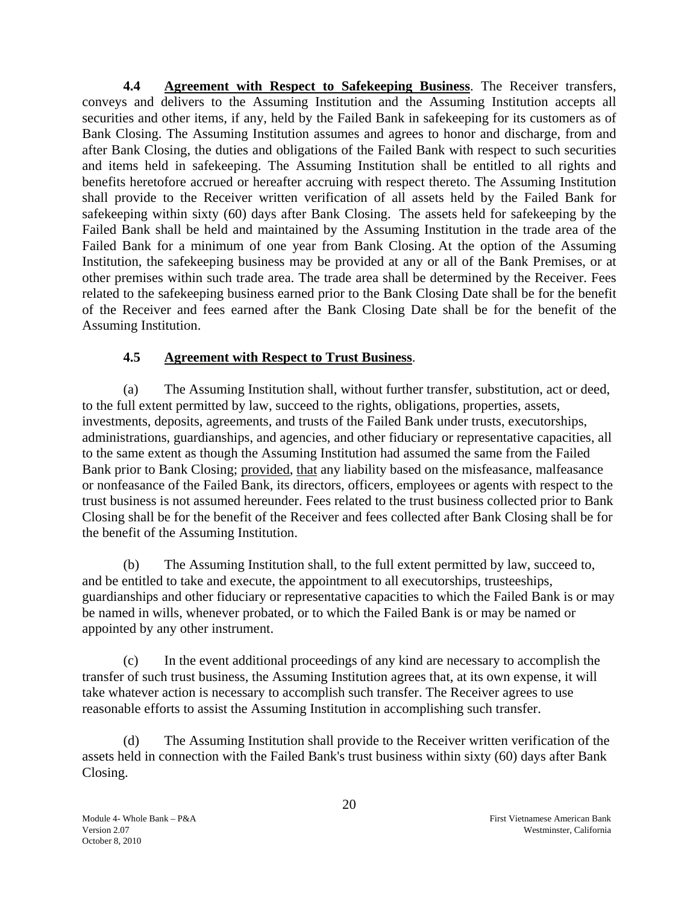<span id="page-23-0"></span> **4.4 Agreement with Respect to Safekeeping Business**. The Receiver transfers, conveys and delivers to the Assuming Institution and the Assuming Institution accepts all securities and other items, if any, held by the Failed Bank in safekeeping for its customers as of Bank Closing. The Assuming Institution assumes and agrees to honor and discharge, from and after Bank Closing, the duties and obligations of the Failed Bank with respect to such securities and items held in safekeeping. The Assuming Institution shall be entitled to all rights and benefits heretofore accrued or hereafter accruing with respect thereto. The Assuming Institution shall provide to the Receiver written verification of all assets held by the Failed Bank for safekeeping within sixty (60) days after Bank Closing. The assets held for safekeeping by the Failed Bank shall be held and maintained by the Assuming Institution in the trade area of the Failed Bank for a minimum of one year from Bank Closing. At the option of the Assuming Institution, the safekeeping business may be provided at any or all of the Bank Premises, or at other premises within such trade area. The trade area shall be determined by the Receiver. Fees related to the safekeeping business earned prior to the Bank Closing Date shall be for the benefit of the Receiver and fees earned after the Bank Closing Date shall be for the benefit of the Assuming Institution.

## **4.5 Agreement with Respect to Trust Business**.

(a) The Assuming Institution shall, without further transfer, substitution, act or deed, to the full extent permitted by law, succeed to the rights, obligations, properties, assets, investments, deposits, agreements, and trusts of the Failed Bank under trusts, executorships, administrations, guardianships, and agencies, and other fiduciary or representative capacities, all to the same extent as though the Assuming Institution had assumed the same from the Failed Bank prior to Bank Closing; provided, that any liability based on the misfeasance, malfeasance or nonfeasance of the Failed Bank, its directors, officers, employees or agents with respect to the trust business is not assumed hereunder. Fees related to the trust business collected prior to Bank Closing shall be for the benefit of the Receiver and fees collected after Bank Closing shall be for the benefit of the Assuming Institution.

(b) The Assuming Institution shall, to the full extent permitted by law, succeed to, and be entitled to take and execute, the appointment to all executorships, trusteeships, guardianships and other fiduciary or representative capacities to which the Failed Bank is or may be named in wills, whenever probated, or to which the Failed Bank is or may be named or appointed by any other instrument.

(c) In the event additional proceedings of any kind are necessary to accomplish the transfer of such trust business, the Assuming Institution agrees that, at its own expense, it will take whatever action is necessary to accomplish such transfer. The Receiver agrees to use reasonable efforts to assist the Assuming Institution in accomplishing such transfer.

(d) The Assuming Institution shall provide to the Receiver written verification of the assets held in connection with the Failed Bank's trust business within sixty (60) days after Bank Closing.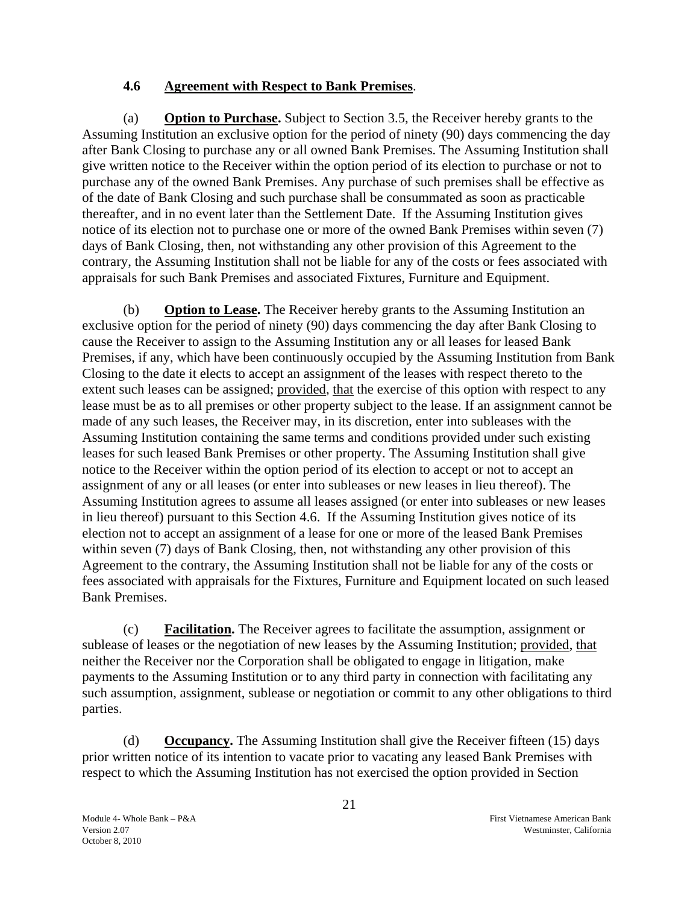#### **4.6 Agreement with Respect to Bank Premises**.

<span id="page-24-0"></span>(a) **Option to Purchase.** Subject to Section 3.5, the Receiver hereby grants to the Assuming Institution an exclusive option for the period of ninety (90) days commencing the day after Bank Closing to purchase any or all owned Bank Premises. The Assuming Institution shall give written notice to the Receiver within the option period of its election to purchase or not to purchase any of the owned Bank Premises. Any purchase of such premises shall be effective as of the date of Bank Closing and such purchase shall be consummated as soon as practicable thereafter, and in no event later than the Settlement Date. If the Assuming Institution gives notice of its election not to purchase one or more of the owned Bank Premises within seven (7) days of Bank Closing, then, not withstanding any other provision of this Agreement to the contrary, the Assuming Institution shall not be liable for any of the costs or fees associated with appraisals for such Bank Premises and associated Fixtures, Furniture and Equipment.

(b) **Option to Lease.** The Receiver hereby grants to the Assuming Institution an exclusive option for the period of ninety (90) days commencing the day after Bank Closing to cause the Receiver to assign to the Assuming Institution any or all leases for leased Bank Premises, if any, which have been continuously occupied by the Assuming Institution from Bank Closing to the date it elects to accept an assignment of the leases with respect thereto to the extent such leases can be assigned; provided, that the exercise of this option with respect to any lease must be as to all premises or other property subject to the lease. If an assignment cannot be made of any such leases, the Receiver may, in its discretion, enter into subleases with the Assuming Institution containing the same terms and conditions provided under such existing leases for such leased Bank Premises or other property. The Assuming Institution shall give notice to the Receiver within the option period of its election to accept or not to accept an assignment of any or all leases (or enter into subleases or new leases in lieu thereof). The Assuming Institution agrees to assume all leases assigned (or enter into subleases or new leases in lieu thereof) pursuant to this Section 4.6. If the Assuming Institution gives notice of its election not to accept an assignment of a lease for one or more of the leased Bank Premises within seven (7) days of Bank Closing, then, not withstanding any other provision of this Agreement to the contrary, the Assuming Institution shall not be liable for any of the costs or fees associated with appraisals for the Fixtures, Furniture and Equipment located on such leased Bank Premises.

(c) **Facilitation.** The Receiver agrees to facilitate the assumption, assignment or sublease of leases or the negotiation of new leases by the Assuming Institution; provided, that neither the Receiver nor the Corporation shall be obligated to engage in litigation, make payments to the Assuming Institution or to any third party in connection with facilitating any such assumption, assignment, sublease or negotiation or commit to any other obligations to third parties.

(d) **Occupancy.** The Assuming Institution shall give the Receiver fifteen (15) days prior written notice of its intention to vacate prior to vacating any leased Bank Premises with respect to which the Assuming Institution has not exercised the option provided in Section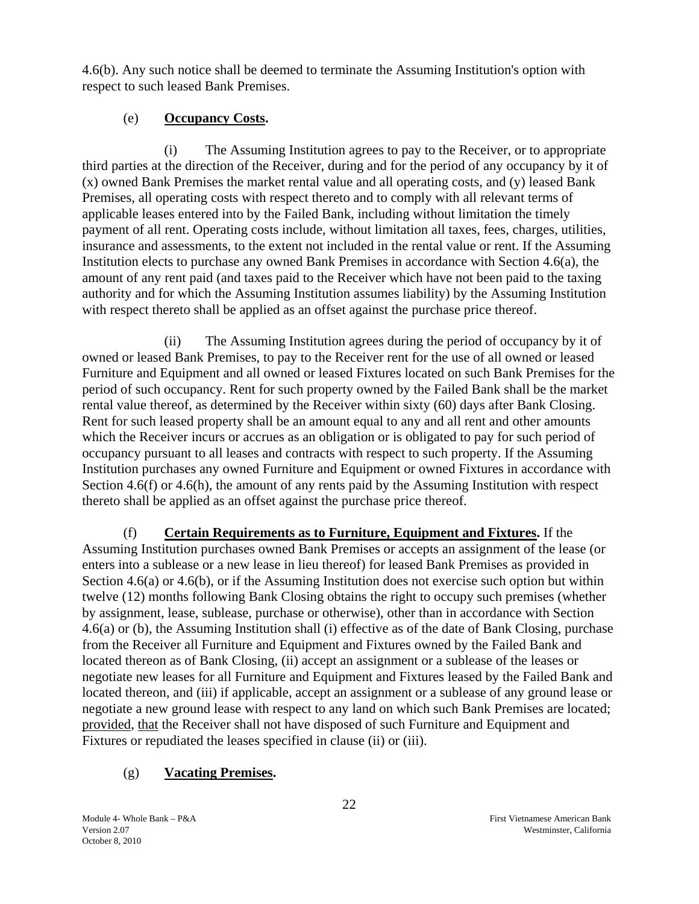4.6(b). Any such notice shall be deemed to terminate the Assuming Institution's option with respect to such leased Bank Premises.

## (e) **Occupancy Costs.**

(i) The Assuming Institution agrees to pay to the Receiver, or to appropriate third parties at the direction of the Receiver, during and for the period of any occupancy by it of (x) owned Bank Premises the market rental value and all operating costs, and (y) leased Bank Premises, all operating costs with respect thereto and to comply with all relevant terms of applicable leases entered into by the Failed Bank, including without limitation the timely payment of all rent. Operating costs include, without limitation all taxes, fees, charges, utilities, insurance and assessments, to the extent not included in the rental value or rent. If the Assuming Institution elects to purchase any owned Bank Premises in accordance with Section 4.6(a), the amount of any rent paid (and taxes paid to the Receiver which have not been paid to the taxing authority and for which the Assuming Institution assumes liability) by the Assuming Institution with respect thereto shall be applied as an offset against the purchase price thereof.

(ii) The Assuming Institution agrees during the period of occupancy by it of owned or leased Bank Premises, to pay to the Receiver rent for the use of all owned or leased Furniture and Equipment and all owned or leased Fixtures located on such Bank Premises for the period of such occupancy. Rent for such property owned by the Failed Bank shall be the market rental value thereof, as determined by the Receiver within sixty (60) days after Bank Closing. Rent for such leased property shall be an amount equal to any and all rent and other amounts which the Receiver incurs or accrues as an obligation or is obligated to pay for such period of occupancy pursuant to all leases and contracts with respect to such property. If the Assuming Institution purchases any owned Furniture and Equipment or owned Fixtures in accordance with Section 4.6(f) or 4.6(h), the amount of any rents paid by the Assuming Institution with respect thereto shall be applied as an offset against the purchase price thereof.

(f) **Certain Requirements as to Furniture, Equipment and Fixtures.** If the Assuming Institution purchases owned Bank Premises or accepts an assignment of the lease (or enters into a sublease or a new lease in lieu thereof) for leased Bank Premises as provided in Section 4.6(a) or 4.6(b), or if the Assuming Institution does not exercise such option but within twelve (12) months following Bank Closing obtains the right to occupy such premises (whether by assignment, lease, sublease, purchase or otherwise), other than in accordance with Section 4.6(a) or (b), the Assuming Institution shall (i) effective as of the date of Bank Closing, purchase from the Receiver all Furniture and Equipment and Fixtures owned by the Failed Bank and located thereon as of Bank Closing, (ii) accept an assignment or a sublease of the leases or negotiate new leases for all Furniture and Equipment and Fixtures leased by the Failed Bank and located thereon, and (iii) if applicable, accept an assignment or a sublease of any ground lease or negotiate a new ground lease with respect to any land on which such Bank Premises are located; provided, that the Receiver shall not have disposed of such Furniture and Equipment and Fixtures or repudiated the leases specified in clause (ii) or (iii).

22

# (g) **Vacating Premises.**

October 8, 2010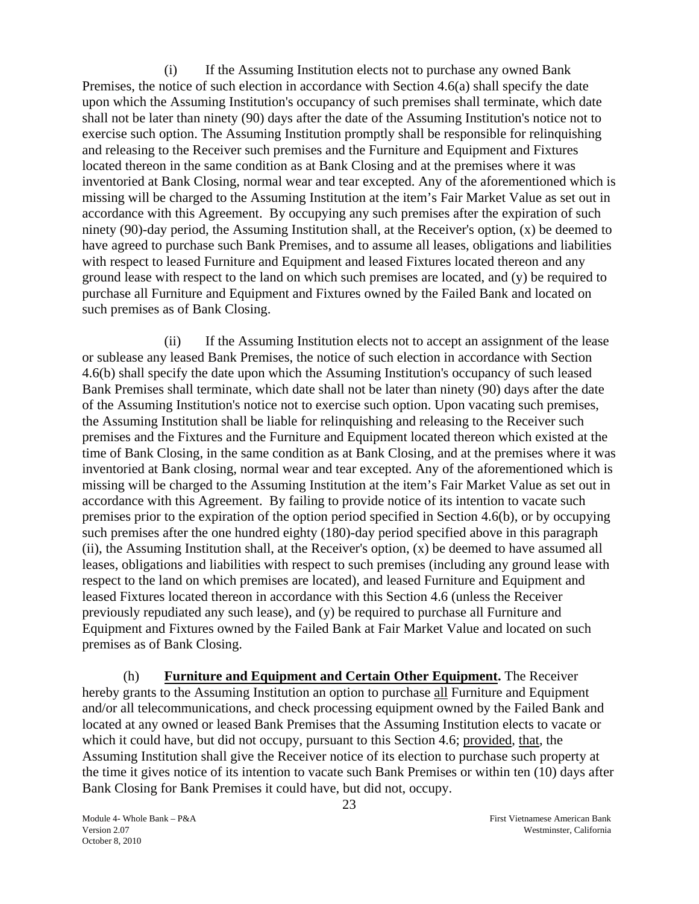(i) If the Assuming Institution elects not to purchase any owned Bank Premises, the notice of such election in accordance with Section 4.6(a) shall specify the date upon which the Assuming Institution's occupancy of such premises shall terminate, which date shall not be later than ninety (90) days after the date of the Assuming Institution's notice not to exercise such option. The Assuming Institution promptly shall be responsible for relinquishing and releasing to the Receiver such premises and the Furniture and Equipment and Fixtures located thereon in the same condition as at Bank Closing and at the premises where it was inventoried at Bank Closing, normal wear and tear excepted. Any of the aforementioned which is missing will be charged to the Assuming Institution at the item's Fair Market Value as set out in accordance with this Agreement. By occupying any such premises after the expiration of such ninety (90)-day period, the Assuming Institution shall, at the Receiver's option, (x) be deemed to have agreed to purchase such Bank Premises, and to assume all leases, obligations and liabilities with respect to leased Furniture and Equipment and leased Fixtures located thereon and any ground lease with respect to the land on which such premises are located, and (y) be required to purchase all Furniture and Equipment and Fixtures owned by the Failed Bank and located on such premises as of Bank Closing.

(ii) If the Assuming Institution elects not to accept an assignment of the lease or sublease any leased Bank Premises, the notice of such election in accordance with Section 4.6(b) shall specify the date upon which the Assuming Institution's occupancy of such leased Bank Premises shall terminate, which date shall not be later than ninety (90) days after the date of the Assuming Institution's notice not to exercise such option. Upon vacating such premises, the Assuming Institution shall be liable for relinquishing and releasing to the Receiver such premises and the Fixtures and the Furniture and Equipment located thereon which existed at the time of Bank Closing, in the same condition as at Bank Closing, and at the premises where it was inventoried at Bank closing, normal wear and tear excepted. Any of the aforementioned which is missing will be charged to the Assuming Institution at the item's Fair Market Value as set out in accordance with this Agreement. By failing to provide notice of its intention to vacate such premises prior to the expiration of the option period specified in Section 4.6(b), or by occupying such premises after the one hundred eighty (180)-day period specified above in this paragraph (ii), the Assuming Institution shall, at the Receiver's option, (x) be deemed to have assumed all leases, obligations and liabilities with respect to such premises (including any ground lease with respect to the land on which premises are located), and leased Furniture and Equipment and leased Fixtures located thereon in accordance with this Section 4.6 (unless the Receiver previously repudiated any such lease), and (y) be required to purchase all Furniture and Equipment and Fixtures owned by the Failed Bank at Fair Market Value and located on such premises as of Bank Closing.

(h) **Furniture and Equipment and Certain Other Equipment.** The Receiver hereby grants to the Assuming Institution an option to purchase all Furniture and Equipment and/or all telecommunications, and check processing equipment owned by the Failed Bank and located at any owned or leased Bank Premises that the Assuming Institution elects to vacate or which it could have, but did not occupy, pursuant to this Section 4.6; provided, that, the Assuming Institution shall give the Receiver notice of its election to purchase such property at the time it gives notice of its intention to vacate such Bank Premises or within ten (10) days after Bank Closing for Bank Premises it could have, but did not, occupy.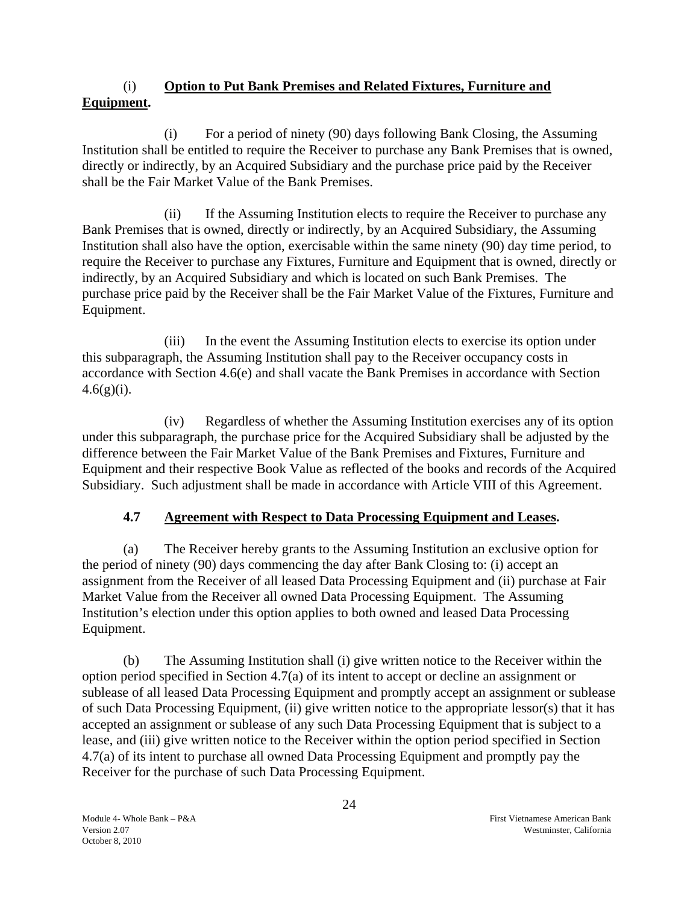## <span id="page-27-0"></span> (i) **Option to Put Bank Premises and Related Fixtures, Furniture and Equipment.**

(i) For a period of ninety (90) days following Bank Closing, the Assuming Institution shall be entitled to require the Receiver to purchase any Bank Premises that is owned, directly or indirectly, by an Acquired Subsidiary and the purchase price paid by the Receiver shall be the Fair Market Value of the Bank Premises.

(ii) If the Assuming Institution elects to require the Receiver to purchase any Bank Premises that is owned, directly or indirectly, by an Acquired Subsidiary, the Assuming Institution shall also have the option, exercisable within the same ninety (90) day time period, to require the Receiver to purchase any Fixtures, Furniture and Equipment that is owned, directly or indirectly, by an Acquired Subsidiary and which is located on such Bank Premises. The purchase price paid by the Receiver shall be the Fair Market Value of the Fixtures, Furniture and Equipment.

(iii) In the event the Assuming Institution elects to exercise its option under this subparagraph, the Assuming Institution shall pay to the Receiver occupancy costs in accordance with Section 4.6(e) and shall vacate the Bank Premises in accordance with Section  $4.6(g)(i)$ .

(iv) Regardless of whether the Assuming Institution exercises any of its option under this subparagraph, the purchase price for the Acquired Subsidiary shall be adjusted by the difference between the Fair Market Value of the Bank Premises and Fixtures, Furniture and Equipment and their respective Book Value as reflected of the books and records of the Acquired Subsidiary. Such adjustment shall be made in accordance with Article VIII of this Agreement.

## **4.7 Agreement with Respect to Data Processing Equipment and Leases.**

(a) The Receiver hereby grants to the Assuming Institution an exclusive option for the period of ninety (90) days commencing the day after Bank Closing to: (i) accept an assignment from the Receiver of all leased Data Processing Equipment and (ii) purchase at Fair Market Value from the Receiver all owned Data Processing Equipment. The Assuming Institution's election under this option applies to both owned and leased Data Processing Equipment.

(b) The Assuming Institution shall (i) give written notice to the Receiver within the option period specified in Section 4.7(a) of its intent to accept or decline an assignment or sublease of all leased Data Processing Equipment and promptly accept an assignment or sublease of such Data Processing Equipment, (ii) give written notice to the appropriate lessor(s) that it has accepted an assignment or sublease of any such Data Processing Equipment that is subject to a lease, and (iii) give written notice to the Receiver within the option period specified in Section 4.7(a) of its intent to purchase all owned Data Processing Equipment and promptly pay the Receiver for the purchase of such Data Processing Equipment.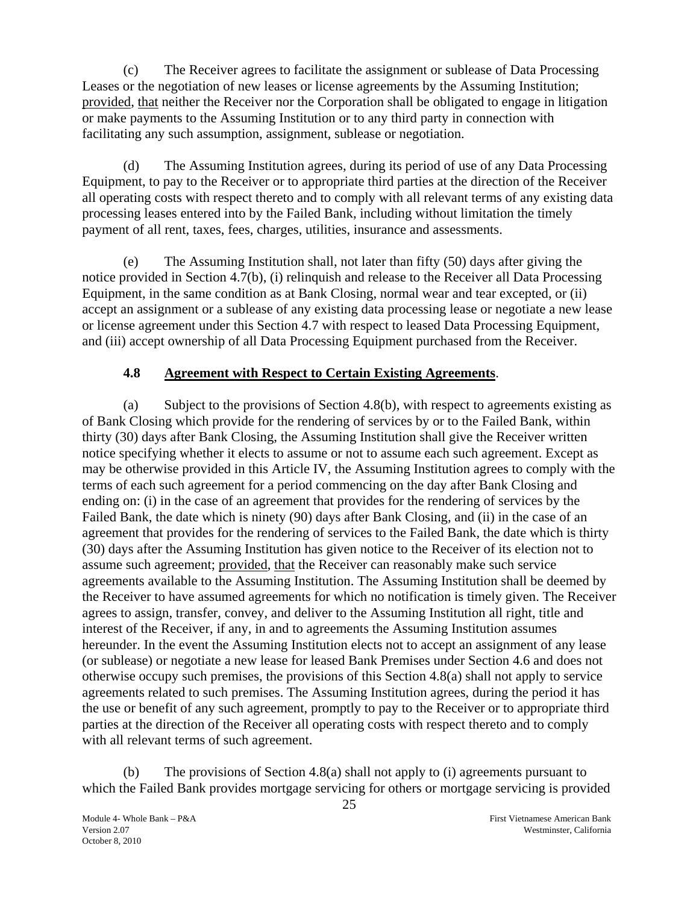(c) The Receiver agrees to facilitate the assignment or sublease of Data Processing Leases or the negotiation of new leases or license agreements by the Assuming Institution; provided, that neither the Receiver nor the Corporation shall be obligated to engage in litigation or make payments to the Assuming Institution or to any third party in connection with facilitating any such assumption, assignment, sublease or negotiation.

(d) The Assuming Institution agrees, during its period of use of any Data Processing Equipment, to pay to the Receiver or to appropriate third parties at the direction of the Receiver all operating costs with respect thereto and to comply with all relevant terms of any existing data processing leases entered into by the Failed Bank, including without limitation the timely payment of all rent, taxes, fees, charges, utilities, insurance and assessments.

(e) The Assuming Institution shall, not later than fifty (50) days after giving the notice provided in Section 4.7(b), (i) relinquish and release to the Receiver all Data Processing Equipment, in the same condition as at Bank Closing, normal wear and tear excepted, or (ii) accept an assignment or a sublease of any existing data processing lease or negotiate a new lease or license agreement under this Section 4.7 with respect to leased Data Processing Equipment, and (iii) accept ownership of all Data Processing Equipment purchased from the Receiver.

## **4.8 Agreement with Respect to Certain Existing Agreements**.

(a) Subject to the provisions of Section 4.8(b), with respect to agreements existing as of Bank Closing which provide for the rendering of services by or to the Failed Bank, within thirty (30) days after Bank Closing, the Assuming Institution shall give the Receiver written notice specifying whether it elects to assume or not to assume each such agreement. Except as may be otherwise provided in this Article IV, the Assuming Institution agrees to comply with the terms of each such agreement for a period commencing on the day after Bank Closing and ending on: (i) in the case of an agreement that provides for the rendering of services by the Failed Bank, the date which is ninety (90) days after Bank Closing, and (ii) in the case of an agreement that provides for the rendering of services to the Failed Bank, the date which is thirty (30) days after the Assuming Institution has given notice to the Receiver of its election not to assume such agreement; provided, that the Receiver can reasonably make such service agreements available to the Assuming Institution. The Assuming Institution shall be deemed by the Receiver to have assumed agreements for which no notification is timely given. The Receiver agrees to assign, transfer, convey, and deliver to the Assuming Institution all right, title and interest of the Receiver, if any, in and to agreements the Assuming Institution assumes hereunder. In the event the Assuming Institution elects not to accept an assignment of any lease (or sublease) or negotiate a new lease for leased Bank Premises under Section 4.6 and does not otherwise occupy such premises, the provisions of this Section 4.8(a) shall not apply to service agreements related to such premises. The Assuming Institution agrees, during the period it has the use or benefit of any such agreement, promptly to pay to the Receiver or to appropriate third parties at the direction of the Receiver all operating costs with respect thereto and to comply with all relevant terms of such agreement.

(b) The provisions of Section 4.8(a) shall not apply to (i) agreements pursuant to which the Failed Bank provides mortgage servicing for others or mortgage servicing is provided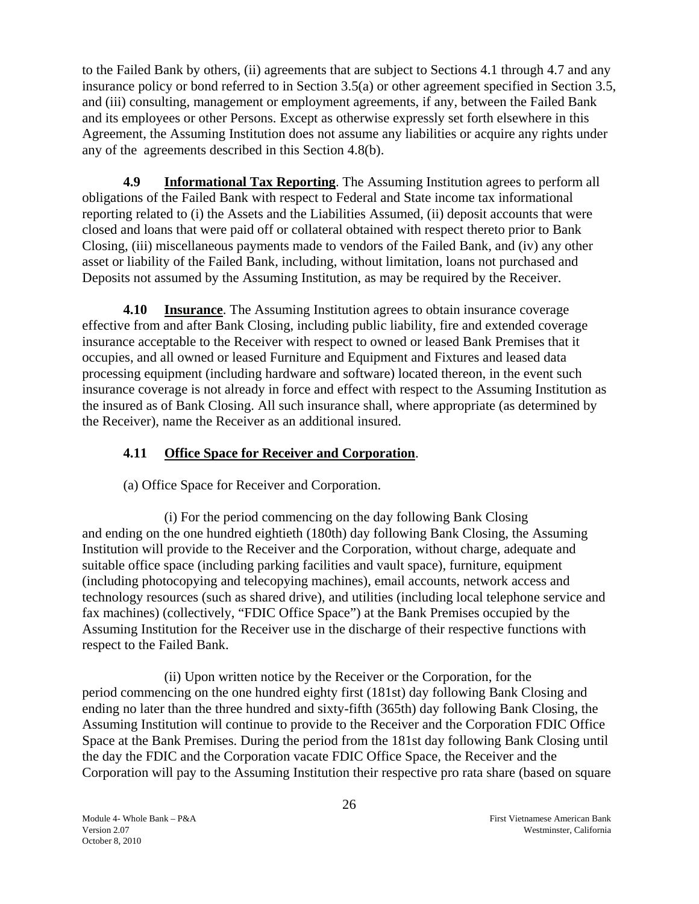<span id="page-29-0"></span>to the Failed Bank by others, (ii) agreements that are subject to Sections 4.1 through 4.7 and any insurance policy or bond referred to in Section 3.5(a) or other agreement specified in Section 3.5, and (iii) consulting, management or employment agreements, if any, between the Failed Bank and its employees or other Persons. Except as otherwise expressly set forth elsewhere in this Agreement, the Assuming Institution does not assume any liabilities or acquire any rights under any of the agreements described in this Section 4.8(b).

**4.9** Informational Tax Reporting. The Assuming Institution agrees to perform all obligations of the Failed Bank with respect to Federal and State income tax informational reporting related to (i) the Assets and the Liabilities Assumed, (ii) deposit accounts that were closed and loans that were paid off or collateral obtained with respect thereto prior to Bank Closing, (iii) miscellaneous payments made to vendors of the Failed Bank, and (iv) any other asset or liability of the Failed Bank, including, without limitation, loans not purchased and Deposits not assumed by the Assuming Institution, as may be required by the Receiver.

**4.10 Insurance**. The Assuming Institution agrees to obtain insurance coverage effective from and after Bank Closing, including public liability, fire and extended coverage insurance acceptable to the Receiver with respect to owned or leased Bank Premises that it occupies, and all owned or leased Furniture and Equipment and Fixtures and leased data processing equipment (including hardware and software) located thereon, in the event such insurance coverage is not already in force and effect with respect to the Assuming Institution as the insured as of Bank Closing. All such insurance shall, where appropriate (as determined by the Receiver), name the Receiver as an additional insured.

## **4.11 Office Space for Receiver and Corporation**.

(a) Office Space for Receiver and Corporation.

(i) For the period commencing on the day following Bank Closing and ending on the one hundred eightieth (180th) day following Bank Closing, the Assuming Institution will provide to the Receiver and the Corporation, without charge, adequate and suitable office space (including parking facilities and vault space), furniture, equipment (including photocopying and telecopying machines), email accounts, network access and technology resources (such as shared drive), and utilities (including local telephone service and fax machines) (collectively, "FDIC Office Space") at the Bank Premises occupied by the Assuming Institution for the Receiver use in the discharge of their respective functions with respect to the Failed Bank.

(ii) Upon written notice by the Receiver or the Corporation, for the period commencing on the one hundred eighty first (181st) day following Bank Closing and ending no later than the three hundred and sixty-fifth (365th) day following Bank Closing, the Assuming Institution will continue to provide to the Receiver and the Corporation FDIC Office Space at the Bank Premises. During the period from the 181st day following Bank Closing until the day the FDIC and the Corporation vacate FDIC Office Space, the Receiver and the Corporation will pay to the Assuming Institution their respective pro rata share (based on square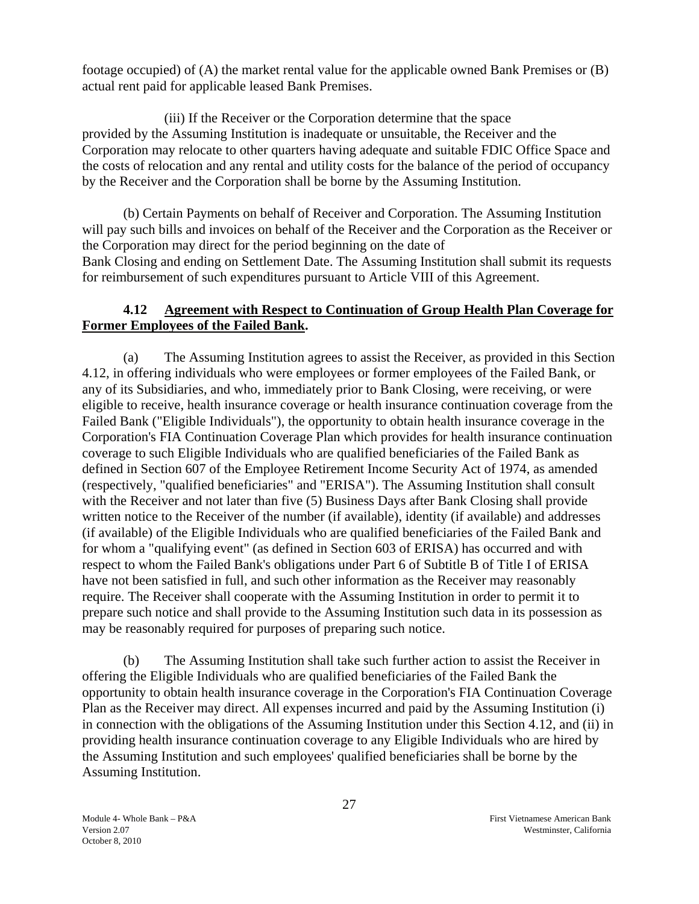<span id="page-30-0"></span>footage occupied) of (A) the market rental value for the applicable owned Bank Premises or (B) actual rent paid for applicable leased Bank Premises.

(iii) If the Receiver or the Corporation determine that the space provided by the Assuming Institution is inadequate or unsuitable, the Receiver and the Corporation may relocate to other quarters having adequate and suitable FDIC Office Space and the costs of relocation and any rental and utility costs for the balance of the period of occupancy by the Receiver and the Corporation shall be borne by the Assuming Institution.

(b) Certain Payments on behalf of Receiver and Corporation. The Assuming Institution will pay such bills and invoices on behalf of the Receiver and the Corporation as the Receiver or the Corporation may direct for the period beginning on the date of Bank Closing and ending on Settlement Date. The Assuming Institution shall submit its requests for reimbursement of such expenditures pursuant to Article VIII of this Agreement.

#### **4.12 Agreement with Respect to Continuation of Group Health Plan Coverage for Former Employees of the Failed Bank.**

(a) The Assuming Institution agrees to assist the Receiver, as provided in this Section 4.12, in offering individuals who were employees or former employees of the Failed Bank, or any of its Subsidiaries, and who, immediately prior to Bank Closing, were receiving, or were eligible to receive, health insurance coverage or health insurance continuation coverage from the Failed Bank ("Eligible Individuals"), the opportunity to obtain health insurance coverage in the Corporation's FIA Continuation Coverage Plan which provides for health insurance continuation coverage to such Eligible Individuals who are qualified beneficiaries of the Failed Bank as defined in Section 607 of the Employee Retirement Income Security Act of 1974, as amended (respectively, "qualified beneficiaries" and "ERISA"). The Assuming Institution shall consult with the Receiver and not later than five (5) Business Days after Bank Closing shall provide written notice to the Receiver of the number (if available), identity (if available) and addresses (if available) of the Eligible Individuals who are qualified beneficiaries of the Failed Bank and for whom a "qualifying event" (as defined in Section 603 of ERISA) has occurred and with respect to whom the Failed Bank's obligations under Part 6 of Subtitle B of Title I of ERISA have not been satisfied in full, and such other information as the Receiver may reasonably require. The Receiver shall cooperate with the Assuming Institution in order to permit it to prepare such notice and shall provide to the Assuming Institution such data in its possession as may be reasonably required for purposes of preparing such notice.

(b) The Assuming Institution shall take such further action to assist the Receiver in offering the Eligible Individuals who are qualified beneficiaries of the Failed Bank the opportunity to obtain health insurance coverage in the Corporation's FIA Continuation Coverage Plan as the Receiver may direct. All expenses incurred and paid by the Assuming Institution (i) in connection with the obligations of the Assuming Institution under this Section 4.12, and (ii) in providing health insurance continuation coverage to any Eligible Individuals who are hired by the Assuming Institution and such employees' qualified beneficiaries shall be borne by the Assuming Institution.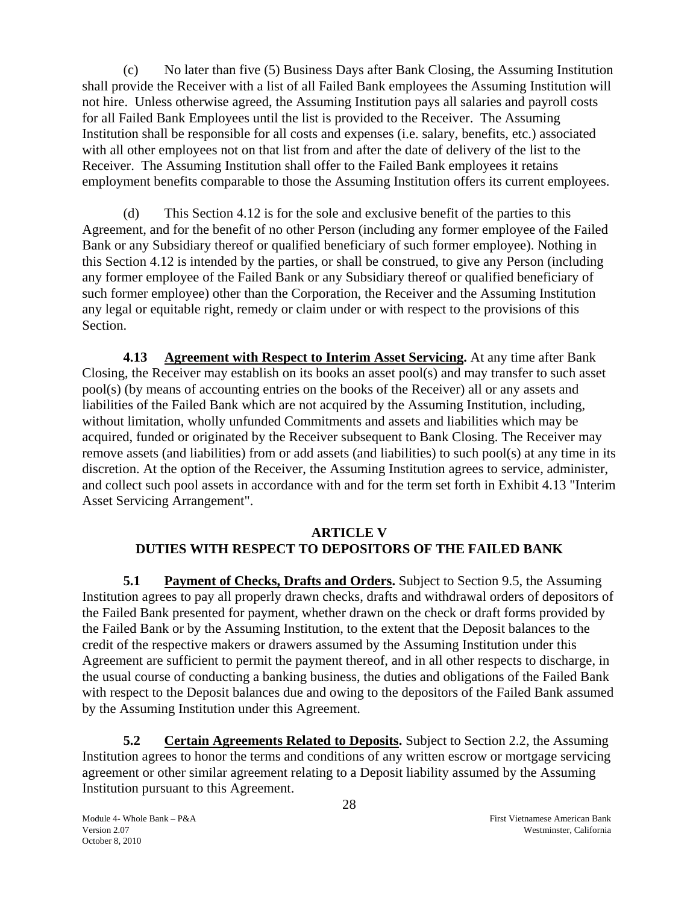<span id="page-31-0"></span>(c) No later than five (5) Business Days after Bank Closing, the Assuming Institution shall provide the Receiver with a list of all Failed Bank employees the Assuming Institution will not hire. Unless otherwise agreed, the Assuming Institution pays all salaries and payroll costs for all Failed Bank Employees until the list is provided to the Receiver. The Assuming Institution shall be responsible for all costs and expenses (i.e. salary, benefits, etc.) associated with all other employees not on that list from and after the date of delivery of the list to the Receiver. The Assuming Institution shall offer to the Failed Bank employees it retains employment benefits comparable to those the Assuming Institution offers its current employees.

(d) This Section 4.12 is for the sole and exclusive benefit of the parties to this Agreement, and for the benefit of no other Person (including any former employee of the Failed Bank or any Subsidiary thereof or qualified beneficiary of such former employee). Nothing in this Section 4.12 is intended by the parties, or shall be construed, to give any Person (including any former employee of the Failed Bank or any Subsidiary thereof or qualified beneficiary of such former employee) other than the Corporation, the Receiver and the Assuming Institution any legal or equitable right, remedy or claim under or with respect to the provisions of this Section.

**4.13 Agreement with Respect to Interim Asset Servicing.** At any time after Bank Closing, the Receiver may establish on its books an asset pool(s) and may transfer to such asset pool(s) (by means of accounting entries on the books of the Receiver) all or any assets and liabilities of the Failed Bank which are not acquired by the Assuming Institution, including, without limitation, wholly unfunded Commitments and assets and liabilities which may be acquired, funded or originated by the Receiver subsequent to Bank Closing. The Receiver may remove assets (and liabilities) from or add assets (and liabilities) to such pool(s) at any time in its discretion. At the option of the Receiver, the Assuming Institution agrees to service, administer, and collect such pool assets in accordance with and for the term set forth in Exhibit 4.13 "Interim Asset Servicing Arrangement".

## **ARTICLE V DUTIES WITH RESPECT TO DEPOSITORS OF THE FAILED BANK**

 **5.1 Payment of Checks, Drafts and Orders.** Subject to Section 9.5, the Assuming Institution agrees to pay all properly drawn checks, drafts and withdrawal orders of depositors of the Failed Bank presented for payment, whether drawn on the check or draft forms provided by the Failed Bank or by the Assuming Institution, to the extent that the Deposit balances to the credit of the respective makers or drawers assumed by the Assuming Institution under this Agreement are sufficient to permit the payment thereof, and in all other respects to discharge, in the usual course of conducting a banking business, the duties and obligations of the Failed Bank with respect to the Deposit balances due and owing to the depositors of the Failed Bank assumed by the Assuming Institution under this Agreement.

**5.2 Certain Agreements Related to Deposits.** Subject to Section 2.2, the Assuming Institution agrees to honor the terms and conditions of any written escrow or mortgage servicing agreement or other similar agreement relating to a Deposit liability assumed by the Assuming Institution pursuant to this Agreement.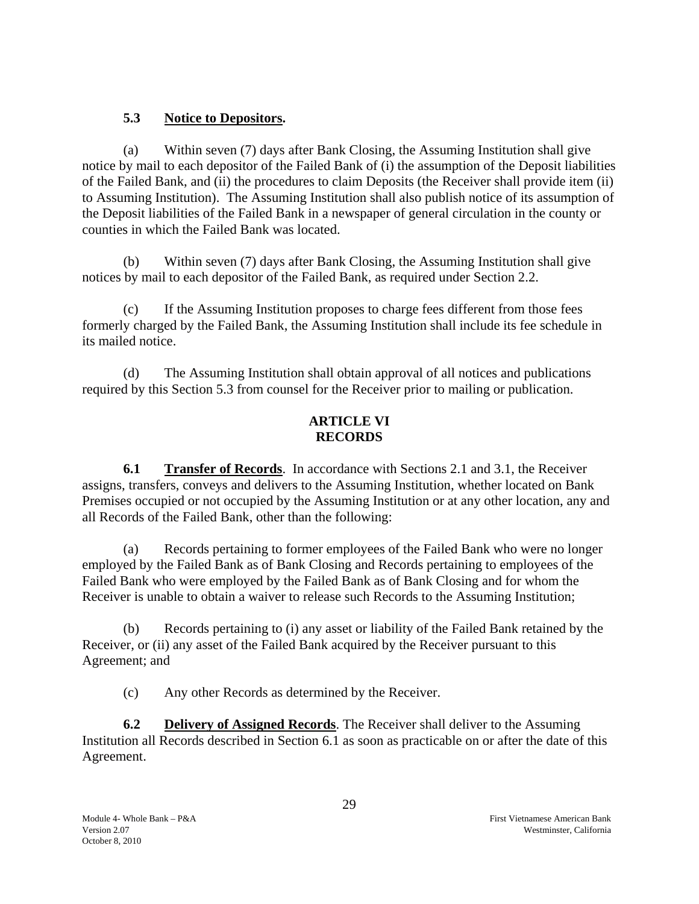## **5.3 Notice to Depositors.**

<span id="page-32-0"></span>(a) Within seven (7) days after Bank Closing, the Assuming Institution shall give notice by mail to each depositor of the Failed Bank of (i) the assumption of the Deposit liabilities of the Failed Bank, and (ii) the procedures to claim Deposits (the Receiver shall provide item (ii) to Assuming Institution). The Assuming Institution shall also publish notice of its assumption of the Deposit liabilities of the Failed Bank in a newspaper of general circulation in the county or counties in which the Failed Bank was located.

(b) Within seven (7) days after Bank Closing, the Assuming Institution shall give notices by mail to each depositor of the Failed Bank, as required under Section 2.2.

If the Assuming Institution proposes to charge fees different from those fees formerly charged by the Failed Bank, the Assuming Institution shall include its fee schedule in its mailed notice.

(d) The Assuming Institution shall obtain approval of all notices and publications required by this Section 5.3 from counsel for the Receiver prior to mailing or publication.

#### **ARTICLE VI RECORDS**

**6.1** Transfer of Records. In accordance with Sections 2.1 and 3.1, the Receiver assigns, transfers, conveys and delivers to the Assuming Institution, whether located on Bank Premises occupied or not occupied by the Assuming Institution or at any other location, any and all Records of the Failed Bank, other than the following:

(a) Records pertaining to former employees of the Failed Bank who were no longer employed by the Failed Bank as of Bank Closing and Records pertaining to employees of the Failed Bank who were employed by the Failed Bank as of Bank Closing and for whom the Receiver is unable to obtain a waiver to release such Records to the Assuming Institution;

(b) Records pertaining to (i) any asset or liability of the Failed Bank retained by the Receiver, or (ii) any asset of the Failed Bank acquired by the Receiver pursuant to this Agreement; and

(c) Any other Records as determined by the Receiver.

**6.2 Delivery of Assigned Records**. The Receiver shall deliver to the Assuming Institution all Records described in Section 6.1 as soon as practicable on or after the date of this Agreement.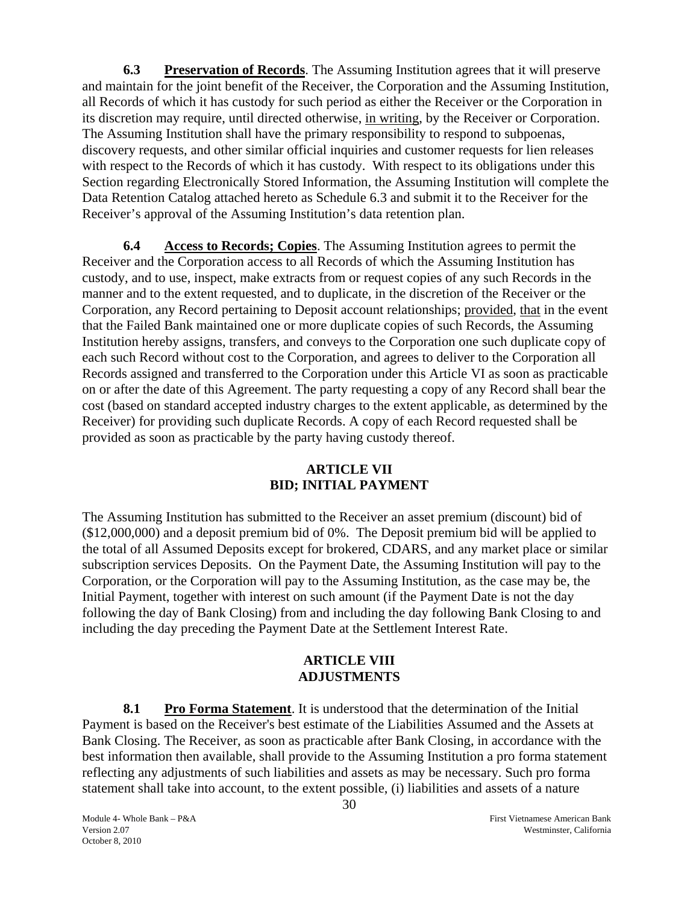<span id="page-33-0"></span> **6.3 Preservation of Records**. The Assuming Institution agrees that it will preserve and maintain for the joint benefit of the Receiver, the Corporation and the Assuming Institution, all Records of which it has custody for such period as either the Receiver or the Corporation in its discretion may require, until directed otherwise, in writing, by the Receiver or Corporation. The Assuming Institution shall have the primary responsibility to respond to subpoenas, discovery requests, and other similar official inquiries and customer requests for lien releases with respect to the Records of which it has custody. With respect to its obligations under this Section regarding Electronically Stored Information, the Assuming Institution will complete the Data Retention Catalog attached hereto as Schedule 6.3 and submit it to the Receiver for the Receiver's approval of the Assuming Institution's data retention plan.

**6.4 Access to Records; Copies**. The Assuming Institution agrees to permit the Receiver and the Corporation access to all Records of which the Assuming Institution has custody, and to use, inspect, make extracts from or request copies of any such Records in the manner and to the extent requested, and to duplicate, in the discretion of the Receiver or the Corporation, any Record pertaining to Deposit account relationships; provided, that in the event that the Failed Bank maintained one or more duplicate copies of such Records, the Assuming Institution hereby assigns, transfers, and conveys to the Corporation one such duplicate copy of each such Record without cost to the Corporation, and agrees to deliver to the Corporation all Records assigned and transferred to the Corporation under this Article VI as soon as practicable on or after the date of this Agreement. The party requesting a copy of any Record shall bear the cost (based on standard accepted industry charges to the extent applicable, as determined by the Receiver) for providing such duplicate Records. A copy of each Record requested shall be provided as soon as practicable by the party having custody thereof.

#### **ARTICLE VII BID; INITIAL PAYMENT**

The Assuming Institution has submitted to the Receiver an asset premium (discount) bid of (\$12,000,000) and a deposit premium bid of 0%. The Deposit premium bid will be applied to the total of all Assumed Deposits except for brokered, CDARS, and any market place or similar subscription services Deposits. On the Payment Date, the Assuming Institution will pay to the Corporation, or the Corporation will pay to the Assuming Institution, as the case may be, the Initial Payment, together with interest on such amount (if the Payment Date is not the day following the day of Bank Closing) from and including the day following Bank Closing to and including the day preceding the Payment Date at the Settlement Interest Rate.

#### **ARTICLE VIII ADJUSTMENTS**

**8.1** Pro Forma Statement. It is understood that the determination of the Initial Payment is based on the Receiver's best estimate of the Liabilities Assumed and the Assets at Bank Closing. The Receiver, as soon as practicable after Bank Closing, in accordance with the best information then available, shall provide to the Assuming Institution a pro forma statement reflecting any adjustments of such liabilities and assets as may be necessary. Such pro forma statement shall take into account, to the extent possible, (i) liabilities and assets of a nature

Module 4- Whole Bank – P&A First Vietnamese American Bank Version 2.07 Westminster, California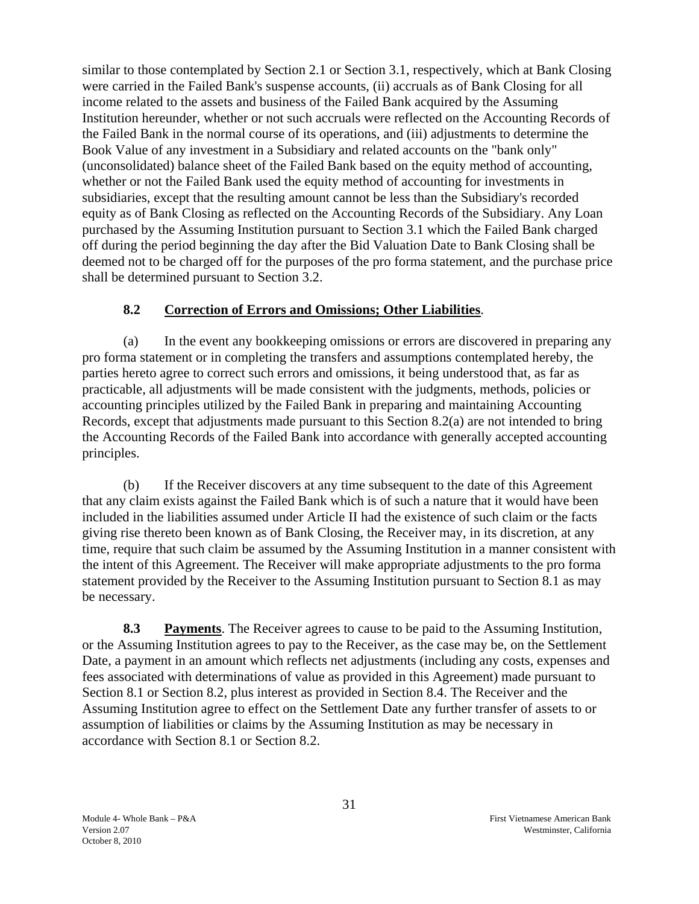<span id="page-34-0"></span>similar to those contemplated by Section 2.1 or Section 3.1, respectively, which at Bank Closing were carried in the Failed Bank's suspense accounts, (ii) accruals as of Bank Closing for all income related to the assets and business of the Failed Bank acquired by the Assuming Institution hereunder, whether or not such accruals were reflected on the Accounting Records of the Failed Bank in the normal course of its operations, and (iii) adjustments to determine the Book Value of any investment in a Subsidiary and related accounts on the "bank only" (unconsolidated) balance sheet of the Failed Bank based on the equity method of accounting, whether or not the Failed Bank used the equity method of accounting for investments in subsidiaries, except that the resulting amount cannot be less than the Subsidiary's recorded equity as of Bank Closing as reflected on the Accounting Records of the Subsidiary. Any Loan purchased by the Assuming Institution pursuant to Section 3.1 which the Failed Bank charged off during the period beginning the day after the Bid Valuation Date to Bank Closing shall be deemed not to be charged off for the purposes of the pro forma statement, and the purchase price shall be determined pursuant to Section 3.2.

## **8.2 Correction of Errors and Omissions; Other Liabilities**.

(a) In the event any bookkeeping omissions or errors are discovered in preparing any pro forma statement or in completing the transfers and assumptions contemplated hereby, the parties hereto agree to correct such errors and omissions, it being understood that, as far as practicable, all adjustments will be made consistent with the judgments, methods, policies or accounting principles utilized by the Failed Bank in preparing and maintaining Accounting Records, except that adjustments made pursuant to this Section 8.2(a) are not intended to bring the Accounting Records of the Failed Bank into accordance with generally accepted accounting principles.

(b) If the Receiver discovers at any time subsequent to the date of this Agreement that any claim exists against the Failed Bank which is of such a nature that it would have been included in the liabilities assumed under Article II had the existence of such claim or the facts giving rise thereto been known as of Bank Closing, the Receiver may, in its discretion, at any time, require that such claim be assumed by the Assuming Institution in a manner consistent with the intent of this Agreement. The Receiver will make appropriate adjustments to the pro forma statement provided by the Receiver to the Assuming Institution pursuant to Section 8.1 as may be necessary.

**8.3 Payments**. The Receiver agrees to cause to be paid to the Assuming Institution, or the Assuming Institution agrees to pay to the Receiver, as the case may be, on the Settlement Date, a payment in an amount which reflects net adjustments (including any costs, expenses and fees associated with determinations of value as provided in this Agreement) made pursuant to Section 8.1 or Section 8.2, plus interest as provided in Section 8.4. The Receiver and the Assuming Institution agree to effect on the Settlement Date any further transfer of assets to or assumption of liabilities or claims by the Assuming Institution as may be necessary in accordance with Section 8.1 or Section 8.2.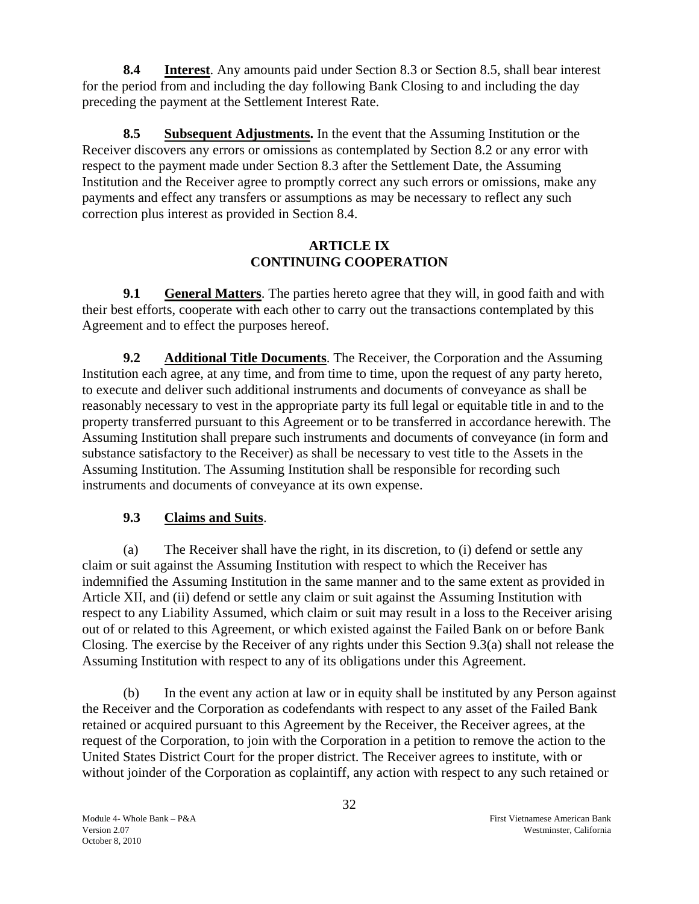<span id="page-35-0"></span> **8.4 Interest**. Any amounts paid under Section 8.3 or Section 8.5, shall bear interest for the period from and including the day following Bank Closing to and including the day preceding the payment at the Settlement Interest Rate.

**8.5 Subsequent Adjustments.** In the event that the Assuming Institution or the Receiver discovers any errors or omissions as contemplated by Section 8.2 or any error with respect to the payment made under Section 8.3 after the Settlement Date, the Assuming Institution and the Receiver agree to promptly correct any such errors or omissions, make any payments and effect any transfers or assumptions as may be necessary to reflect any such correction plus interest as provided in Section 8.4.

#### **ARTICLE IX CONTINUING COOPERATION**

**9.1** General Matters. The parties hereto agree that they will, in good faith and with their best efforts, cooperate with each other to carry out the transactions contemplated by this Agreement and to effect the purposes hereof.

**9.2** Additional Title Documents. The Receiver, the Corporation and the Assuming Institution each agree, at any time, and from time to time, upon the request of any party hereto, to execute and deliver such additional instruments and documents of conveyance as shall be reasonably necessary to vest in the appropriate party its full legal or equitable title in and to the property transferred pursuant to this Agreement or to be transferred in accordance herewith. The Assuming Institution shall prepare such instruments and documents of conveyance (in form and substance satisfactory to the Receiver) as shall be necessary to vest title to the Assets in the Assuming Institution. The Assuming Institution shall be responsible for recording such instruments and documents of conveyance at its own expense.

# **9.3 Claims and Suits**.

(a) The Receiver shall have the right, in its discretion, to (i) defend or settle any claim or suit against the Assuming Institution with respect to which the Receiver has indemnified the Assuming Institution in the same manner and to the same extent as provided in Article XII, and (ii) defend or settle any claim or suit against the Assuming Institution with respect to any Liability Assumed, which claim or suit may result in a loss to the Receiver arising out of or related to this Agreement, or which existed against the Failed Bank on or before Bank Closing. The exercise by the Receiver of any rights under this Section 9.3(a) shall not release the Assuming Institution with respect to any of its obligations under this Agreement.

(b) In the event any action at law or in equity shall be instituted by any Person against the Receiver and the Corporation as codefendants with respect to any asset of the Failed Bank retained or acquired pursuant to this Agreement by the Receiver, the Receiver agrees, at the request of the Corporation, to join with the Corporation in a petition to remove the action to the United States District Court for the proper district. The Receiver agrees to institute, with or without joinder of the Corporation as coplaintiff, any action with respect to any such retained or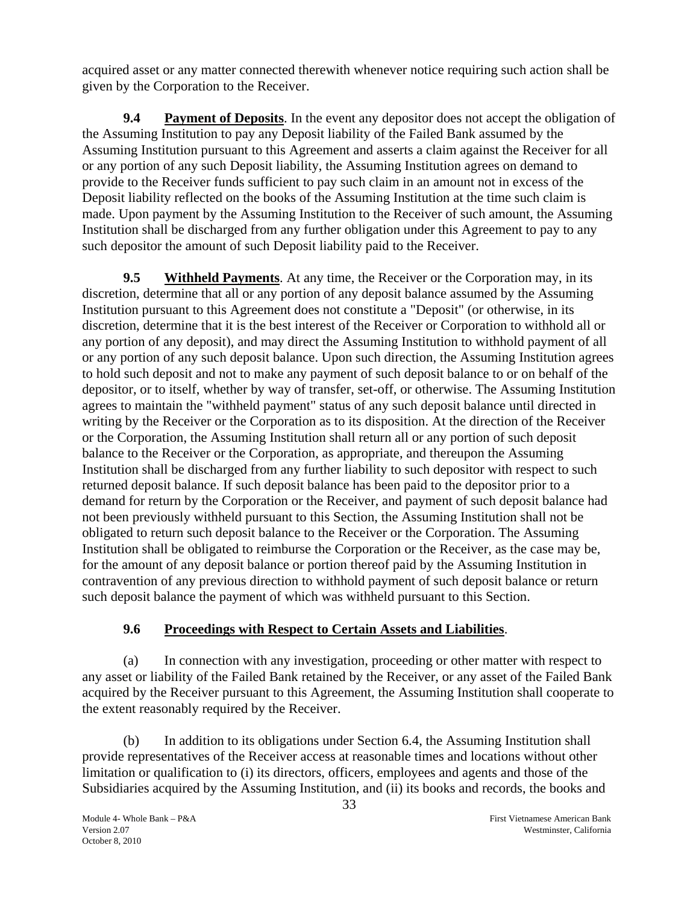<span id="page-36-0"></span>acquired asset or any matter connected therewith whenever notice requiring such action shall be given by the Corporation to the Receiver.

**9.4** Payment of Deposits. In the event any depositor does not accept the obligation of the Assuming Institution to pay any Deposit liability of the Failed Bank assumed by the Assuming Institution pursuant to this Agreement and asserts a claim against the Receiver for all or any portion of any such Deposit liability, the Assuming Institution agrees on demand to provide to the Receiver funds sufficient to pay such claim in an amount not in excess of the Deposit liability reflected on the books of the Assuming Institution at the time such claim is made. Upon payment by the Assuming Institution to the Receiver of such amount, the Assuming Institution shall be discharged from any further obligation under this Agreement to pay to any such depositor the amount of such Deposit liability paid to the Receiver.

**9.5 Withheld Payments**. At any time, the Receiver or the Corporation may, in its discretion, determine that all or any portion of any deposit balance assumed by the Assuming Institution pursuant to this Agreement does not constitute a "Deposit" (or otherwise, in its discretion, determine that it is the best interest of the Receiver or Corporation to withhold all or any portion of any deposit), and may direct the Assuming Institution to withhold payment of all or any portion of any such deposit balance. Upon such direction, the Assuming Institution agrees to hold such deposit and not to make any payment of such deposit balance to or on behalf of the depositor, or to itself, whether by way of transfer, set-off, or otherwise. The Assuming Institution agrees to maintain the "withheld payment" status of any such deposit balance until directed in writing by the Receiver or the Corporation as to its disposition. At the direction of the Receiver or the Corporation, the Assuming Institution shall return all or any portion of such deposit balance to the Receiver or the Corporation, as appropriate, and thereupon the Assuming Institution shall be discharged from any further liability to such depositor with respect to such returned deposit balance. If such deposit balance has been paid to the depositor prior to a demand for return by the Corporation or the Receiver, and payment of such deposit balance had not been previously withheld pursuant to this Section, the Assuming Institution shall not be obligated to return such deposit balance to the Receiver or the Corporation. The Assuming Institution shall be obligated to reimburse the Corporation or the Receiver, as the case may be, for the amount of any deposit balance or portion thereof paid by the Assuming Institution in contravention of any previous direction to withhold payment of such deposit balance or return such deposit balance the payment of which was withheld pursuant to this Section.

## **9.6 Proceedings with Respect to Certain Assets and Liabilities**.

(a) In connection with any investigation, proceeding or other matter with respect to any asset or liability of the Failed Bank retained by the Receiver, or any asset of the Failed Bank acquired by the Receiver pursuant to this Agreement, the Assuming Institution shall cooperate to the extent reasonably required by the Receiver.

(b) In addition to its obligations under Section 6.4, the Assuming Institution shall provide representatives of the Receiver access at reasonable times and locations without other limitation or qualification to (i) its directors, officers, employees and agents and those of the Subsidiaries acquired by the Assuming Institution, and (ii) its books and records, the books and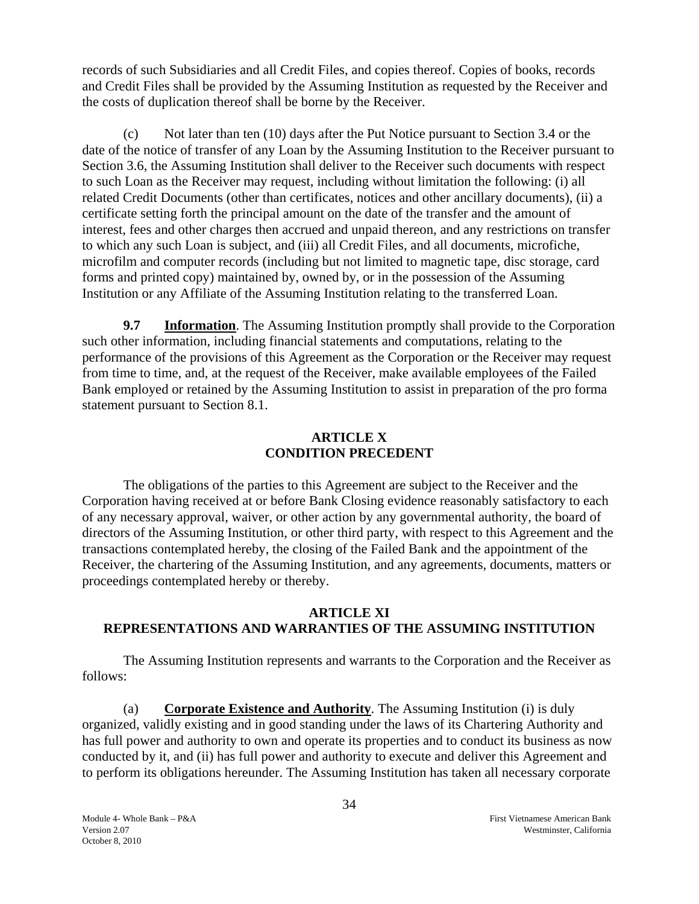<span id="page-37-0"></span>records of such Subsidiaries and all Credit Files, and copies thereof. Copies of books, records and Credit Files shall be provided by the Assuming Institution as requested by the Receiver and the costs of duplication thereof shall be borne by the Receiver.

(c) Not later than ten (10) days after the Put Notice pursuant to Section 3.4 or the date of the notice of transfer of any Loan by the Assuming Institution to the Receiver pursuant to Section 3.6, the Assuming Institution shall deliver to the Receiver such documents with respect to such Loan as the Receiver may request, including without limitation the following: (i) all related Credit Documents (other than certificates, notices and other ancillary documents), (ii) a certificate setting forth the principal amount on the date of the transfer and the amount of interest, fees and other charges then accrued and unpaid thereon, and any restrictions on transfer to which any such Loan is subject, and (iii) all Credit Files, and all documents, microfiche, microfilm and computer records (including but not limited to magnetic tape, disc storage, card forms and printed copy) maintained by, owned by, or in the possession of the Assuming Institution or any Affiliate of the Assuming Institution relating to the transferred Loan.

**9.7** Information. The Assuming Institution promptly shall provide to the Corporation such other information, including financial statements and computations, relating to the performance of the provisions of this Agreement as the Corporation or the Receiver may request from time to time, and, at the request of the Receiver, make available employees of the Failed Bank employed or retained by the Assuming Institution to assist in preparation of the pro forma statement pursuant to Section 8.1.

#### **ARTICLE X CONDITION PRECEDENT**

The obligations of the parties to this Agreement are subject to the Receiver and the Corporation having received at or before Bank Closing evidence reasonably satisfactory to each of any necessary approval, waiver, or other action by any governmental authority, the board of directors of the Assuming Institution, or other third party, with respect to this Agreement and the transactions contemplated hereby, the closing of the Failed Bank and the appointment of the Receiver, the chartering of the Assuming Institution, and any agreements, documents, matters or proceedings contemplated hereby or thereby.

# **ARTICLE XI REPRESENTATIONS AND WARRANTIES OF THE ASSUMING INSTITUTION**

The Assuming Institution represents and warrants to the Corporation and the Receiver as follows:

(a) **Corporate Existence and Authority**. The Assuming Institution (i) is duly organized, validly existing and in good standing under the laws of its Chartering Authority and has full power and authority to own and operate its properties and to conduct its business as now conducted by it, and (ii) has full power and authority to execute and deliver this Agreement and to perform its obligations hereunder. The Assuming Institution has taken all necessary corporate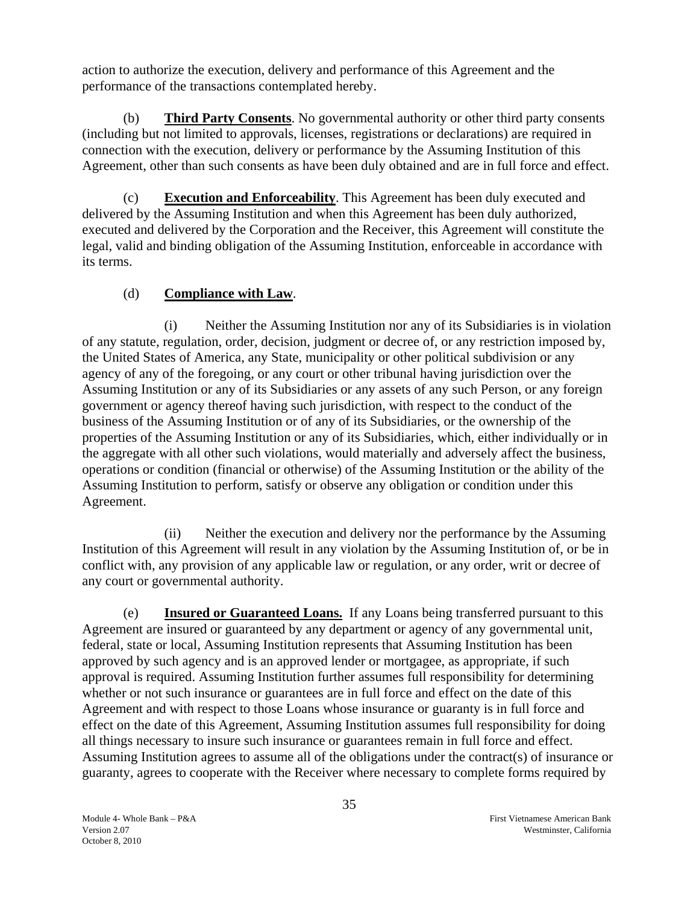action to authorize the execution, delivery and performance of this Agreement and the performance of the transactions contemplated hereby.

(b) **Third Party Consents**. No governmental authority or other third party consents (including but not limited to approvals, licenses, registrations or declarations) are required in connection with the execution, delivery or performance by the Assuming Institution of this Agreement, other than such consents as have been duly obtained and are in full force and effect.

(c) **Execution and Enforceability**. This Agreement has been duly executed and delivered by the Assuming Institution and when this Agreement has been duly authorized, executed and delivered by the Corporation and the Receiver, this Agreement will constitute the legal, valid and binding obligation of the Assuming Institution, enforceable in accordance with its terms.

## (d) **Compliance with Law**.

(i) Neither the Assuming Institution nor any of its Subsidiaries is in violation of any statute, regulation, order, decision, judgment or decree of, or any restriction imposed by, the United States of America, any State, municipality or other political subdivision or any agency of any of the foregoing, or any court or other tribunal having jurisdiction over the Assuming Institution or any of its Subsidiaries or any assets of any such Person, or any foreign government or agency thereof having such jurisdiction, with respect to the conduct of the business of the Assuming Institution or of any of its Subsidiaries, or the ownership of the properties of the Assuming Institution or any of its Subsidiaries, which, either individually or in the aggregate with all other such violations, would materially and adversely affect the business, operations or condition (financial or otherwise) of the Assuming Institution or the ability of the Assuming Institution to perform, satisfy or observe any obligation or condition under this Agreement.

(ii) Neither the execution and delivery nor the performance by the Assuming Institution of this Agreement will result in any violation by the Assuming Institution of, or be in conflict with, any provision of any applicable law or regulation, or any order, writ or decree of any court or governmental authority.

(e) **Insured or Guaranteed Loans.** If any Loans being transferred pursuant to this Agreement are insured or guaranteed by any department or agency of any governmental unit, federal, state or local, Assuming Institution represents that Assuming Institution has been approved by such agency and is an approved lender or mortgagee, as appropriate, if such approval is required. Assuming Institution further assumes full responsibility for determining whether or not such insurance or guarantees are in full force and effect on the date of this Agreement and with respect to those Loans whose insurance or guaranty is in full force and effect on the date of this Agreement, Assuming Institution assumes full responsibility for doing all things necessary to insure such insurance or guarantees remain in full force and effect. Assuming Institution agrees to assume all of the obligations under the contract(s) of insurance or guaranty, agrees to cooperate with the Receiver where necessary to complete forms required by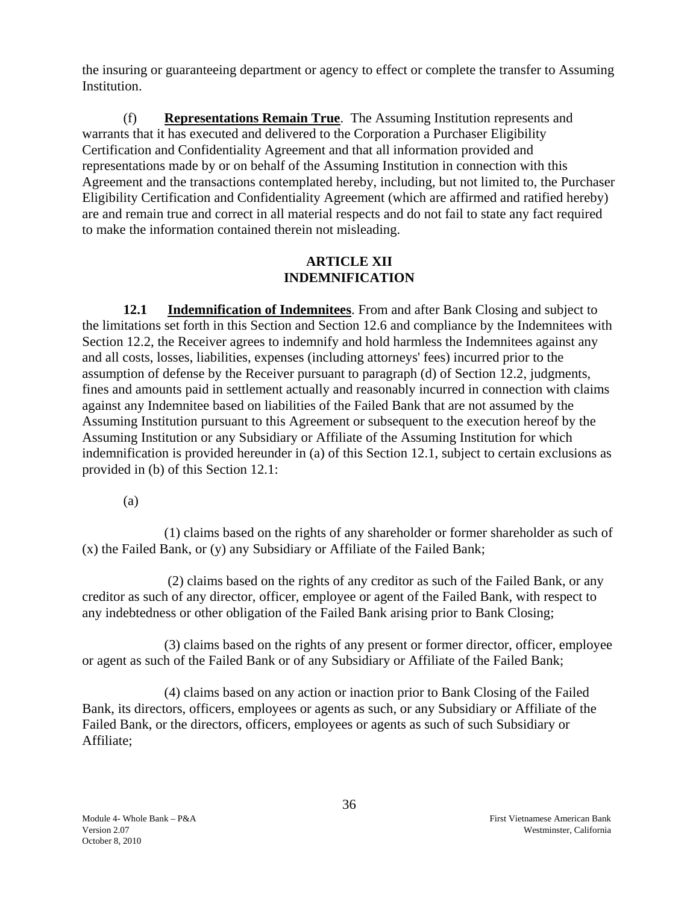<span id="page-39-0"></span>the insuring or guaranteeing department or agency to effect or complete the transfer to Assuming Institution.

(f) **Representations Remain True**. The Assuming Institution represents and warrants that it has executed and delivered to the Corporation a Purchaser Eligibility Certification and Confidentiality Agreement and that all information provided and representations made by or on behalf of the Assuming Institution in connection with this Agreement and the transactions contemplated hereby, including, but not limited to, the Purchaser Eligibility Certification and Confidentiality Agreement (which are affirmed and ratified hereby) are and remain true and correct in all material respects and do not fail to state any fact required to make the information contained therein not misleading.

## **ARTICLE XII INDEMNIFICATION**

**12.1 Indemnification of Indemnitees**. From and after Bank Closing and subject to the limitations set forth in this Section and Section 12.6 and compliance by the Indemnitees with Section 12.2, the Receiver agrees to indemnify and hold harmless the Indemnitees against any and all costs, losses, liabilities, expenses (including attorneys' fees) incurred prior to the assumption of defense by the Receiver pursuant to paragraph (d) of Section 12.2, judgments, fines and amounts paid in settlement actually and reasonably incurred in connection with claims against any Indemnitee based on liabilities of the Failed Bank that are not assumed by the Assuming Institution pursuant to this Agreement or subsequent to the execution hereof by the Assuming Institution or any Subsidiary or Affiliate of the Assuming Institution for which indemnification is provided hereunder in (a) of this Section 12.1, subject to certain exclusions as provided in (b) of this Section 12.1:

#### (a)

(1) claims based on the rights of any shareholder or former shareholder as such of (x) the Failed Bank, or (y) any Subsidiary or Affiliate of the Failed Bank;

(2) claims based on the rights of any creditor as such of the Failed Bank, or any creditor as such of any director, officer, employee or agent of the Failed Bank, with respect to any indebtedness or other obligation of the Failed Bank arising prior to Bank Closing;

(3) claims based on the rights of any present or former director, officer, employee or agent as such of the Failed Bank or of any Subsidiary or Affiliate of the Failed Bank;

(4) claims based on any action or inaction prior to Bank Closing of the Failed Bank, its directors, officers, employees or agents as such, or any Subsidiary or Affiliate of the Failed Bank, or the directors, officers, employees or agents as such of such Subsidiary or Affiliate;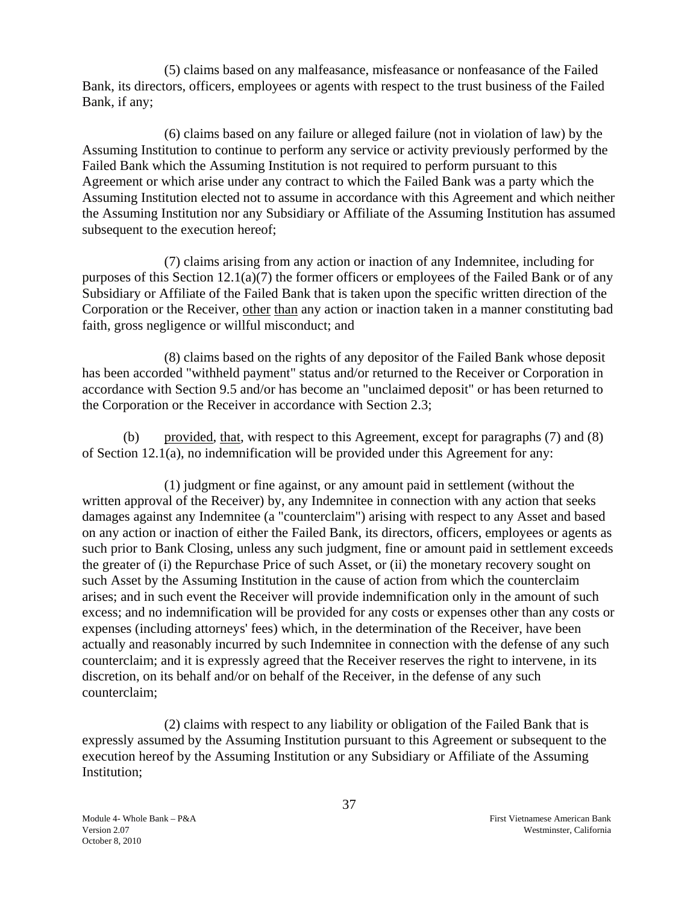(5) claims based on any malfeasance, misfeasance or nonfeasance of the Failed Bank, its directors, officers, employees or agents with respect to the trust business of the Failed Bank, if any;

(6) claims based on any failure or alleged failure (not in violation of law) by the Assuming Institution to continue to perform any service or activity previously performed by the Failed Bank which the Assuming Institution is not required to perform pursuant to this Agreement or which arise under any contract to which the Failed Bank was a party which the Assuming Institution elected not to assume in accordance with this Agreement and which neither the Assuming Institution nor any Subsidiary or Affiliate of the Assuming Institution has assumed subsequent to the execution hereof;

(7) claims arising from any action or inaction of any Indemnitee, including for purposes of this Section 12.1(a)(7) the former officers or employees of the Failed Bank or of any Subsidiary or Affiliate of the Failed Bank that is taken upon the specific written direction of the Corporation or the Receiver, other than any action or inaction taken in a manner constituting bad faith, gross negligence or willful misconduct; and

(8) claims based on the rights of any depositor of the Failed Bank whose deposit has been accorded "withheld payment" status and/or returned to the Receiver or Corporation in accordance with Section 9.5 and/or has become an "unclaimed deposit" or has been returned to the Corporation or the Receiver in accordance with Section 2.3;

(b) provided, that, with respect to this Agreement, except for paragraphs (7) and (8) of Section 12.1(a), no indemnification will be provided under this Agreement for any:

(1) judgment or fine against, or any amount paid in settlement (without the written approval of the Receiver) by, any Indemnitee in connection with any action that seeks damages against any Indemnitee (a "counterclaim") arising with respect to any Asset and based on any action or inaction of either the Failed Bank, its directors, officers, employees or agents as such prior to Bank Closing, unless any such judgment, fine or amount paid in settlement exceeds the greater of (i) the Repurchase Price of such Asset, or (ii) the monetary recovery sought on such Asset by the Assuming Institution in the cause of action from which the counterclaim arises; and in such event the Receiver will provide indemnification only in the amount of such excess; and no indemnification will be provided for any costs or expenses other than any costs or expenses (including attorneys' fees) which, in the determination of the Receiver, have been actually and reasonably incurred by such Indemnitee in connection with the defense of any such counterclaim; and it is expressly agreed that the Receiver reserves the right to intervene, in its discretion, on its behalf and/or on behalf of the Receiver, in the defense of any such counterclaim;

(2) claims with respect to any liability or obligation of the Failed Bank that is expressly assumed by the Assuming Institution pursuant to this Agreement or subsequent to the execution hereof by the Assuming Institution or any Subsidiary or Affiliate of the Assuming Institution;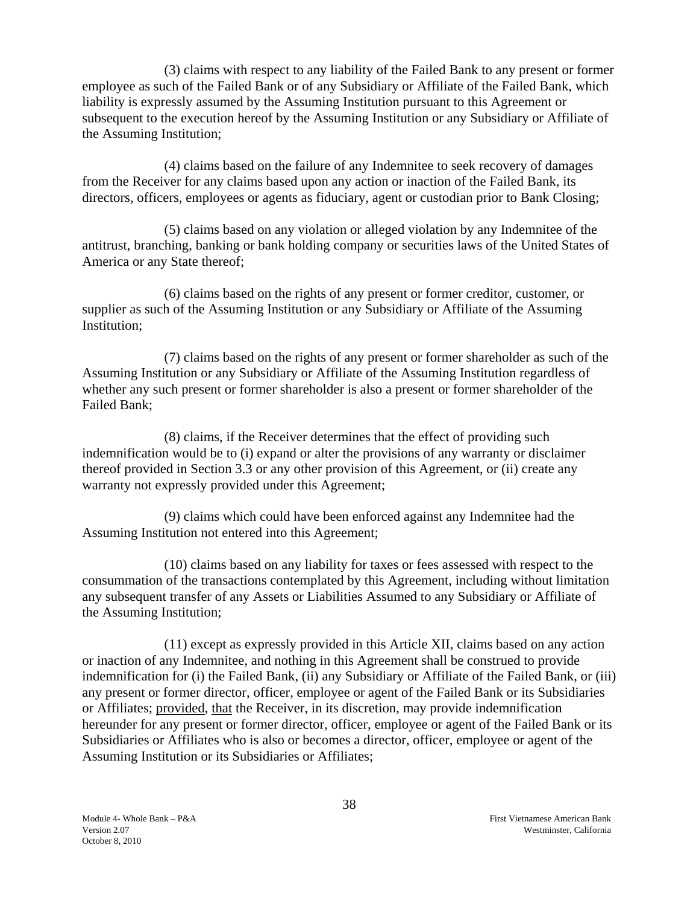(3) claims with respect to any liability of the Failed Bank to any present or former employee as such of the Failed Bank or of any Subsidiary or Affiliate of the Failed Bank, which liability is expressly assumed by the Assuming Institution pursuant to this Agreement or subsequent to the execution hereof by the Assuming Institution or any Subsidiary or Affiliate of the Assuming Institution;

(4) claims based on the failure of any Indemnitee to seek recovery of damages from the Receiver for any claims based upon any action or inaction of the Failed Bank, its directors, officers, employees or agents as fiduciary, agent or custodian prior to Bank Closing;

(5) claims based on any violation or alleged violation by any Indemnitee of the antitrust, branching, banking or bank holding company or securities laws of the United States of America or any State thereof;

(6) claims based on the rights of any present or former creditor, customer, or supplier as such of the Assuming Institution or any Subsidiary or Affiliate of the Assuming Institution;

(7) claims based on the rights of any present or former shareholder as such of the Assuming Institution or any Subsidiary or Affiliate of the Assuming Institution regardless of whether any such present or former shareholder is also a present or former shareholder of the Failed Bank;

(8) claims, if the Receiver determines that the effect of providing such indemnification would be to (i) expand or alter the provisions of any warranty or disclaimer thereof provided in Section 3.3 or any other provision of this Agreement, or (ii) create any warranty not expressly provided under this Agreement;

(9) claims which could have been enforced against any Indemnitee had the Assuming Institution not entered into this Agreement;

(10) claims based on any liability for taxes or fees assessed with respect to the consummation of the transactions contemplated by this Agreement, including without limitation any subsequent transfer of any Assets or Liabilities Assumed to any Subsidiary or Affiliate of the Assuming Institution;

(11) except as expressly provided in this Article XII, claims based on any action or inaction of any Indemnitee, and nothing in this Agreement shall be construed to provide indemnification for (i) the Failed Bank, (ii) any Subsidiary or Affiliate of the Failed Bank, or (iii) any present or former director, officer, employee or agent of the Failed Bank or its Subsidiaries or Affiliates; provided, that the Receiver, in its discretion, may provide indemnification hereunder for any present or former director, officer, employee or agent of the Failed Bank or its Subsidiaries or Affiliates who is also or becomes a director, officer, employee or agent of the Assuming Institution or its Subsidiaries or Affiliates;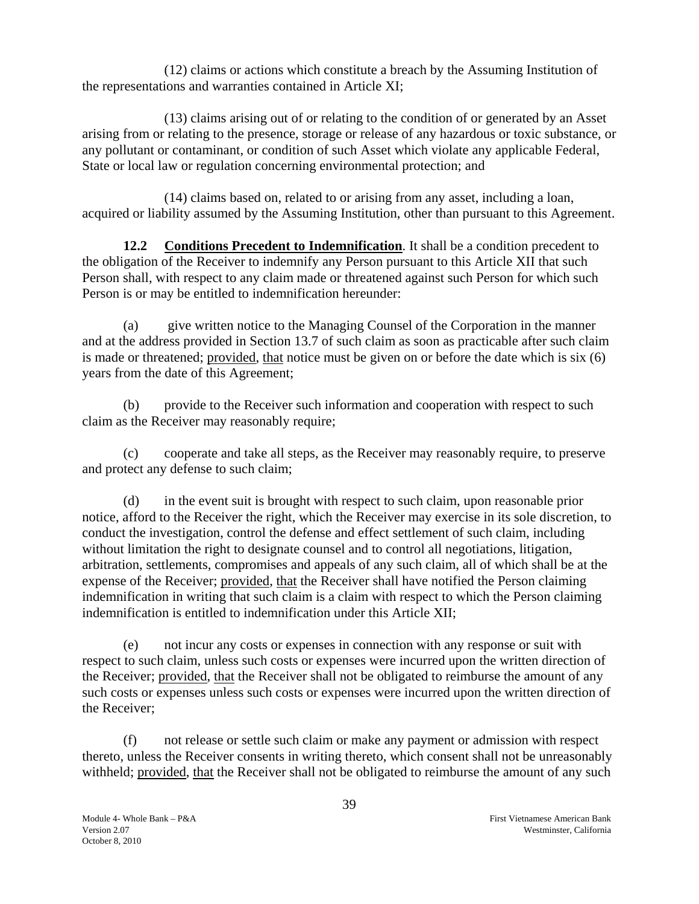<span id="page-42-0"></span>(12) claims or actions which constitute a breach by the Assuming Institution of the representations and warranties contained in Article XI;

(13) claims arising out of or relating to the condition of or generated by an Asset arising from or relating to the presence, storage or release of any hazardous or toxic substance, or any pollutant or contaminant, or condition of such Asset which violate any applicable Federal, State or local law or regulation concerning environmental protection; and

(14) claims based on, related to or arising from any asset, including a loan, acquired or liability assumed by the Assuming Institution, other than pursuant to this Agreement.

**12.2 Conditions Precedent to Indemnification**. It shall be a condition precedent to the obligation of the Receiver to indemnify any Person pursuant to this Article XII that such Person shall, with respect to any claim made or threatened against such Person for which such Person is or may be entitled to indemnification hereunder:

(a) give written notice to the Managing Counsel of the Corporation in the manner and at the address provided in Section 13.7 of such claim as soon as practicable after such claim is made or threatened; provided, that notice must be given on or before the date which is six (6) years from the date of this Agreement;

(b) provide to the Receiver such information and cooperation with respect to such claim as the Receiver may reasonably require;

(c) cooperate and take all steps, as the Receiver may reasonably require, to preserve and protect any defense to such claim;

(d) in the event suit is brought with respect to such claim, upon reasonable prior notice, afford to the Receiver the right, which the Receiver may exercise in its sole discretion, to conduct the investigation, control the defense and effect settlement of such claim, including without limitation the right to designate counsel and to control all negotiations, litigation, arbitration, settlements, compromises and appeals of any such claim, all of which shall be at the expense of the Receiver; provided, that the Receiver shall have notified the Person claiming indemnification in writing that such claim is a claim with respect to which the Person claiming indemnification is entitled to indemnification under this Article XII;

(e) not incur any costs or expenses in connection with any response or suit with respect to such claim, unless such costs or expenses were incurred upon the written direction of the Receiver; provided, that the Receiver shall not be obligated to reimburse the amount of any such costs or expenses unless such costs or expenses were incurred upon the written direction of the Receiver;

(f) not release or settle such claim or make any payment or admission with respect thereto, unless the Receiver consents in writing thereto, which consent shall not be unreasonably withheld; provided, that the Receiver shall not be obligated to reimburse the amount of any such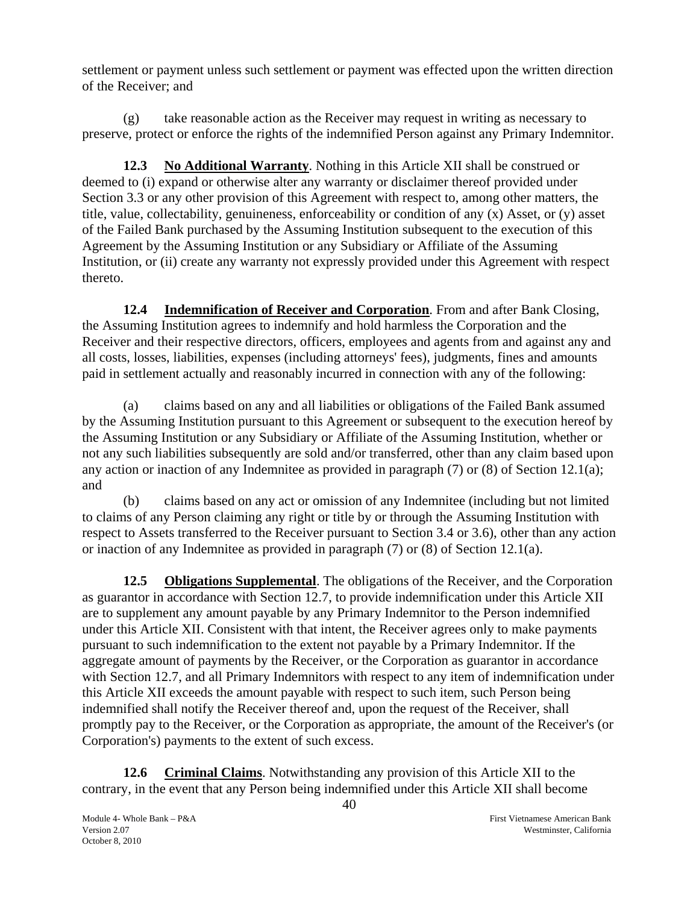<span id="page-43-0"></span>settlement or payment unless such settlement or payment was effected upon the written direction of the Receiver; and

(g) take reasonable action as the Receiver may request in writing as necessary to preserve, protect or enforce the rights of the indemnified Person against any Primary Indemnitor.

**12.3 No Additional Warranty**. Nothing in this Article XII shall be construed or deemed to (i) expand or otherwise alter any warranty or disclaimer thereof provided under Section 3.3 or any other provision of this Agreement with respect to, among other matters, the title, value, collectability, genuineness, enforceability or condition of any (x) Asset, or (y) asset of the Failed Bank purchased by the Assuming Institution subsequent to the execution of this Agreement by the Assuming Institution or any Subsidiary or Affiliate of the Assuming Institution, or (ii) create any warranty not expressly provided under this Agreement with respect thereto.

**12.4 Indemnification of Receiver and Corporation**. From and after Bank Closing, the Assuming Institution agrees to indemnify and hold harmless the Corporation and the Receiver and their respective directors, officers, employees and agents from and against any and all costs, losses, liabilities, expenses (including attorneys' fees), judgments, fines and amounts paid in settlement actually and reasonably incurred in connection with any of the following:

(a) claims based on any and all liabilities or obligations of the Failed Bank assumed by the Assuming Institution pursuant to this Agreement or subsequent to the execution hereof by the Assuming Institution or any Subsidiary or Affiliate of the Assuming Institution, whether or not any such liabilities subsequently are sold and/or transferred, other than any claim based upon any action or inaction of any Indemnitee as provided in paragraph (7) or (8) of Section 12.1(a); and

(b) claims based on any act or omission of any Indemnitee (including but not limited to claims of any Person claiming any right or title by or through the Assuming Institution with respect to Assets transferred to the Receiver pursuant to Section 3.4 or 3.6), other than any action or inaction of any Indemnitee as provided in paragraph  $(7)$  or  $(8)$  of Section 12.1(a).

**12.5 Obligations Supplemental**. The obligations of the Receiver, and the Corporation as guarantor in accordance with Section 12.7, to provide indemnification under this Article XII are to supplement any amount payable by any Primary Indemnitor to the Person indemnified under this Article XII. Consistent with that intent, the Receiver agrees only to make payments pursuant to such indemnification to the extent not payable by a Primary Indemnitor. If the aggregate amount of payments by the Receiver, or the Corporation as guarantor in accordance with Section 12.7, and all Primary Indemnitors with respect to any item of indemnification under this Article XII exceeds the amount payable with respect to such item, such Person being indemnified shall notify the Receiver thereof and, upon the request of the Receiver, shall promptly pay to the Receiver, or the Corporation as appropriate, the amount of the Receiver's (or Corporation's) payments to the extent of such excess.

**12.6 Criminal Claims**. Notwithstanding any provision of this Article XII to the contrary, in the event that any Person being indemnified under this Article XII shall become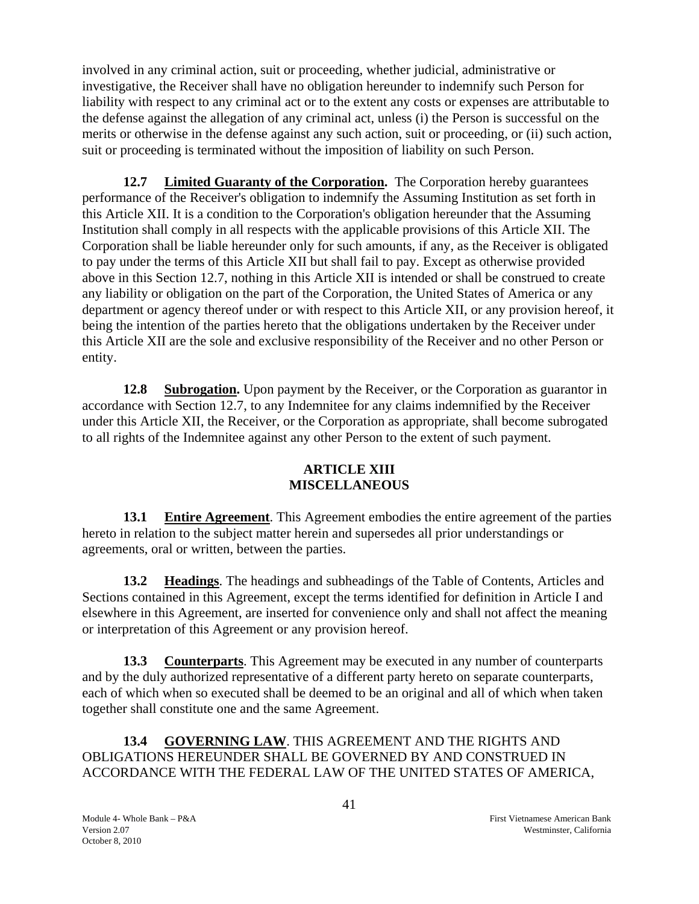<span id="page-44-0"></span>involved in any criminal action, suit or proceeding, whether judicial, administrative or investigative, the Receiver shall have no obligation hereunder to indemnify such Person for liability with respect to any criminal act or to the extent any costs or expenses are attributable to the defense against the allegation of any criminal act, unless (i) the Person is successful on the merits or otherwise in the defense against any such action, suit or proceeding, or (ii) such action, suit or proceeding is terminated without the imposition of liability on such Person.

12.7 **Limited Guaranty of the Corporation.** The Corporation hereby guarantees performance of the Receiver's obligation to indemnify the Assuming Institution as set forth in this Article XII. It is a condition to the Corporation's obligation hereunder that the Assuming Institution shall comply in all respects with the applicable provisions of this Article XII. The Corporation shall be liable hereunder only for such amounts, if any, as the Receiver is obligated to pay under the terms of this Article XII but shall fail to pay. Except as otherwise provided above in this Section 12.7, nothing in this Article XII is intended or shall be construed to create any liability or obligation on the part of the Corporation, the United States of America or any department or agency thereof under or with respect to this Article XII, or any provision hereof, it being the intention of the parties hereto that the obligations undertaken by the Receiver under this Article XII are the sole and exclusive responsibility of the Receiver and no other Person or entity.

**12.8 Subrogation.** Upon payment by the Receiver, or the Corporation as guarantor in accordance with Section 12.7, to any Indemnitee for any claims indemnified by the Receiver under this Article XII, the Receiver, or the Corporation as appropriate, shall become subrogated to all rights of the Indemnitee against any other Person to the extent of such payment.

#### **ARTICLE XIII MISCELLANEOUS**

**13.1 Entire Agreement**. This Agreement embodies the entire agreement of the parties hereto in relation to the subject matter herein and supersedes all prior understandings or agreements, oral or written, between the parties.

**13.2 Headings**. The headings and subheadings of the Table of Contents, Articles and Sections contained in this Agreement, except the terms identified for definition in Article I and elsewhere in this Agreement, are inserted for convenience only and shall not affect the meaning or interpretation of this Agreement or any provision hereof.

**13.3 Counterparts**. This Agreement may be executed in any number of counterparts and by the duly authorized representative of a different party hereto on separate counterparts, each of which when so executed shall be deemed to be an original and all of which when taken together shall constitute one and the same Agreement.

**13.4 GOVERNING LAW**. THIS AGREEMENT AND THE RIGHTS AND OBLIGATIONS HEREUNDER SHALL BE GOVERNED BY AND CONSTRUED IN ACCORDANCE WITH THE FEDERAL LAW OF THE UNITED STATES OF AMERICA,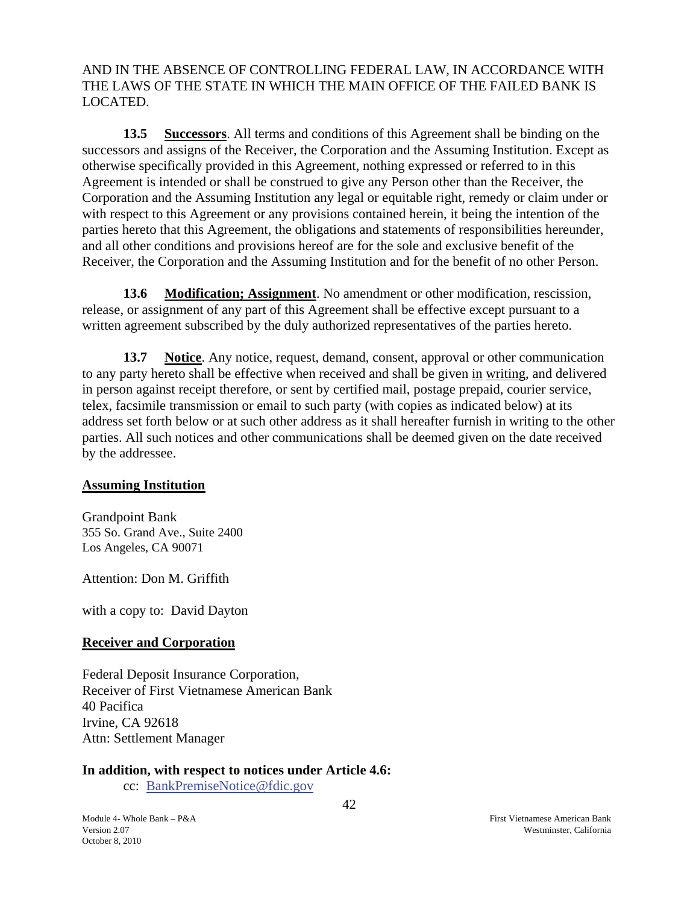AND IN THE ABSENCE OF CONTROLLING FEDERAL LAW, IN ACCORDANCE WITH THE LAWS OF THE STATE IN WHICH THE MAIN OFFICE OF THE FAILED BANK IS LOCATED.

**13.5 Successors**. All terms and conditions of this Agreement shall be binding on the successors and assigns of the Receiver, the Corporation and the Assuming Institution. Except as otherwise specifically provided in this Agreement, nothing expressed or referred to in this Agreement is intended or shall be construed to give any Person other than the Receiver, the Corporation and the Assuming Institution any legal or equitable right, remedy or claim under or with respect to this Agreement or any provisions contained herein, it being the intention of the parties hereto that this Agreement, the obligations and statements of responsibilities hereunder, and all other conditions and provisions hereof are for the sole and exclusive benefit of the Receiver, the Corporation and the Assuming Institution and for the benefit of no other Person.

**13.6 Modification; Assignment**. No amendment or other modification, rescission, release, or assignment of any part of this Agreement shall be effective except pursuant to a written agreement subscribed by the duly authorized representatives of the parties hereto.

**13.7** Notice. Any notice, request, demand, consent, approval or other communication to any party hereto shall be effective when received and shall be given in writing, and delivered in person against receipt therefore, or sent by certified mail, postage prepaid, courier service, telex, facsimile transmission or email to such party (with copies as indicated below) at its address set forth below or at such other address as it shall hereafter furnish in writing to the other parties. All such notices and other communications shall be deemed given on the date received by the addressee.

#### **Assuming Institution**

Grandpoint Bank 355 So. Grand Ave., Suite 2400 Los Angeles, CA 90071

Attention: Don M. Griffith

with a copy to: David Dayton

#### **Receiver and Corporation**

Federal Deposit Insurance Corporation, Receiver of First Vietnamese American Bank 40 Pacifica Irvine, CA 92618 Attn: Settlement Manager

#### **In addition, with respect to notices under Article 4.6:**

cc: BankPremiseNotice@fdic.gov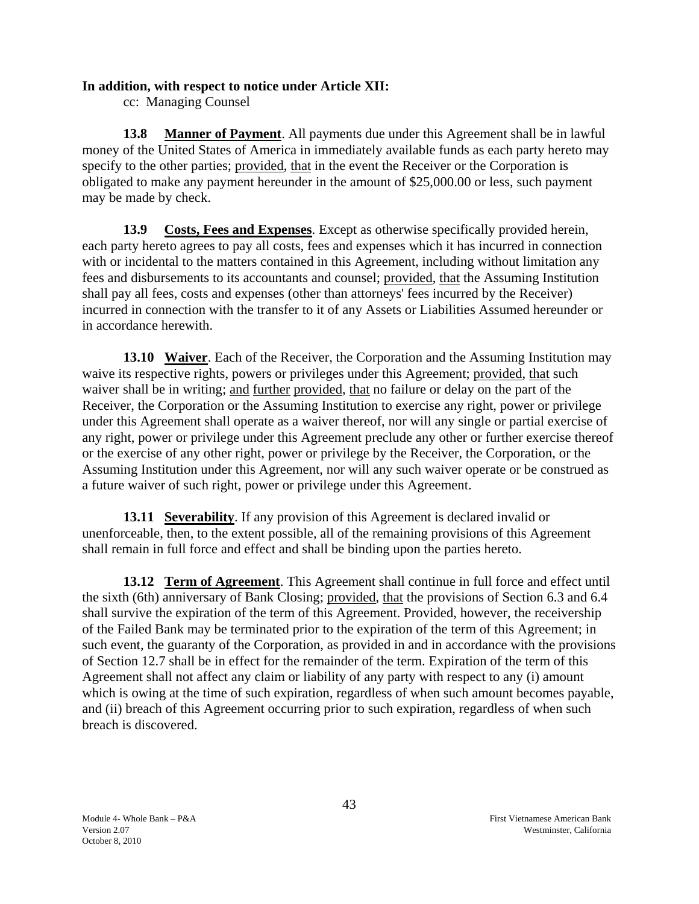#### <span id="page-46-0"></span>**In addition, with respect to notice under Article XII:**

cc: Managing Counsel

**13.8 Manner of Payment**. All payments due under this Agreement shall be in lawful money of the United States of America in immediately available funds as each party hereto may specify to the other parties; provided, that in the event the Receiver or the Corporation is obligated to make any payment hereunder in the amount of \$25,000.00 or less, such payment may be made by check.

**13.9 Costs, Fees and Expenses**. Except as otherwise specifically provided herein, each party hereto agrees to pay all costs, fees and expenses which it has incurred in connection with or incidental to the matters contained in this Agreement, including without limitation any fees and disbursements to its accountants and counsel; provided, that the Assuming Institution shall pay all fees, costs and expenses (other than attorneys' fees incurred by the Receiver) incurred in connection with the transfer to it of any Assets or Liabilities Assumed hereunder or in accordance herewith.

**13.10 Waiver**. Each of the Receiver, the Corporation and the Assuming Institution may waive its respective rights, powers or privileges under this Agreement; provided, that such waiver shall be in writing; and further provided, that no failure or delay on the part of the Receiver, the Corporation or the Assuming Institution to exercise any right, power or privilege under this Agreement shall operate as a waiver thereof, nor will any single or partial exercise of any right, power or privilege under this Agreement preclude any other or further exercise thereof or the exercise of any other right, power or privilege by the Receiver, the Corporation, or the Assuming Institution under this Agreement, nor will any such waiver operate or be construed as a future waiver of such right, power or privilege under this Agreement.

**13.11 Severability**. If any provision of this Agreement is declared invalid or unenforceable, then, to the extent possible, all of the remaining provisions of this Agreement shall remain in full force and effect and shall be binding upon the parties hereto.

**13.12 Term of Agreement**. This Agreement shall continue in full force and effect until the sixth (6th) anniversary of Bank Closing; provided, that the provisions of Section 6.3 and 6.4 shall survive the expiration of the term of this Agreement. Provided, however, the receivership of the Failed Bank may be terminated prior to the expiration of the term of this Agreement; in such event, the guaranty of the Corporation, as provided in and in accordance with the provisions of Section 12.7 shall be in effect for the remainder of the term. Expiration of the term of this Agreement shall not affect any claim or liability of any party with respect to any (i) amount which is owing at the time of such expiration, regardless of when such amount becomes payable, and (ii) breach of this Agreement occurring prior to such expiration, regardless of when such breach is discovered.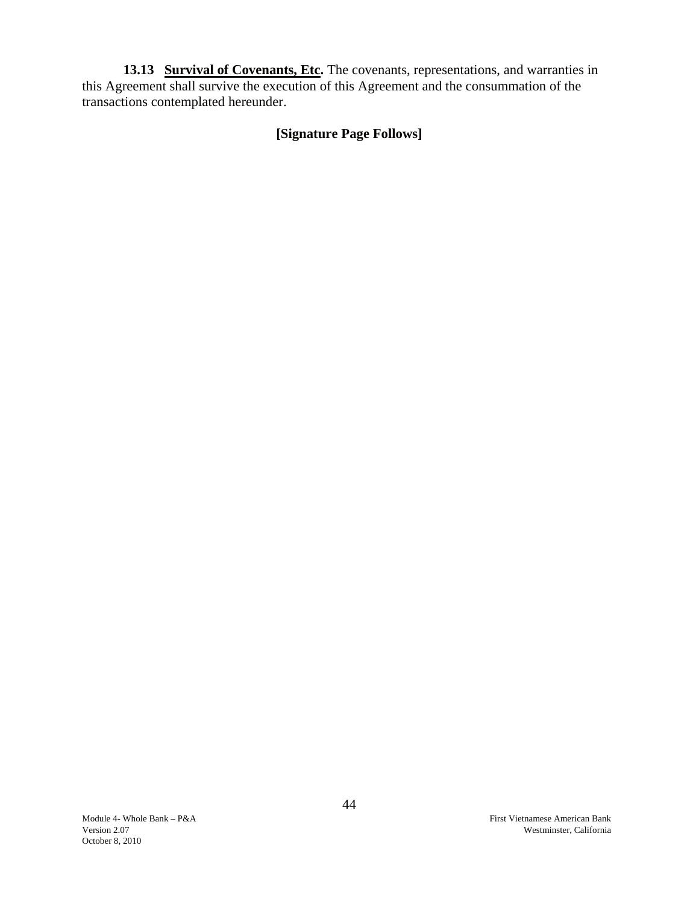<span id="page-47-0"></span>**13.13 Survival of Covenants, Etc.** The covenants, representations, and warranties in this Agreement shall survive the execution of this Agreement and the consummation of the transactions contemplated hereunder.

# **[Signature Page Follows]**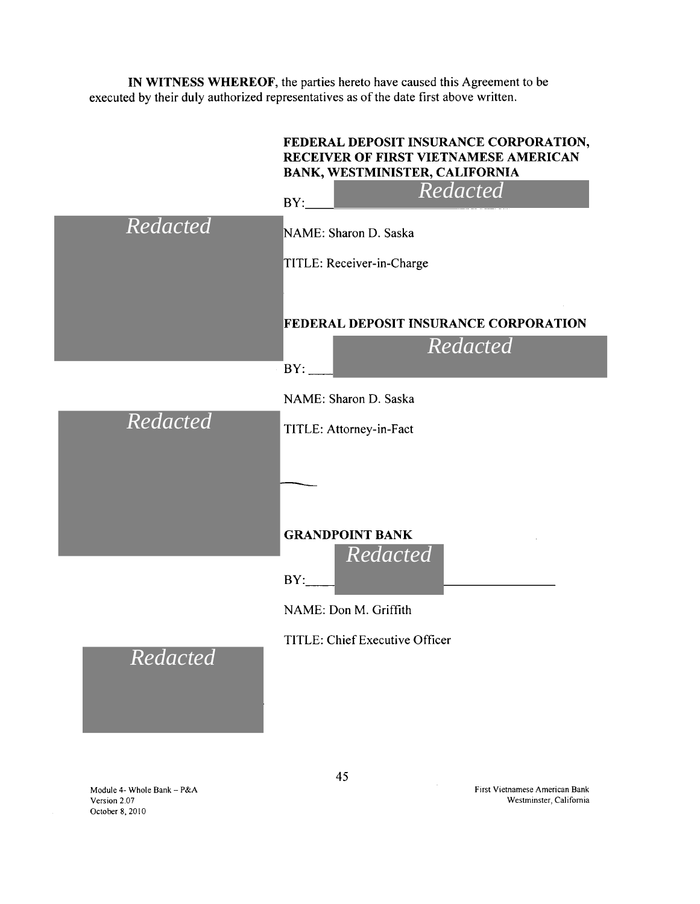IN WITNESS WHEREOF, the parties hereto have caused this Agreement to be executed by their duly authorized representatives as of the date first above written.



FEDERAL DEPOSIT INSURANCE CORPORATION,

Module 4- Whole Bank - P&A First Vietnamese American Bank<br>Version 2.07 Westminster, California October 8, 2010

Westminster, California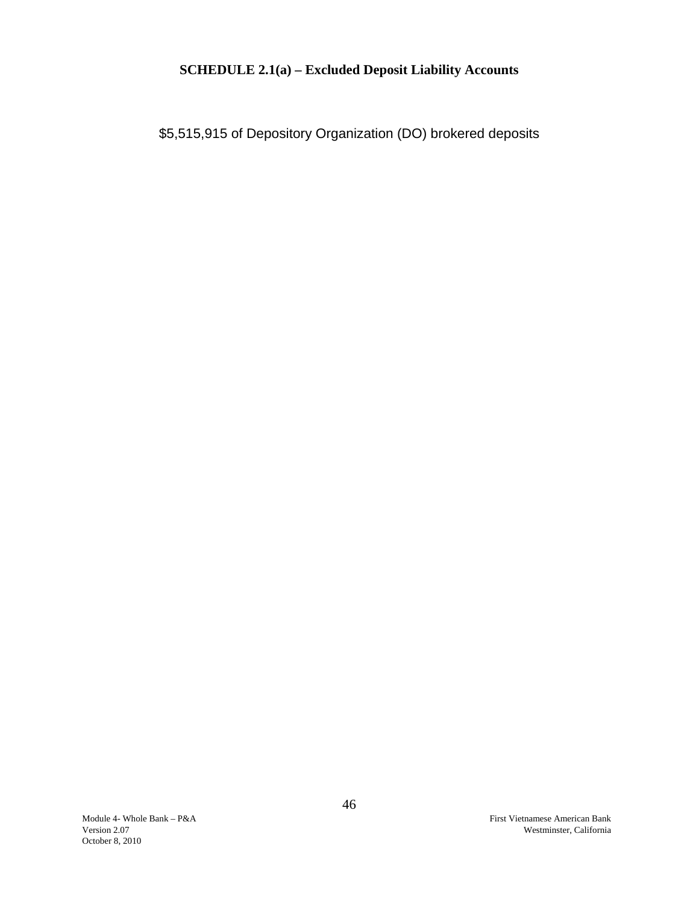# <span id="page-49-0"></span>**SCHEDULE 2.1(a) – Excluded Deposit Liability Accounts**

\$5,515,915 of Depository Organization (DO) brokered deposits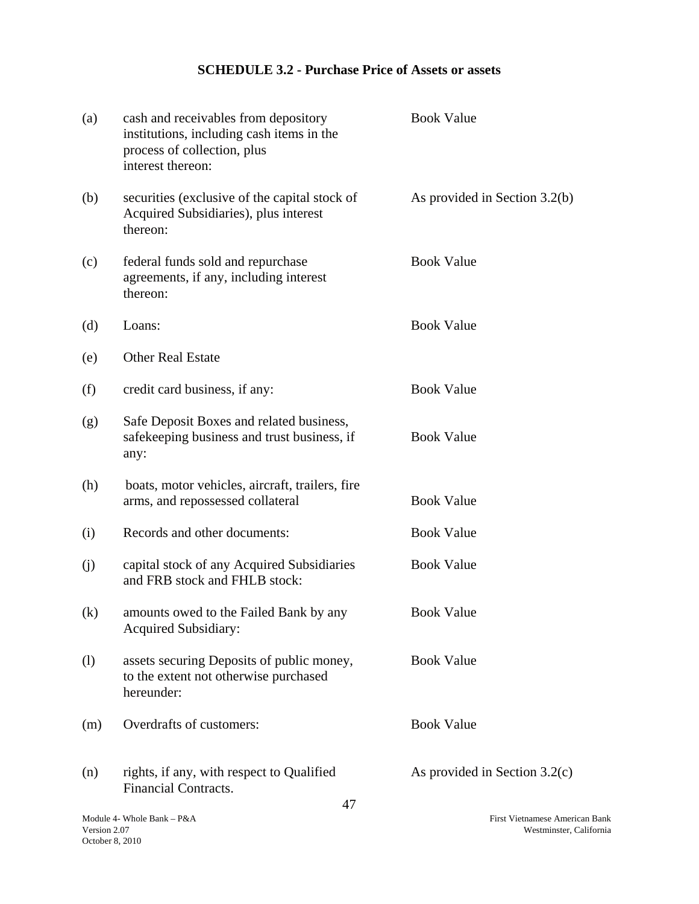## **SCHEDULE 3.2 - Purchase Price of Assets or assets**

| (a)                          | cash and receivables from depository<br>institutions, including cash items in the<br>process of collection, plus<br>interest thereon: | <b>Book Value</b>               |
|------------------------------|---------------------------------------------------------------------------------------------------------------------------------------|---------------------------------|
| (b)                          | securities (exclusive of the capital stock of<br>Acquired Subsidiaries), plus interest<br>thereon:                                    | As provided in Section 3.2(b)   |
| (c)                          | federal funds sold and repurchase<br>agreements, if any, including interest<br>thereon:                                               | <b>Book Value</b>               |
| (d)                          | Loans:                                                                                                                                | <b>Book Value</b>               |
| (e)                          | <b>Other Real Estate</b>                                                                                                              |                                 |
| (f)                          | credit card business, if any:                                                                                                         | <b>Book Value</b>               |
| (g)                          | Safe Deposit Boxes and related business,<br>safekeeping business and trust business, if<br>any:                                       | <b>Book Value</b>               |
| (h)                          | boats, motor vehicles, aircraft, trailers, fire<br>arms, and repossessed collateral                                                   | <b>Book Value</b>               |
| (i)                          | Records and other documents:                                                                                                          | <b>Book Value</b>               |
| (j)                          | capital stock of any Acquired Subsidiaries<br>and FRB stock and FHLB stock:                                                           | <b>Book Value</b>               |
| (k)                          | amounts owed to the Failed Bank by any<br><b>Acquired Subsidiary:</b>                                                                 | <b>Book Value</b>               |
| $\left( \frac{1}{2} \right)$ | assets securing Deposits of public money,<br>to the extent not otherwise purchased<br>hereunder:                                      | <b>Book Value</b>               |
| (m)                          | Overdrafts of customers:                                                                                                              | <b>Book Value</b>               |
| (n)                          | rights, if any, with respect to Qualified<br>Financial Contracts.<br>17                                                               | As provided in Section $3.2(c)$ |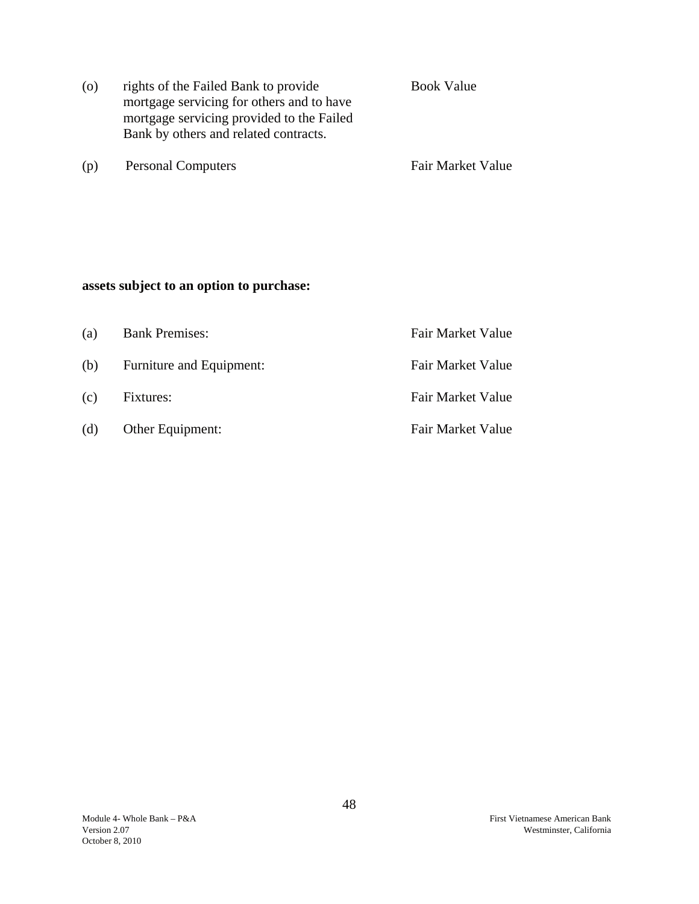| (0) | rights of the Failed Bank to provide<br>mortgage servicing for others and to have<br>mortgage servicing provided to the Failed<br>Bank by others and related contracts. | <b>Book Value</b> |
|-----|-------------------------------------------------------------------------------------------------------------------------------------------------------------------------|-------------------|
| (p) | <b>Personal Computers</b>                                                                                                                                               | Fair Market Value |

# **assets subject to an option to purchase:**

| (a) | <b>Bank Premises:</b>    | Fair Market Value |
|-----|--------------------------|-------------------|
| (b) | Furniture and Equipment: | Fair Market Value |
| (c) | Fixtures:                | Fair Market Value |
| (d) | Other Equipment:         | Fair Market Value |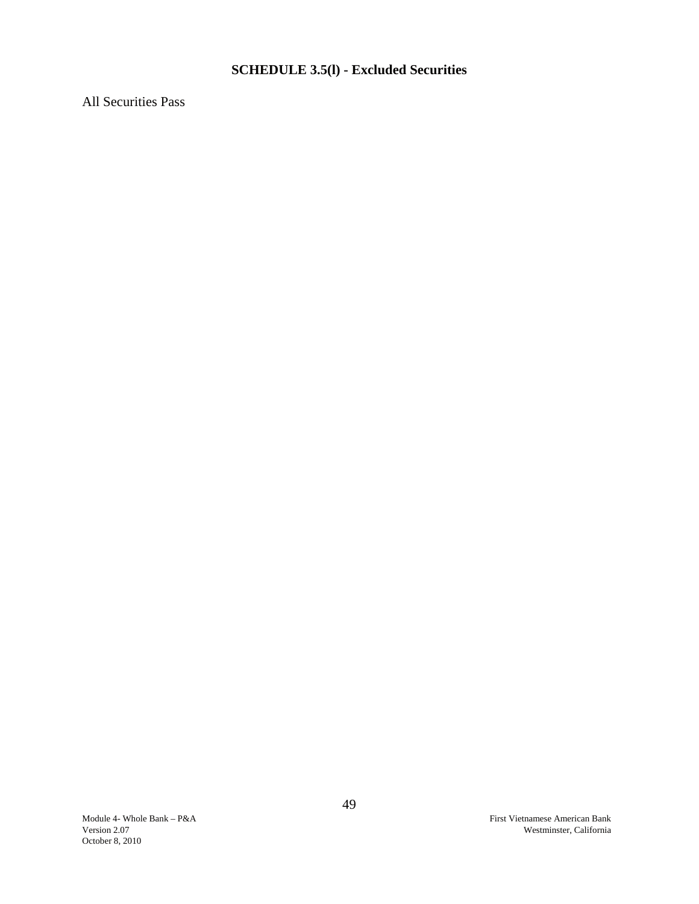## **SCHEDULE 3.5(l) - Excluded Securities**

<span id="page-52-0"></span>All Securities Pass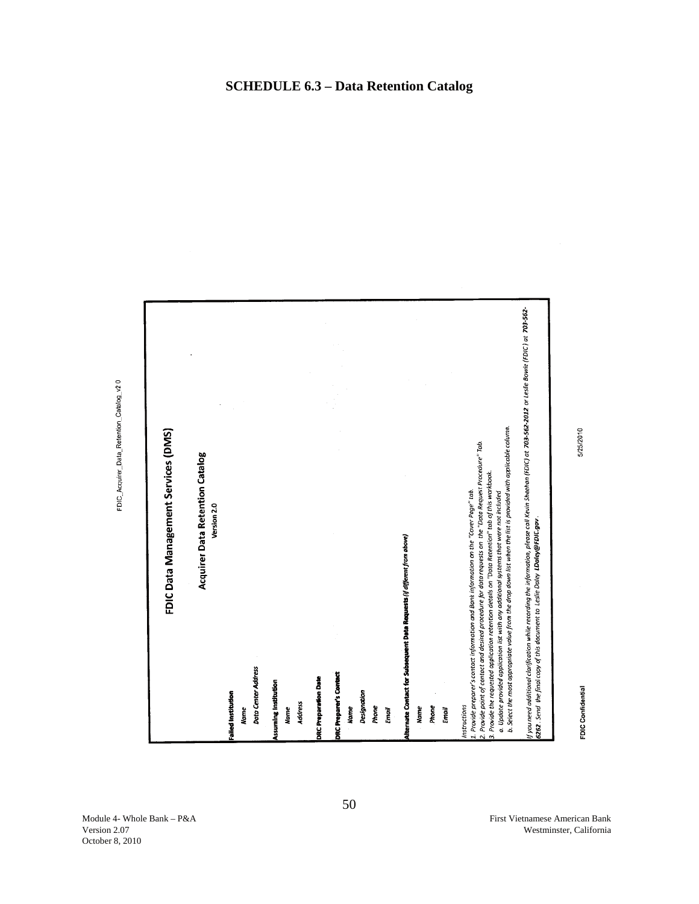<span id="page-53-0"></span>

FDIC\_Acquirer\_Data\_Retention\_Catalog\_v20

Module 4- Whole Bank – P&A First Vietnamese American Bank October 8, 2010

# Version 2.07 Westminster, California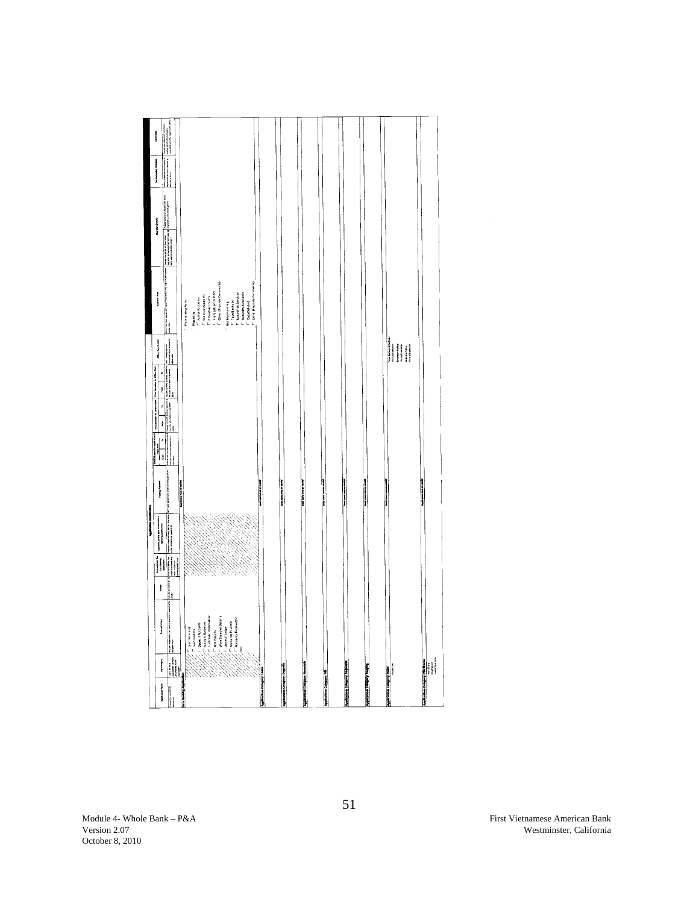

October 8, 2010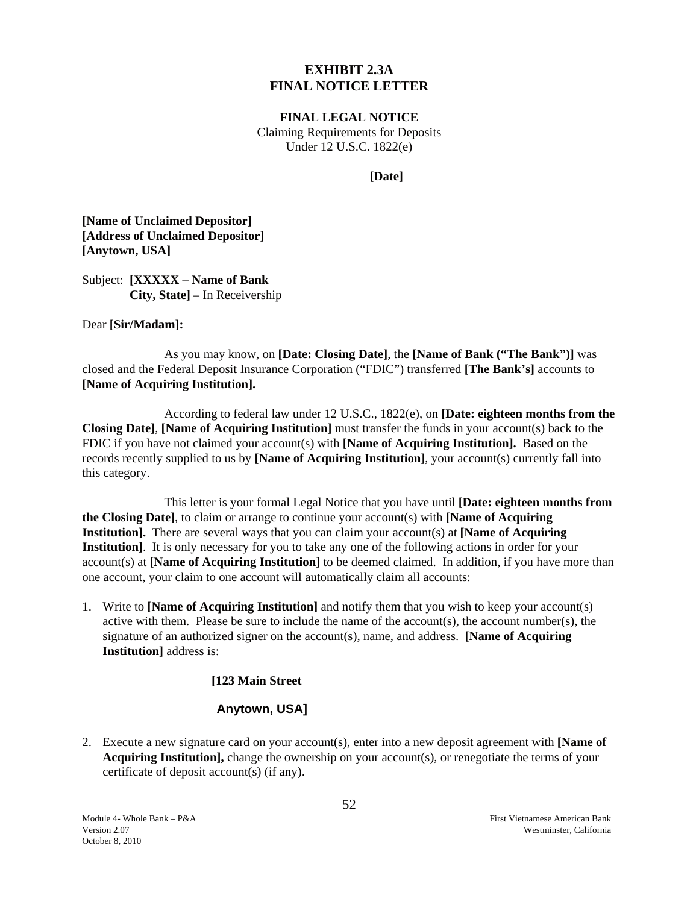## **EXHIBIT 2.3A FINAL NOTICE LETTER**

**FINAL LEGAL NOTICE** 

Claiming Requirements for Deposits Under 12 U.S.C. 1822(e)

**[Date]** 

<span id="page-55-0"></span>**[Name of Unclaimed Depositor] [Address of Unclaimed Depositor] [Anytown, USA]** 

Subject: **[XXXXX – Name of Bank City, State]** – In Receivership

Dear **[Sir/Madam]:** 

As you may know, on **[Date: Closing Date]**, the **[Name of Bank ("The Bank")]** was closed and the Federal Deposit Insurance Corporation ("FDIC") transferred **[The Bank's]** accounts to **[Name of Acquiring Institution].** 

According to federal law under 12 U.S.C., 1822(e), on **[Date: eighteen months from the Closing Date]**, **[Name of Acquiring Institution]** must transfer the funds in your account(s) back to the FDIC if you have not claimed your account(s) with **[Name of Acquiring Institution].** Based on the records recently supplied to us by **[Name of Acquiring Institution]**, your account(s) currently fall into this category.

This letter is your formal Legal Notice that you have until **[Date: eighteen months from the Closing Date]**, to claim or arrange to continue your account(s) with **[Name of Acquiring Institution].** There are several ways that you can claim your account(s) at **[Name of Acquiring Institution]**. It is only necessary for you to take any one of the following actions in order for your account(s) at **[Name of Acquiring Institution]** to be deemed claimed. In addition, if you have more than one account, your claim to one account will automatically claim all accounts:

1. Write to **[Name of Acquiring Institution**] and notify them that you wish to keep your account(s) active with them. Please be sure to include the name of the account(s), the account number(s), the signature of an authorized signer on the account(s), name, and address. **[Name of Acquiring Institution]** address is:

#### **[123 Main Street**

#### **Anytown, USA]**

2. Execute a new signature card on your account(s), enter into a new deposit agreement with **[Name of Acquiring Institution],** change the ownership on your account(s), or renegotiate the terms of your certificate of deposit account(s) (if any).

October 8, 2010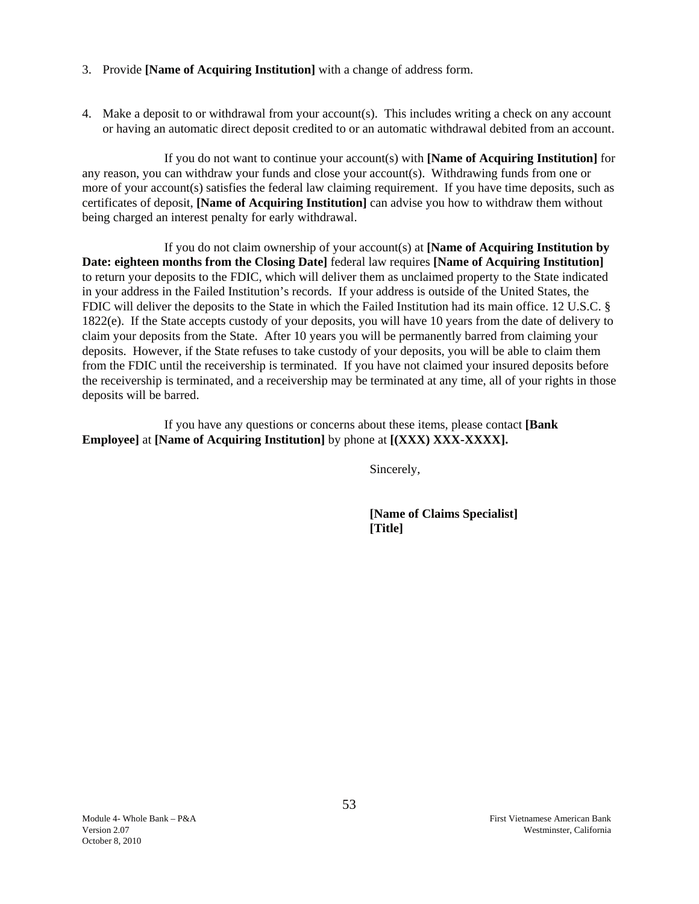- 3. Provide **[Name of Acquiring Institution]** with a change of address form.
- 4. Make a deposit to or withdrawal from your account(s). This includes writing a check on any account or having an automatic direct deposit credited to or an automatic withdrawal debited from an account.

If you do not want to continue your account(s) with **[Name of Acquiring Institution]** for any reason, you can withdraw your funds and close your account(s). Withdrawing funds from one or more of your account(s) satisfies the federal law claiming requirement. If you have time deposits, such as certificates of deposit, **[Name of Acquiring Institution]** can advise you how to withdraw them without being charged an interest penalty for early withdrawal.

If you do not claim ownership of your account(s) at **[Name of Acquiring Institution by Date: eighteen months from the Closing Date]** federal law requires **[Name of Acquiring Institution]**  to return your deposits to the FDIC, which will deliver them as unclaimed property to the State indicated in your address in the Failed Institution's records. If your address is outside of the United States, the FDIC will deliver the deposits to the State in which the Failed Institution had its main office. 12 U.S.C. § 1822(e). If the State accepts custody of your deposits, you will have 10 years from the date of delivery to claim your deposits from the State. After 10 years you will be permanently barred from claiming your deposits. However, if the State refuses to take custody of your deposits, you will be able to claim them from the FDIC until the receivership is terminated. If you have not claimed your insured deposits before the receivership is terminated, and a receivership may be terminated at any time, all of your rights in those deposits will be barred.

If you have any questions or concerns about these items, please contact **[Bank Employee]** at **[Name of Acquiring Institution]** by phone at **[(XXX) XXX-XXXX].** 

Sincerely,

**[Name of Claims Specialist] [Title]**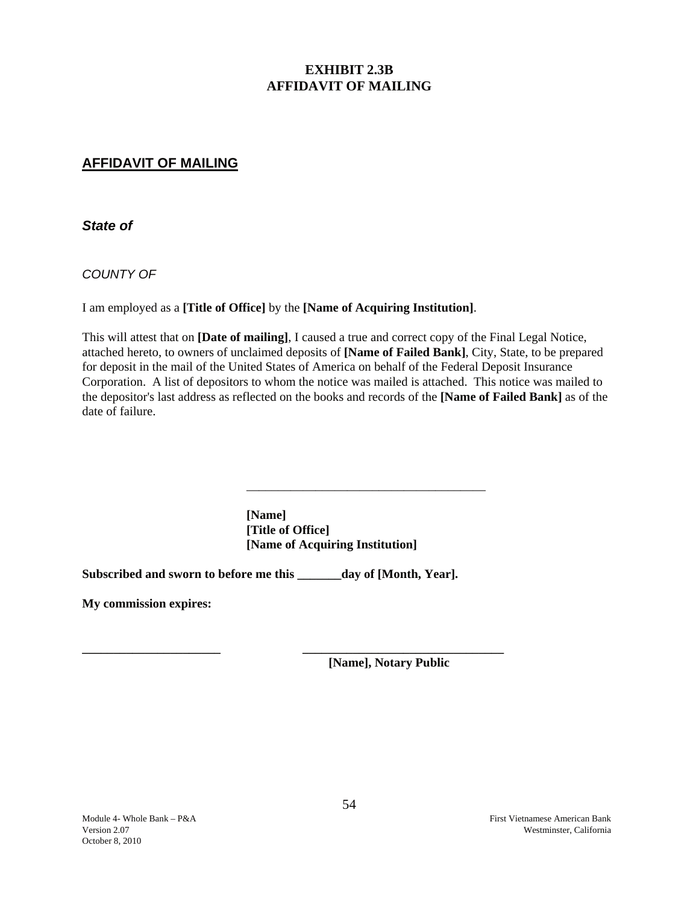## **EXHIBIT 2.3B AFFIDAVIT OF MAILING**

#### <span id="page-57-0"></span>**AFFIDAVIT OF MAILING**

*State of* 

*COUNTY OF* 

I am employed as a **[Title of Office]** by the **[Name of Acquiring Institution]**.

This will attest that on **[Date of mailing]**, I caused a true and correct copy of the Final Legal Notice, attached hereto, to owners of unclaimed deposits of **[Name of Failed Bank]**, City, State, to be prepared for deposit in the mail of the United States of America on behalf of the Federal Deposit Insurance Corporation. A list of depositors to whom the notice was mailed is attached. This notice was mailed to the depositor's last address as reflected on the books and records of the **[Name of Failed Bank]** as of the date of failure.

> **[Name] [Title of Office] [Name of Acquiring Institution]**

**Subscribed and sworn to before me this \_\_\_\_\_\_\_day of [Month, Year].** 

 $\overline{\phantom{a}}$  ,  $\overline{\phantom{a}}$  ,  $\overline{\phantom{a}}$  ,  $\overline{\phantom{a}}$  ,  $\overline{\phantom{a}}$  ,  $\overline{\phantom{a}}$  ,  $\overline{\phantom{a}}$  ,  $\overline{\phantom{a}}$  ,  $\overline{\phantom{a}}$  ,  $\overline{\phantom{a}}$  ,  $\overline{\phantom{a}}$  ,  $\overline{\phantom{a}}$  ,  $\overline{\phantom{a}}$  ,  $\overline{\phantom{a}}$  ,  $\overline{\phantom{a}}$  ,  $\overline{\phantom{a}}$ 

**My commission expires:** 

**\_\_\_\_\_\_\_\_\_\_\_\_\_\_\_\_\_\_\_\_\_\_ \_\_\_\_\_\_\_\_\_\_\_\_\_\_\_\_\_\_\_\_\_\_\_\_\_\_\_\_\_\_\_\_ [Name], Notary Public**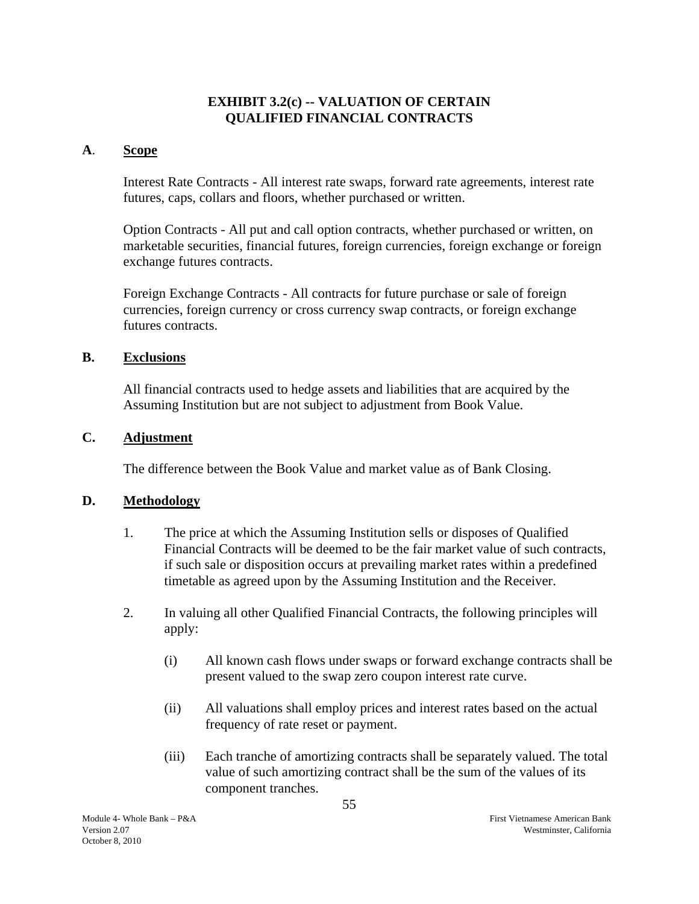## **EXHIBIT 3.2(c) -- VALUATION OF CERTAIN QUALIFIED FINANCIAL CONTRACTS**

#### <span id="page-58-0"></span>**A**. **Scope**

Interest Rate Contracts - All interest rate swaps, forward rate agreements, interest rate futures, caps, collars and floors, whether purchased or written.

Option Contracts - All put and call option contracts, whether purchased or written, on marketable securities, financial futures, foreign currencies, foreign exchange or foreign exchange futures contracts.

Foreign Exchange Contracts - All contracts for future purchase or sale of foreign currencies, foreign currency or cross currency swap contracts, or foreign exchange futures contracts.

#### **B. Exclusions**

All financial contracts used to hedge assets and liabilities that are acquired by the Assuming Institution but are not subject to adjustment from Book Value.

#### **C.** Adjustment

The difference between the Book Value and market value as of Bank Closing.

#### **D. Methodology**

- 1. The price at which the Assuming Institution sells or disposes of Qualified Financial Contracts will be deemed to be the fair market value of such contracts, if such sale or disposition occurs at prevailing market rates within a predefined timetable as agreed upon by the Assuming Institution and the Receiver.
- 2. In valuing all other Qualified Financial Contracts, the following principles will apply:
	- (i) All known cash flows under swaps or forward exchange contracts shall be present valued to the swap zero coupon interest rate curve.
	- (ii) All valuations shall employ prices and interest rates based on the actual frequency of rate reset or payment.
	- (iii) Each tranche of amortizing contracts shall be separately valued. The total value of such amortizing contract shall be the sum of the values of its component tranches.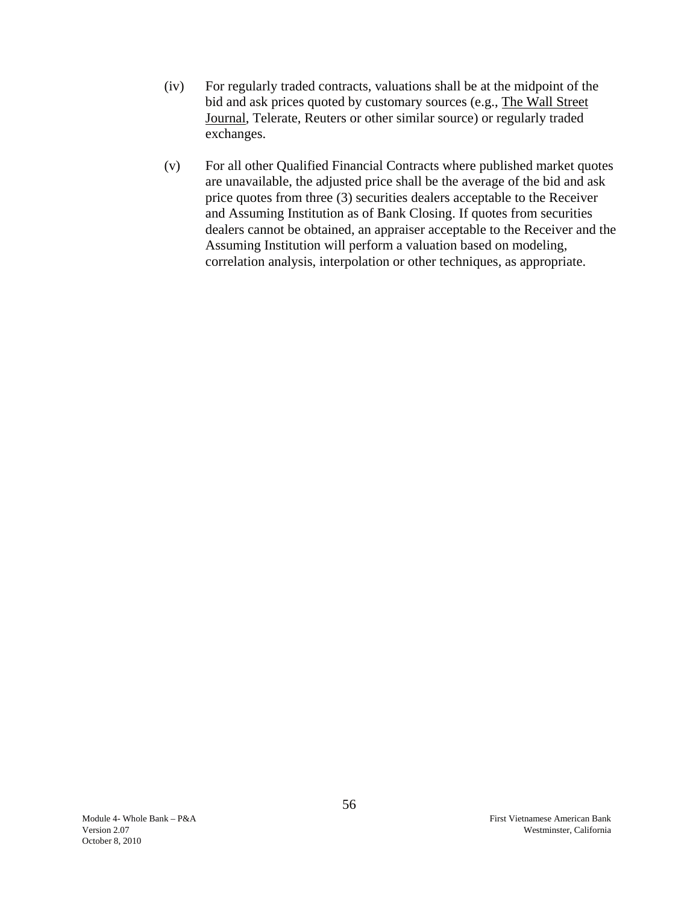- (iv) For regularly traded contracts, valuations shall be at the midpoint of the bid and ask prices quoted by customary sources (e.g., The Wall Street Journal, Telerate, Reuters or other similar source) or regularly traded exchanges.
- (v) For all other Qualified Financial Contracts where published market quotes are unavailable, the adjusted price shall be the average of the bid and ask price quotes from three (3) securities dealers acceptable to the Receiver and Assuming Institution as of Bank Closing. If quotes from securities dealers cannot be obtained, an appraiser acceptable to the Receiver and the Assuming Institution will perform a valuation based on modeling, correlation analysis, interpolation or other techniques, as appropriate.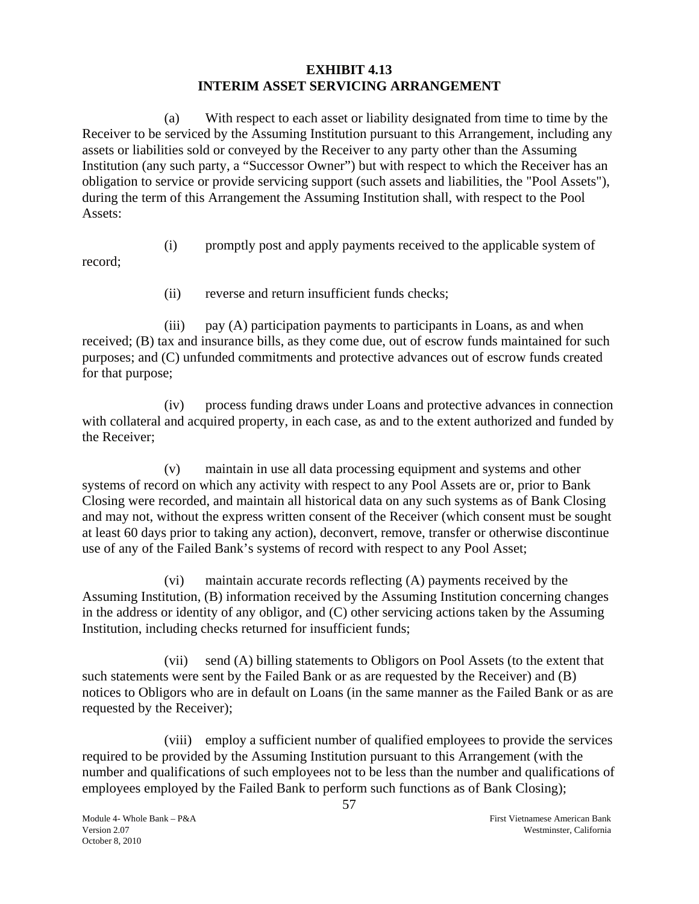#### **EXHIBIT 4.13 INTERIM ASSET SERVICING ARRANGEMENT**

(a) With respect to each asset or liability designated from time to time by the Receiver to be serviced by the Assuming Institution pursuant to this Arrangement, including any assets or liabilities sold or conveyed by the Receiver to any party other than the Assuming Institution (any such party, a "Successor Owner") but with respect to which the Receiver has an obligation to service or provide servicing support (such assets and liabilities, the "Pool Assets"), during the term of this Arrangement the Assuming Institution shall, with respect to the Pool Assets:

(i) promptly post and apply payments received to the applicable system of

record;

(ii) reverse and return insufficient funds checks;

(iii) pay (A) participation payments to participants in Loans, as and when received; (B) tax and insurance bills, as they come due, out of escrow funds maintained for such purposes; and (C) unfunded commitments and protective advances out of escrow funds created for that purpose;

(iv) process funding draws under Loans and protective advances in connection with collateral and acquired property, in each case, as and to the extent authorized and funded by the Receiver;

(v) maintain in use all data processing equipment and systems and other systems of record on which any activity with respect to any Pool Assets are or, prior to Bank Closing were recorded, and maintain all historical data on any such systems as of Bank Closing and may not, without the express written consent of the Receiver (which consent must be sought at least 60 days prior to taking any action), deconvert, remove, transfer or otherwise discontinue use of any of the Failed Bank's systems of record with respect to any Pool Asset;

(vi) maintain accurate records reflecting (A) payments received by the Assuming Institution, (B) information received by the Assuming Institution concerning changes in the address or identity of any obligor, and (C) other servicing actions taken by the Assuming Institution, including checks returned for insufficient funds;

(vii) send (A) billing statements to Obligors on Pool Assets (to the extent that such statements were sent by the Failed Bank or as are requested by the Receiver) and (B) notices to Obligors who are in default on Loans (in the same manner as the Failed Bank or as are requested by the Receiver);

(viii) employ a sufficient number of qualified employees to provide the services required to be provided by the Assuming Institution pursuant to this Arrangement (with the number and qualifications of such employees not to be less than the number and qualifications of employees employed by the Failed Bank to perform such functions as of Bank Closing);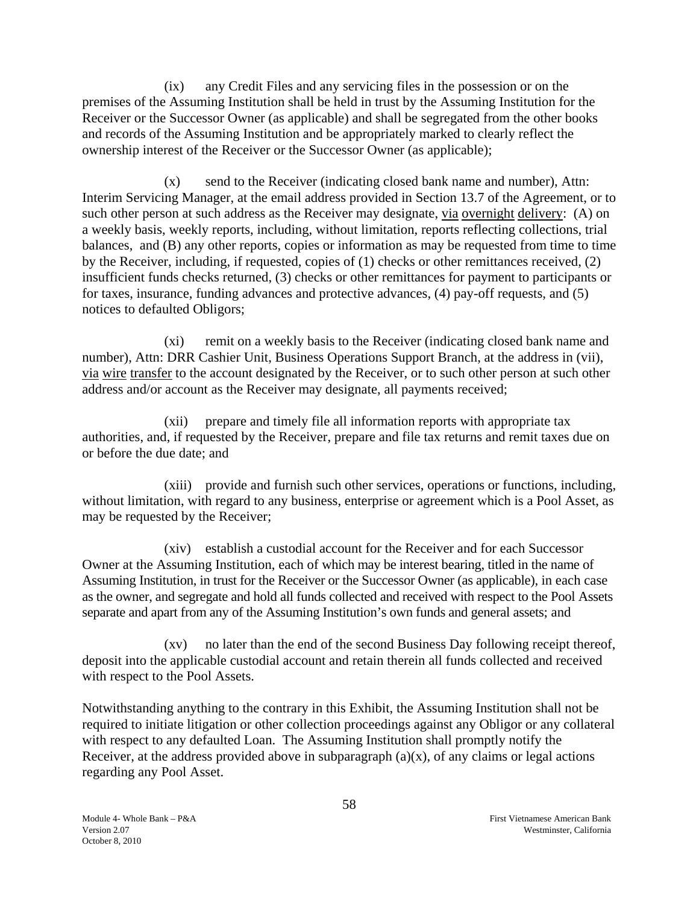(ix) any Credit Files and any servicing files in the possession or on the premises of the Assuming Institution shall be held in trust by the Assuming Institution for the Receiver or the Successor Owner (as applicable) and shall be segregated from the other books and records of the Assuming Institution and be appropriately marked to clearly reflect the ownership interest of the Receiver or the Successor Owner (as applicable);

(x) send to the Receiver (indicating closed bank name and number), Attn: Interim Servicing Manager, at the email address provided in Section 13.7 of the Agreement, or to such other person at such address as the Receiver may designate, via overnight delivery: (A) on a weekly basis, weekly reports, including, without limitation, reports reflecting collections, trial balances, and (B) any other reports, copies or information as may be requested from time to time by the Receiver, including, if requested, copies of (1) checks or other remittances received, (2) insufficient funds checks returned, (3) checks or other remittances for payment to participants or for taxes, insurance, funding advances and protective advances, (4) pay-off requests, and (5) notices to defaulted Obligors;

(xi) remit on a weekly basis to the Receiver (indicating closed bank name and number), Attn: DRR Cashier Unit, Business Operations Support Branch, at the address in (vii), via wire transfer to the account designated by the Receiver, or to such other person at such other address and/or account as the Receiver may designate, all payments received;

(xii) prepare and timely file all information reports with appropriate tax authorities, and, if requested by the Receiver, prepare and file tax returns and remit taxes due on or before the due date; and

(xiii) provide and furnish such other services, operations or functions, including, without limitation, with regard to any business, enterprise or agreement which is a Pool Asset, as may be requested by the Receiver;

 Owner at the Assuming Institution, each of which may be interest bearing, titled in the name of Assuming Institution, in trust for the Receiver or the Successor Owner (as applicable), in each case separate and apart from any of the Assuming Institution's own funds and general assets; and (xiv) establish a custodial account for the Receiver and for each Successor as the owner, and segregate and hold all funds collected and received with respect to the Pool Assets

(xv) no later than the end of the second Business Day following receipt thereof, deposit into the applicable custodial account and retain therein all funds collected and received with respect to the Pool Assets.

Notwithstanding anything to the contrary in this Exhibit, the Assuming Institution shall not be required to initiate litigation or other collection proceedings against any Obligor or any collateral with respect to any defaulted Loan. The Assuming Institution shall promptly notify the Receiver, at the address provided above in subparagraph  $(a)(x)$ , of any claims or legal actions regarding any Pool Asset.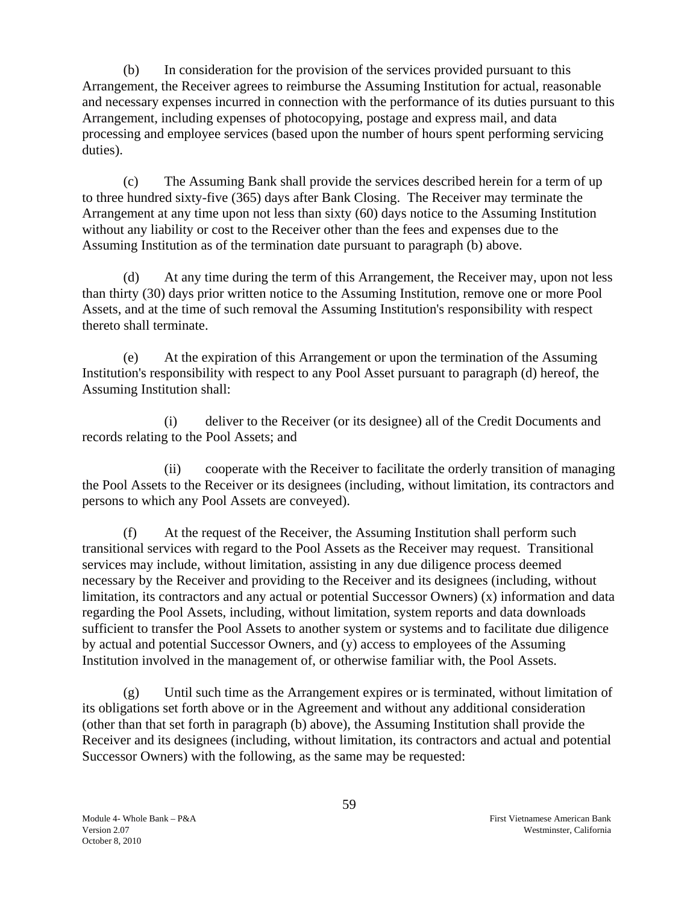(b) In consideration for the provision of the services provided pursuant to this Arrangement, the Receiver agrees to reimburse the Assuming Institution for actual, reasonable and necessary expenses incurred in connection with the performance of its duties pursuant to this Arrangement, including expenses of photocopying, postage and express mail, and data processing and employee services (based upon the number of hours spent performing servicing duties).

(c) The Assuming Bank shall provide the services described herein for a term of up to three hundred sixty-five (365) days after Bank Closing. The Receiver may terminate the Arrangement at any time upon not less than sixty (60) days notice to the Assuming Institution without any liability or cost to the Receiver other than the fees and expenses due to the Assuming Institution as of the termination date pursuant to paragraph (b) above.

(d) At any time during the term of this Arrangement, the Receiver may, upon not less than thirty (30) days prior written notice to the Assuming Institution, remove one or more Pool Assets, and at the time of such removal the Assuming Institution's responsibility with respect thereto shall terminate.

(e) At the expiration of this Arrangement or upon the termination of the Assuming Institution's responsibility with respect to any Pool Asset pursuant to paragraph (d) hereof, the Assuming Institution shall:

(i) deliver to the Receiver (or its designee) all of the Credit Documents and records relating to the Pool Assets; and

(ii) cooperate with the Receiver to facilitate the orderly transition of managing the Pool Assets to the Receiver or its designees (including, without limitation, its contractors and persons to which any Pool Assets are conveyed).

(f) At the request of the Receiver, the Assuming Institution shall perform such transitional services with regard to the Pool Assets as the Receiver may request. Transitional services may include, without limitation, assisting in any due diligence process deemed necessary by the Receiver and providing to the Receiver and its designees (including, without limitation, its contractors and any actual or potential Successor Owners) (x) information and data regarding the Pool Assets, including, without limitation, system reports and data downloads sufficient to transfer the Pool Assets to another system or systems and to facilitate due diligence by actual and potential Successor Owners, and (y) access to employees of the Assuming Institution involved in the management of, or otherwise familiar with, the Pool Assets.

(g) Until such time as the Arrangement expires or is terminated, without limitation of its obligations set forth above or in the Agreement and without any additional consideration (other than that set forth in paragraph (b) above), the Assuming Institution shall provide the Receiver and its designees (including, without limitation, its contractors and actual and potential Successor Owners) with the following, as the same may be requested: